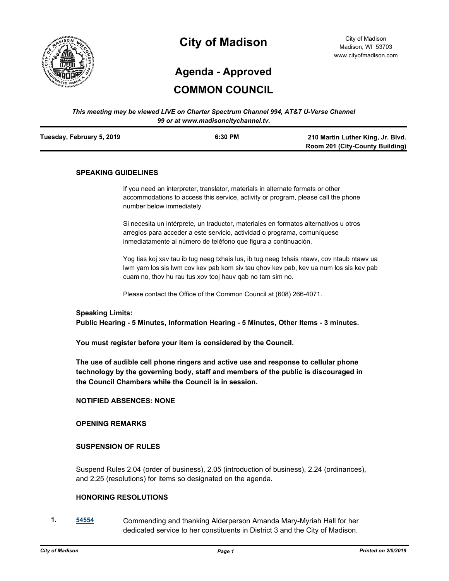

## **City of Madison**

City of Madison Madison, WI 53703 www.cityofmadison.com

# **Agenda - Approved**

## **COMMON COUNCIL**

#### *This meeting may be viewed LIVE on Charter Spectrum Channel 994, AT&T U-Verse Channel 99 or at www.madisoncitychannel.tv.*

| Tuesday, February 5, 2019 | 6:30 PM | 210 Martin Luther King, Jr. Blvd.      |
|---------------------------|---------|----------------------------------------|
|                           |         | <b>Room 201 (City-County Building)</b> |

#### **SPEAKING GUIDELINES**

If you need an interpreter, translator, materials in alternate formats or other accommodations to access this service, activity or program, please call the phone number below immediately.

Si necesita un intérprete, un traductor, materiales en formatos alternativos u otros arreglos para acceder a este servicio, actividad o programa, comuníquese inmediatamente al número de teléfono que figura a continuación.

Yog tias koj xav tau ib tug neeg txhais lus, ib tug neeg txhais ntawv, cov ntaub ntawv ua lwm yam los sis lwm cov kev pab kom siv tau qhov kev pab, kev ua num los sis kev pab cuam no, thov hu rau tus xov tooj hauv qab no tam sim no.

Please contact the Office of the Common Council at (608) 266-4071.

#### **Speaking Limits:**

**Public Hearing - 5 Minutes, Information Hearing - 5 Minutes, Other Items - 3 minutes.**

**You must register before your item is considered by the Council.**

**The use of audible cell phone ringers and active use and response to cellular phone technology by the governing body, staff and members of the public is discouraged in the Council Chambers while the Council is in session.**

#### **NOTIFIED ABSENCES: NONE**

#### **OPENING REMARKS**

#### **SUSPENSION OF RULES**

Suspend Rules 2.04 (order of business), 2.05 (introduction of business), 2.24 (ordinances), and 2.25 (resolutions) for items so designated on the agenda.

#### **HONORING RESOLUTIONS**

**1. [54554](http://madison.legistar.com/gateway.aspx?m=l&id=/matter.aspx?key=65069)** Commending and thanking Alderperson Amanda Mary-Myriah Hall for her dedicated service to her constituents in District 3 and the City of Madison.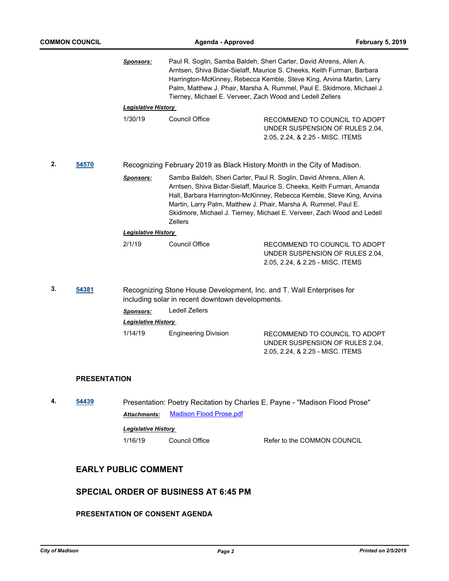|    |                     | <b>Sponsors:</b>           | Tierney, Michael E. Verveer, Zach Wood and Ledell Zellers | Paul R. Soglin, Samba Baldeh, Sheri Carter, David Ahrens, Allen A.<br>Arntsen, Shiva Bidar-Sielaff, Maurice S. Cheeks, Keith Furman, Barbara<br>Harrington-McKinney, Rebecca Kemble, Steve King, Arvina Martin, Larry<br>Palm, Matthew J. Phair, Marsha A. Rummel, Paul E. Skidmore, Michael J.                                                                   |
|----|---------------------|----------------------------|-----------------------------------------------------------|-------------------------------------------------------------------------------------------------------------------------------------------------------------------------------------------------------------------------------------------------------------------------------------------------------------------------------------------------------------------|
|    |                     | <b>Legislative History</b> |                                                           |                                                                                                                                                                                                                                                                                                                                                                   |
|    |                     | 1/30/19                    | <b>Council Office</b>                                     | RECOMMEND TO COUNCIL TO ADOPT<br>UNDER SUSPENSION OF RULES 2.04,<br>2.05, 2.24, & 2.25 - MISC. ITEMS                                                                                                                                                                                                                                                              |
| 2. | 54570               |                            |                                                           | Recognizing February 2019 as Black History Month in the City of Madison.                                                                                                                                                                                                                                                                                          |
|    |                     | <u>Sponsors:</u>           | <b>Zellers</b>                                            | Samba Baldeh, Sheri Carter, Paul R. Soglin, David Ahrens, Allen A.<br>Arntsen, Shiva Bidar-Sielaff, Maurice S. Cheeks, Keith Furman, Amanda<br>Hall, Barbara Harrington-McKinney, Rebecca Kemble, Steve King, Arvina<br>Martin, Larry Palm, Matthew J. Phair, Marsha A. Rummel, Paul E.<br>Skidmore, Michael J. Tierney, Michael E. Verveer, Zach Wood and Ledell |
|    |                     | <b>Legislative History</b> |                                                           |                                                                                                                                                                                                                                                                                                                                                                   |
|    |                     | 2/1/19                     | <b>Council Office</b>                                     | RECOMMEND TO COUNCIL TO ADOPT<br>UNDER SUSPENSION OF RULES 2.04,<br>2.05, 2.24, & 2.25 - MISC. ITEMS                                                                                                                                                                                                                                                              |
| 3. | 54381               |                            | including solar in recent downtown developments.          | Recognizing Stone House Development, Inc. and T. Wall Enterprises for                                                                                                                                                                                                                                                                                             |
|    |                     | <b>Sponsors:</b>           | <b>Ledell Zellers</b>                                     |                                                                                                                                                                                                                                                                                                                                                                   |
|    |                     | <b>Legislative History</b> |                                                           |                                                                                                                                                                                                                                                                                                                                                                   |
|    |                     | 1/14/19                    | <b>Engineering Division</b>                               | RECOMMEND TO COUNCIL TO ADOPT<br>UNDER SUSPENSION OF RULES 2.04,<br>2.05, 2.24, & 2.25 - MISC. ITEMS                                                                                                                                                                                                                                                              |
|    | <b>PRESENTATION</b> |                            |                                                           |                                                                                                                                                                                                                                                                                                                                                                   |
| 4. | 54439               |                            |                                                           | Presentation: Poetry Recitation by Charles E. Payne - "Madison Flood Prose"                                                                                                                                                                                                                                                                                       |
|    |                     | <b>Attachments:</b>        | <b>Madison Flood Prose.pdf</b>                            |                                                                                                                                                                                                                                                                                                                                                                   |
|    |                     | <b>Legislative History</b> |                                                           |                                                                                                                                                                                                                                                                                                                                                                   |
|    |                     | 1/16/19                    | Council Office                                            | Refer to the COMMON COUNCIL                                                                                                                                                                                                                                                                                                                                       |

## **EARLY PUBLIC COMMENT**

## **SPECIAL ORDER OF BUSINESS AT 6:45 PM**

## **PRESENTATION OF CONSENT AGENDA**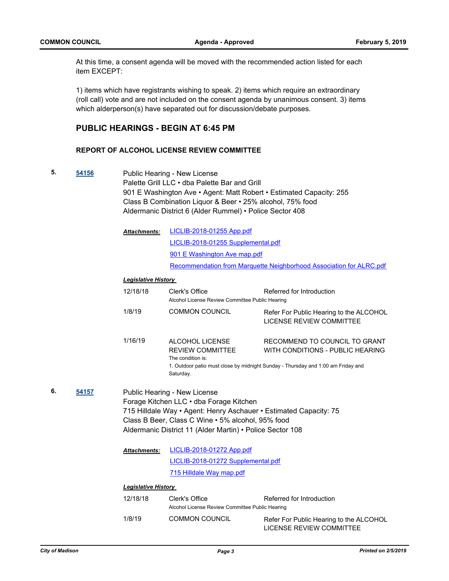At this time, a consent agenda will be moved with the recommended action listed for each item EXCEPT:

1) items which have registrants wishing to speak. 2) items which require an extraordinary (roll call) vote and are not included on the consent agenda by unanimous consent. 3) items which alderperson(s) have separated out for discussion/debate purposes.

### **PUBLIC HEARINGS - BEGIN AT 6:45 PM**

#### **REPORT OF ALCOHOL LICENSE REVIEW COMMITTEE**

**5. [54156](http://madison.legistar.com/gateway.aspx?m=l&id=/matter.aspx?key=63700)** Public Hearing - New License Palette Grill LLC • dba Palette Bar and Grill 901 E Washington Ave • Agent: Matt Robert • Estimated Capacity: 255 Class B Combination Liquor & Beer • 25% alcohol, 75% food Aldermanic District 6 (Alder Rummel) • Police Sector 408

| <b>Attachments:</b> | LICLIB-2018-01255 App.pdf                                           |
|---------------------|---------------------------------------------------------------------|
|                     | LICLIB-2018-01255 Supplemental.pdf                                  |
|                     | 901 E Washington Ave map.pdf                                        |
|                     | Recommendation from Marquette Neighborhood Association for ALRC.pdf |

#### *Legislative History*

|    |       | 12/18/18                   | Clerk's Office<br>Alcohol License Review Committee Public Hearing                                                                                                                                                                                              | Referred for Introduction                                                                                                                             |
|----|-------|----------------------------|----------------------------------------------------------------------------------------------------------------------------------------------------------------------------------------------------------------------------------------------------------------|-------------------------------------------------------------------------------------------------------------------------------------------------------|
|    |       | 1/8/19                     | <b>COMMON COUNCIL</b>                                                                                                                                                                                                                                          | Refer For Public Hearing to the ALCOHOL<br>LICENSE REVIEW COMMITTEE                                                                                   |
|    |       | 1/16/19                    | ALCOHOL LICENSE<br><b>REVIEW COMMITTEE</b><br>The condition is:<br>Saturday.                                                                                                                                                                                   | RECOMMEND TO COUNCIL TO GRANT<br>WITH CONDITIONS - PUBLIC HEARING<br>1. Outdoor patio must close by midnight Sunday - Thursday and 1:00 am Friday and |
| 6. | 54157 |                            | Public Hearing - New License<br>Forage Kitchen LLC · dba Forage Kitchen<br>715 Hilldale Way • Agent: Henry Aschauer • Estimated Capacity: 75<br>Class B Beer, Class C Wine • 5% alcohol, 95% food<br>Aldermanic District 11 (Alder Martin) • Police Sector 108 |                                                                                                                                                       |
|    |       | <b>Attachments:</b>        | LICLIB-2018-01272 App.pdf                                                                                                                                                                                                                                      |                                                                                                                                                       |
|    |       |                            | LICLIB-2018-01272 Supplemental.pdf                                                                                                                                                                                                                             |                                                                                                                                                       |
|    |       |                            | 715 Hilldale Way map.pdf                                                                                                                                                                                                                                       |                                                                                                                                                       |
|    |       | <b>Legislative History</b> |                                                                                                                                                                                                                                                                |                                                                                                                                                       |
|    |       | 12/18/18                   | Clerk's Office<br>Alcohol License Review Committee Public Hearing                                                                                                                                                                                              | Referred for Introduction                                                                                                                             |
|    |       | 1/8/19                     | <b>COMMON COUNCIL</b>                                                                                                                                                                                                                                          | Refer For Public Hearing to the ALCOHOL<br>LICENSE REVIEW COMMITTEE                                                                                   |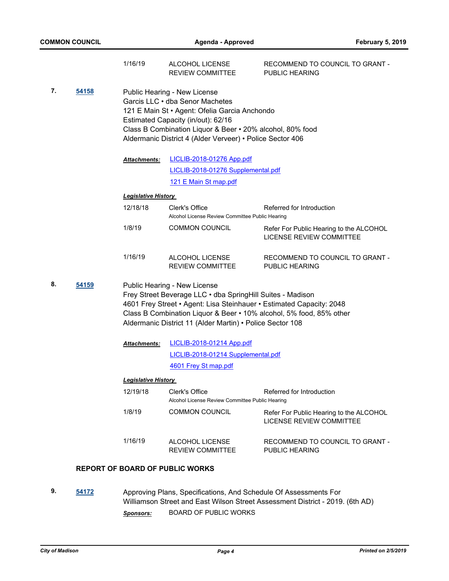|    |       | 1/16/19                     | ALCOHOL LICENSE<br><b>REVIEW COMMITTEE</b>                                                                                                                                                                                                                                                             | RECOMMEND TO COUNCIL TO GRANT -<br><b>PUBLIC HEARING</b>            |
|----|-------|-----------------------------|--------------------------------------------------------------------------------------------------------------------------------------------------------------------------------------------------------------------------------------------------------------------------------------------------------|---------------------------------------------------------------------|
| 7. | 54158 |                             | Public Hearing - New License<br>Garcis LLC • dba Senor Machetes<br>121 E Main St · Agent: Ofelia Garcia Anchondo<br>Estimated Capacity (in/out): 62/16<br>Class B Combination Liquor & Beer • 20% alcohol, 80% food<br>Aldermanic District 4 (Alder Verveer) • Police Sector 406                       |                                                                     |
|    |       | Attachments:                | <b>LICLIB-2018-01276 App.pdf</b>                                                                                                                                                                                                                                                                       |                                                                     |
|    |       |                             | LICLIB-2018-01276 Supplemental.pdf                                                                                                                                                                                                                                                                     |                                                                     |
|    |       |                             | 121 E Main St map.pdf                                                                                                                                                                                                                                                                                  |                                                                     |
|    |       | <b>Legislative History</b>  |                                                                                                                                                                                                                                                                                                        |                                                                     |
|    |       | 12/18/18                    | Clerk's Office<br>Alcohol License Review Committee Public Hearing                                                                                                                                                                                                                                      | Referred for Introduction                                           |
|    |       | 1/8/19                      | <b>COMMON COUNCIL</b>                                                                                                                                                                                                                                                                                  | Refer For Public Hearing to the ALCOHOL<br>LICENSE REVIEW COMMITTEE |
|    |       | 1/16/19                     | ALCOHOL LICENSE<br><b>REVIEW COMMITTEE</b>                                                                                                                                                                                                                                                             | RECOMMEND TO COUNCIL TO GRANT -<br>PUBLIC HEARING                   |
| 8. | 54159 |                             | Public Hearing - New License<br>Frey Street Beverage LLC . dba SpringHill Suites - Madison<br>4601 Frey Street • Agent: Lisa Steinhauer • Estimated Capacity: 2048<br>Class B Combination Liquor & Beer • 10% alcohol, 5% food, 85% other<br>Aldermanic District 11 (Alder Martin) • Police Sector 108 |                                                                     |
|    |       | Attachments:                | LICLIB-2018-01214 App.pdf                                                                                                                                                                                                                                                                              |                                                                     |
|    |       |                             | LICLIB-2018-01214 Supplemental.pdf                                                                                                                                                                                                                                                                     |                                                                     |
|    |       |                             | 4601 Frey St map.pdf                                                                                                                                                                                                                                                                                   |                                                                     |
|    |       | <u> Legislative History</u> |                                                                                                                                                                                                                                                                                                        |                                                                     |
|    |       | 12/19/18                    | Clerk's Office<br>Alcohol License Review Committee Public Hearing                                                                                                                                                                                                                                      | Referred for Introduction                                           |
|    |       | 1/8/19                      | COMMON COUNCIL                                                                                                                                                                                                                                                                                         | Refer For Public Hearing to the ALCOHOL<br>LICENSE REVIEW COMMITTEE |
|    |       | 1/16/19                     | ALCOHOL LICENSE<br><b>REVIEW COMMITTEE</b>                                                                                                                                                                                                                                                             | RECOMMEND TO COUNCIL TO GRANT -<br>PUBLIC HEARING                   |
|    |       |                             | <b>REPORT OF BOARD OF PUBLIC WORKS</b>                                                                                                                                                                                                                                                                 |                                                                     |

**9. [54172](http://madison.legistar.com/gateway.aspx?m=l&id=/matter.aspx?key=63716)** Approving Plans, Specifications, And Schedule Of Assessments For Williamson Street and East Wilson Street Assessment District - 2019. (6th AD) *Sponsors:* BOARD OF PUBLIC WORKS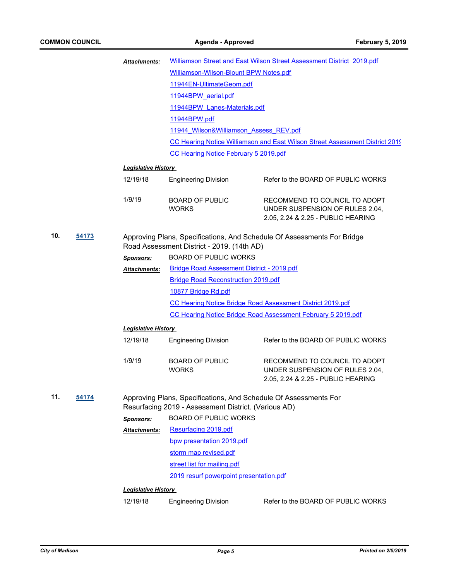|     |       | <b>Attachments:</b>                                                                                                   |                                                                                                                          | Williamson Street and East Wilson Street Assessment District 2019.pdf                                  |  |
|-----|-------|-----------------------------------------------------------------------------------------------------------------------|--------------------------------------------------------------------------------------------------------------------------|--------------------------------------------------------------------------------------------------------|--|
|     |       |                                                                                                                       | Williamson-Wilson-Blount BPW Notes.pdf                                                                                   |                                                                                                        |  |
|     |       |                                                                                                                       | 11944EN-UltimateGeom.pdf                                                                                                 |                                                                                                        |  |
|     |       |                                                                                                                       | 11944BPW aerial.pdf                                                                                                      |                                                                                                        |  |
|     |       | 11944BPW Lanes-Materials.pdf                                                                                          |                                                                                                                          |                                                                                                        |  |
|     |       |                                                                                                                       | 11944BPW.pdf                                                                                                             |                                                                                                        |  |
|     |       |                                                                                                                       | 11944 Wilson&Williamson Assess REV.pdf                                                                                   |                                                                                                        |  |
|     |       |                                                                                                                       |                                                                                                                          | <b>CC Hearing Notice Williamson and East Wilson Street Assessment District 2019</b>                    |  |
|     |       |                                                                                                                       | CC Hearing Notice February 5 2019.pdf                                                                                    |                                                                                                        |  |
|     |       | <b>Legislative History</b>                                                                                            |                                                                                                                          |                                                                                                        |  |
|     |       | 12/19/18                                                                                                              | <b>Engineering Division</b>                                                                                              | Refer to the BOARD OF PUBLIC WORKS                                                                     |  |
|     |       | 1/9/19                                                                                                                | <b>BOARD OF PUBLIC</b><br><b>WORKS</b>                                                                                   | RECOMMEND TO COUNCIL TO ADOPT<br>UNDER SUSPENSION OF RULES 2.04,<br>2.05, 2.24 & 2.25 - PUBLIC HEARING |  |
| 10. | 54173 | Approving Plans, Specifications, And Schedule Of Assessments For Bridge<br>Road Assessment District - 2019. (14th AD) |                                                                                                                          |                                                                                                        |  |
|     |       | <b>Sponsors:</b>                                                                                                      | <b>BOARD OF PUBLIC WORKS</b>                                                                                             |                                                                                                        |  |
|     |       | <b>Attachments:</b>                                                                                                   | <b>Bridge Road Assessment District - 2019.pdf</b>                                                                        |                                                                                                        |  |
|     |       |                                                                                                                       | <b>Bridge Road Reconstruction 2019.pdf</b>                                                                               |                                                                                                        |  |
|     |       |                                                                                                                       | 10877 Bridge Rd.pdf                                                                                                      |                                                                                                        |  |
|     |       |                                                                                                                       |                                                                                                                          | CC Hearing Notice Bridge Road Assessment District 2019.pdf                                             |  |
|     |       |                                                                                                                       |                                                                                                                          | CC Hearing Notice Bridge Road Assessment February 5 2019.pdf                                           |  |
|     |       | <b>Legislative History</b>                                                                                            |                                                                                                                          |                                                                                                        |  |
|     |       | 12/19/18                                                                                                              | <b>Engineering Division</b>                                                                                              | Refer to the BOARD OF PUBLIC WORKS                                                                     |  |
|     |       | 1/9/19                                                                                                                | <b>BOARD OF PUBLIC</b><br><b>WORKS</b>                                                                                   | RECOMMEND TO COUNCIL TO ADOPT<br>UNDER SUSPENSION OF RULES 2.04,<br>2.05, 2.24 & 2.25 - PUBLIC HEARING |  |
| 11. | 54174 |                                                                                                                       | Approving Plans, Specifications, And Schedule Of Assessments For<br>Resurfacing 2019 - Assessment District. (Various AD) |                                                                                                        |  |
|     |       | <b>Sponsors:</b>                                                                                                      | <b>BOARD OF PUBLIC WORKS</b>                                                                                             |                                                                                                        |  |
|     |       | Attachments:                                                                                                          | Resurfacing 2019.pdf                                                                                                     |                                                                                                        |  |
|     |       |                                                                                                                       | bpw presentation 2019.pdf                                                                                                |                                                                                                        |  |
|     |       |                                                                                                                       | storm map revised.pdf                                                                                                    |                                                                                                        |  |
|     |       |                                                                                                                       | street list for mailing.pdf                                                                                              |                                                                                                        |  |
|     |       |                                                                                                                       | 2019 resurf powerpoint presentation.pdf                                                                                  |                                                                                                        |  |
|     |       | <b>Legislative History</b>                                                                                            |                                                                                                                          |                                                                                                        |  |
|     |       | 12/19/18                                                                                                              | <b>Engineering Division</b>                                                                                              | Refer to the BOARD OF PUBLIC WORKS                                                                     |  |
|     |       |                                                                                                                       |                                                                                                                          |                                                                                                        |  |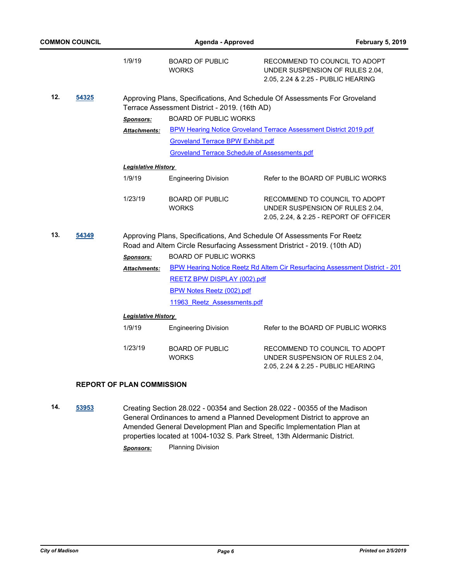|     | <b>COMMON COUNCIL</b> |                            | Agenda - Approved                                    | <b>February 5, 2019</b>                                                                                                                            |
|-----|-----------------------|----------------------------|------------------------------------------------------|----------------------------------------------------------------------------------------------------------------------------------------------------|
|     |                       | 1/9/19                     | <b>BOARD OF PUBLIC</b><br><b>WORKS</b>               | RECOMMEND TO COUNCIL TO ADOPT<br>UNDER SUSPENSION OF RULES 2.04,<br>2.05, 2.24 & 2.25 - PUBLIC HEARING                                             |
| 12. | 54325                 |                            | Terrace Assessment District - 2019. (16th AD)        | Approving Plans, Specifications, And Schedule Of Assessments For Groveland                                                                         |
|     |                       | <b>Sponsors:</b>           | <b>BOARD OF PUBLIC WORKS</b>                         |                                                                                                                                                    |
|     |                       | <b>Attachments:</b>        |                                                      | <b>BPW Hearing Notice Groveland Terrace Assessment District 2019.pdf</b>                                                                           |
|     |                       |                            | <b>Groveland Terrace BPW Exhibit.pdf</b>             |                                                                                                                                                    |
|     |                       |                            | <b>Groveland Terrace Schedule of Assessments.pdf</b> |                                                                                                                                                    |
|     |                       | <b>Legislative History</b> |                                                      |                                                                                                                                                    |
|     |                       | 1/9/19                     | <b>Engineering Division</b>                          | Refer to the BOARD OF PUBLIC WORKS                                                                                                                 |
|     |                       | 1/23/19                    | <b>BOARD OF PUBLIC</b><br><b>WORKS</b>               | RECOMMEND TO COUNCIL TO ADOPT<br>UNDER SUSPENSION OF RULES 2.04,<br>2.05, 2.24, & 2.25 - REPORT OF OFFICER                                         |
| 13. | 54349                 |                            |                                                      | Approving Plans, Specifications, And Schedule Of Assessments For Reetz<br>Road and Altem Circle Resurfacing Assessment Dristrict - 2019. (10th AD) |
|     |                       | <b>Sponsors:</b>           | <b>BOARD OF PUBLIC WORKS</b>                         |                                                                                                                                                    |
|     |                       | Attachments:               |                                                      | BPW Hearing Notice Reetz Rd Altem Cir Resurfacing Assessment District - 201                                                                        |
|     |                       |                            | <b>REETZ BPW DISPLAY (002).pdf</b>                   |                                                                                                                                                    |
|     |                       |                            | <b>BPW Notes Reetz (002).pdf</b>                     |                                                                                                                                                    |
|     |                       |                            | 11963 Reetz Assessments.pdf                          |                                                                                                                                                    |
|     |                       | <b>Legislative History</b> |                                                      |                                                                                                                                                    |
|     |                       | 1/9/19                     | <b>Engineering Division</b>                          | Refer to the BOARD OF PUBLIC WORKS                                                                                                                 |
|     |                       | 1/23/19                    | <b>BOARD OF PUBLIC</b><br><b>WORKS</b>               | RECOMMEND TO COUNCIL TO ADOPT<br>UNDER SUSPENSION OF RULES 2.04,<br>2.05, 2.24 & 2.25 - PUBLIC HEARING                                             |

## **REPORT OF PLAN COMMISSION**

**14. [53953](http://madison.legistar.com/gateway.aspx?m=l&id=/matter.aspx?key=62510)** Creating Section 28.022 - 00354 and Section 28.022 - 00355 of the Madison General Ordinances to amend a Planned Development District to approve an Amended General Development Plan and Specific Implementation Plan at properties located at 1004-1032 S. Park Street, 13th Aldermanic District. *Sponsors:* Planning Division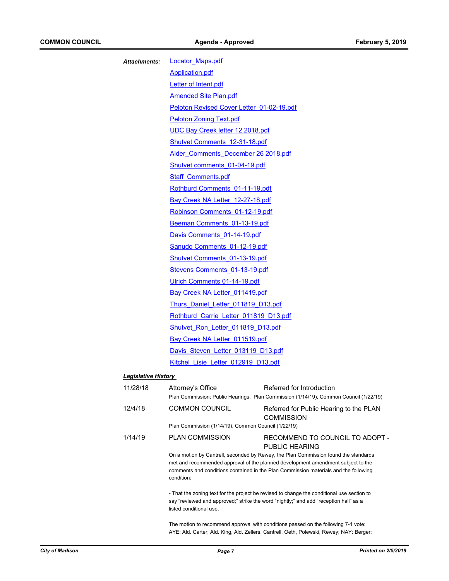| <b>Attachments:</b>        | <b>Locator Maps.pdf</b>                   |                                                                                                                    |  |  |
|----------------------------|-------------------------------------------|--------------------------------------------------------------------------------------------------------------------|--|--|
|                            | <b>Application.pdf</b>                    |                                                                                                                    |  |  |
|                            | Letter of Intent.pdf                      |                                                                                                                    |  |  |
|                            | <b>Amended Site Plan.pdf</b>              |                                                                                                                    |  |  |
|                            | Peloton Revised Cover Letter 01-02-19.pdf |                                                                                                                    |  |  |
|                            | <b>Peloton Zoning Text.pdf</b>            |                                                                                                                    |  |  |
|                            | UDC Bay Creek letter 12.2018.pdf          |                                                                                                                    |  |  |
|                            | Shutvet Comments 12-31-18.pdf             |                                                                                                                    |  |  |
|                            | Alder Comments December 26 2018.pdf       |                                                                                                                    |  |  |
|                            |                                           | Shutvet comments 01-04-19.pdf                                                                                      |  |  |
|                            | <b>Staff Comments.pdf</b>                 |                                                                                                                    |  |  |
|                            | Rothburd Comments 01-11-19.pdf            |                                                                                                                    |  |  |
|                            | Bay Creek NA Letter 12-27-18.pdf          |                                                                                                                    |  |  |
|                            | Robinson Comments 01-12-19.pdf            |                                                                                                                    |  |  |
|                            | Beeman Comments 01-13-19.pdf              |                                                                                                                    |  |  |
|                            | Davis Comments 01-14-19.pdf               |                                                                                                                    |  |  |
|                            | Sanudo Comments 01-12-19.pdf              |                                                                                                                    |  |  |
|                            | <b>Shutvet Comments 01-13-19.pdf</b>      |                                                                                                                    |  |  |
|                            | Stevens Comments 01-13-19.pdf             |                                                                                                                    |  |  |
|                            | Ulrich Comments 01-14-19.pdf              |                                                                                                                    |  |  |
|                            | Bay Creek NA Letter 011419.pdf            |                                                                                                                    |  |  |
|                            | Thurs Daniel Letter 011819 D13.pdf        |                                                                                                                    |  |  |
|                            | Rothburd Carrie Letter 011819 D13.pdf     |                                                                                                                    |  |  |
|                            | Shutvet Ron Letter 011819 D13.pdf         |                                                                                                                    |  |  |
|                            | Bay Creek NA Letter 011519.pdf            |                                                                                                                    |  |  |
|                            | Davis Steven Letter 013119 D13.pdf        |                                                                                                                    |  |  |
|                            | Kitchel Lisie Letter 012919 D13.pdf       |                                                                                                                    |  |  |
| <b>Legislative History</b> |                                           |                                                                                                                    |  |  |
| 11/28/18                   | Attorney's Office                         | Referred for Introduction<br>Plan Commission; Public Hearings: Plan Commission (1/14/19), Common Council (1/22/19) |  |  |
| 12/4/18                    | <b>COMMON COUNCIL</b>                     | Referred for Public Hearing to the PLAN<br><b>COMMISSION</b>                                                       |  |  |

Plan Commission (1/14/19), Common Council (1/22/19)

| 1/14/19 | <b>PLAN COMMISSION</b> | RECOMMEND TO COUNCIL TO ADOPT -                                                     |
|---------|------------------------|-------------------------------------------------------------------------------------|
|         |                        | PUBLIC HEARING                                                                      |
|         |                        | On a motion by Cantrell, seconded by Rewey, the Plan Commission found the standards |

met and recommended approval of the planned development amendment subject to the comments and conditions contained in the Plan Commission materials and the following condition:

- That the zoning text for the project be revised to change the conditional use section to say "reviewed and approved;" strike the word "nightly;" and add "reception hall" as a listed conditional use.

The motion to recommend approval with conditions passed on the following 7-1 vote: AYE: Ald. Carter, Ald. King, Ald. Zellers, Cantrell, Oeth, Polewski, Rewey; NAY: Berger;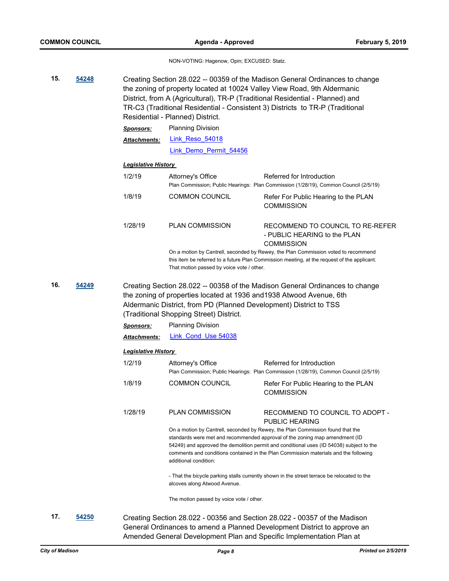NON-VOTING: Hagenow, Opin; EXCUSED: Statz.

**15. [54248](http://madison.legistar.com/gateway.aspx?m=l&id=/matter.aspx?key=63781)** Creating Section 28.022 -- 00359 of the Madison General Ordinances to change the zoning of property located at 10024 Valley View Road, 9th Aldermanic District, from A (Agricultural), TR-P (Traditional Residential - Planned) and TR-C3 (Traditional Residential - Consistent 3) Districts to TR-P (Traditional Residential - Planned) District. *Sponsors:* Planning Division Link Reso 54018 [Link\\_Demo\\_Permit\\_54456](https://madison.legistar.com/LegislationDetail.aspx?ID=3840829&GUID=7B618AF7-F529-4747-97F5-8F9D5FDC29D7&Options=ID|Text|&Search=54456) *Attachments: Legislative History*  1/2/19 Attorney's Office Referred for Introduction Plan Commission; Public Hearings: Plan Commission (1/28/19), Common Council (2/5/19) 1/8/19 COMMON COUNCIL Refer For Public Hearing to the PLAN **COMMISSION** 1/28/19 PLAN COMMISSION RECOMMEND TO COUNCIL TO RE-REFER - PUBLIC HEARING to the PLAN **COMMISSION** On a motion by Cantrell, seconded by Rewey, the Plan Commission voted to recommend this item be referred to a future Plan Commission meeting, at the request of the applicant. That motion passed by voice vote / other. **16. [54249](http://madison.legistar.com/gateway.aspx?m=l&id=/matter.aspx?key=63782)** Creating Section 28.022 -- 00358 of the Madison General Ordinances to change the zoning of properties located at 1936 and1938 Atwood Avenue, 6th Aldermanic District, from PD (Planned Development) District to TSS (Traditional Shopping Street) District. *Sponsors:* Planning Division *Attachments:* [Link\\_Cond\\_Use 54038](https://madison.legistar.com/LegislationDetail.aspx?ID=3769799&GUID=DDA2C8B4-459D-435D-9B80-3BA2830720AD&Options=ID|Text|&Search=54038) *Legislative History*  1/2/19 Attorney's Office Referred for Introduction Plan Commission; Public Hearings: Plan Commission (1/28/19), Common Council (2/5/19) 1/8/19 COMMON COUNCIL Refer For Public Hearing to the PLAN **COMMISSION** 1/28/19 PLAN COMMISSION RECOMMEND TO COUNCIL TO ADOPT - PUBLIC HEARING On a motion by Cantrell, seconded by Rewey, the Plan Commission found that the standards were met and recommended approval of the zoning map amendment (ID 54249) and approved the demolition permit and conditional uses (ID 54038) subject to the comments and conditions contained in the Plan Commission materials and the following additional condition: - That the bicycle parking stalls currently shown in the street terrace be relocated to the alcoves along Atwood Avenue. The motion passed by voice vote / other. **17. [54250](http://madison.legistar.com/gateway.aspx?m=l&id=/matter.aspx?key=63783)** Creating Section 28.022 - 00356 and Section 28.022 - 00357 of the Madison

General Ordinances to amend a Planned Development District to approve an Amended General Development Plan and Specific Implementation Plan at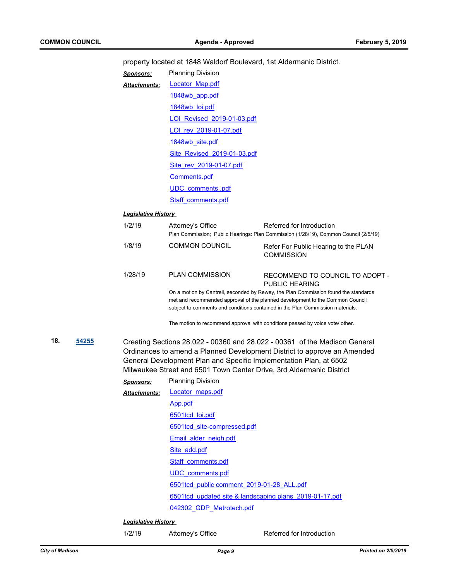property located at 1848 Waldorf Boulevard, 1st Aldermanic District.

| Sponsors:           | <b>Planning Division</b>    |
|---------------------|-----------------------------|
| <b>Attachments:</b> | Locator Map.pdf             |
|                     | 1848wb app.pdf              |
|                     | 1848wb loi.pdf              |
|                     | LOI Revised 2019-01-03.pdf  |
|                     | LOI rev 2019-01-07.pdf      |
|                     | 1848wb site.pdf             |
|                     | Site Revised 2019-01-03.pdf |
|                     | Site rev 2019-01-07.pdf     |
|                     | Comments.pdf                |
|                     | UDC comments .pdf           |
|                     | Staff comments.pdf          |

#### *Legislative History*

| 1/2/19  | Attorney's Office      | Referred for Introduction<br>Plan Commission; Public Hearings: Plan Commission (1/28/19), Common Council (2/5/19)                                                                                                                                      |
|---------|------------------------|--------------------------------------------------------------------------------------------------------------------------------------------------------------------------------------------------------------------------------------------------------|
| 1/8/19  | <b>COMMON COUNCIL</b>  | Refer For Public Hearing to the PLAN<br><b>COMMISSION</b>                                                                                                                                                                                              |
| 1/28/19 | <b>PLAN COMMISSION</b> | RECOMMEND TO COUNCIL TO ADOPT -<br>PUBLIC HEARING                                                                                                                                                                                                      |
|         |                        | On a motion by Cantrell, seconded by Rewey, the Plan Commission found the standards<br>met and recommended approval of the planned development to the Common Council<br>subject to comments and conditions contained in the Plan Commission materials. |

The motion to recommend approval with conditions passed by voice vote/ other.

**18. [54255](http://madison.legistar.com/gateway.aspx?m=l&id=/matter.aspx?key=63786)** Creating Sections 28.022 - 00360 and 28.022 - 00361 of the Madison General Ordinances to amend a Planned Development District to approve an Amended General Development Plan and Specific Implementation Plan, at 6502 Milwaukee Street and 6501 Town Center Drive, 3rd Aldermanic District

| <b>Sponsors:</b>    | <b>Planning Division</b>                                |
|---------------------|---------------------------------------------------------|
| <b>Attachments:</b> | Locator maps.pdf                                        |
|                     | App.pdf                                                 |
|                     | 6501tcd loi.pdf                                         |
|                     | 6501tcd_site-compressed.pdf                             |
|                     | Email alder neigh.pdf                                   |
|                     | Site add.pdf                                            |
|                     | Staff comments.pdf                                      |
|                     | UDC comments.pdf                                        |
|                     | 6501tcd public comment 2019-01-28 ALL.pdf               |
|                     | 6501tcd updated site & landscaping plans 2019-01-17.pdf |
|                     | 042302 GDP Metrotech.pdf                                |

*Legislative History* 

1/2/19 Attorney's Office Referred for Introduction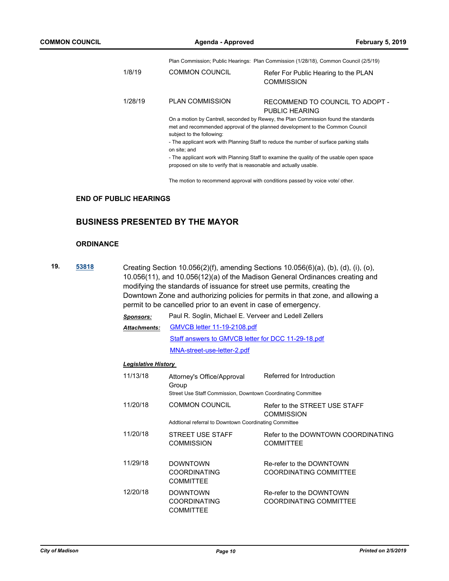Plan Commission; Public Hearings: Plan Commission (1/28/18), Common Council (2/5/19)

| 1/8/19  | <b>COMMON COUNCIL</b>                                                                                                                                                                             | Refer For Public Hearing to the PLAN<br><b>COMMISSION</b>                               |  |  |
|---------|---------------------------------------------------------------------------------------------------------------------------------------------------------------------------------------------------|-----------------------------------------------------------------------------------------|--|--|
| 1/28/19 | <b>PLAN COMMISSION</b>                                                                                                                                                                            | RECOMMEND TO COUNCIL TO ADOPT -<br>PUBLIC HEARING                                       |  |  |
|         | On a motion by Cantrell, seconded by Rewey, the Plan Commission found the standards<br>met and recommended approval of the planned development to the Common Council<br>subject to the following: |                                                                                         |  |  |
|         | on site; and                                                                                                                                                                                      | - The applicant work with Planning Staff to reduce the number of surface parking stalls |  |  |
|         | - The applicant work with Planning Staff to examine the quality of the usable open space                                                                                                          |                                                                                         |  |  |

proposed on site to verify that is reasonable and actually usable.

The motion to recommend approval with conditions passed by voice vote/ other.

## **END OF PUBLIC HEARINGS**

## **BUSINESS PRESENTED BY THE MAYOR**

#### **ORDINANCE**

**19. [53818](http://madison.legistar.com/gateway.aspx?m=l&id=/matter.aspx?key=62376)** Creating Section 10.056(2)(f), amending Sections 10.056(6)(a), (b), (d), (i), (o), 10.056(11), and 10.056(12)(a) of the Madison General Ordinances creating and modifying the standards of issuance for street use permits, creating the Downtown Zone and authorizing policies for permits in that zone, and allowing a permit to be cancelled prior to an event in case of emergency.

| <b>Sponsors:</b>    | Paul R. Soglin, Michael E. Verveer and Ledell Zellers |  |  |
|---------------------|-------------------------------------------------------|--|--|
| <b>Attachments:</b> | <b>GMVCB letter 11-19-2108.pdf</b>                    |  |  |
|                     | Staff answers to GMVCB letter for DCC 11-29-18.pdf    |  |  |
|                     | MNA-street-use-letter-2.pdf                           |  |  |

#### *Legislative History*

| 11/13/18 | Attorney's Office/Approval<br>Group<br>Street Use Staff Commission, Downtown Coordinating Committee | Referred for Introduction                              |
|----------|-----------------------------------------------------------------------------------------------------|--------------------------------------------------------|
| 11/20/18 | <b>COMMON COUNCIL</b><br>Addtional referral to Downtown Coordinating Committee                      | Refer to the STREET USE STAFF<br><b>COMMISSION</b>     |
| 11/20/18 | STREET USE STAFF<br><b>COMMISSION</b>                                                               | Refer to the DOWNTOWN COORDINATING<br><b>COMMITTEE</b> |
| 11/29/18 | <b>DOWNTOWN</b><br><b>COORDINATING</b><br><b>COMMITTEE</b>                                          | Re-refer to the DOWNTOWN<br>COORDINATING COMMITTEE     |
| 12/20/18 | <b>DOWNTOWN</b><br><b>COORDINATING</b><br><b>COMMITTEE</b>                                          | Re-refer to the DOWNTOWN<br>COORDINATING COMMITTEE     |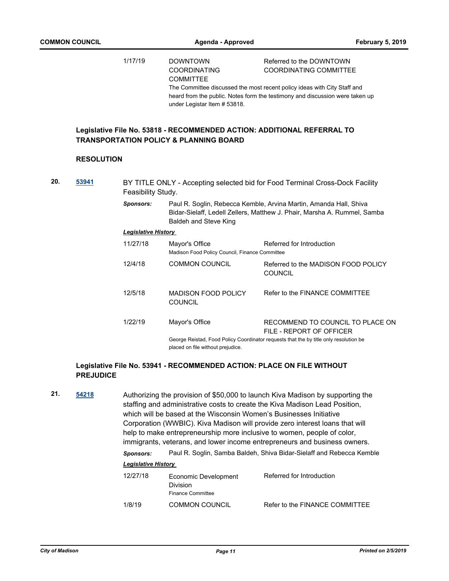|     |                   | 1/17/19                    | <b>DOWNTOWN</b><br><b>COORDINATING</b><br><b>COMMITTEE</b><br>under Legistar Item # 53818. | Referred to the DOWNTOWN<br><b>COORDINATING COMMITTEE</b><br>The Committee discussed the most recent policy ideas with City Staff and<br>heard from the public. Notes form the testimony and discussion were taken up |
|-----|-------------------|----------------------------|--------------------------------------------------------------------------------------------|-----------------------------------------------------------------------------------------------------------------------------------------------------------------------------------------------------------------------|
|     |                   |                            | <b>TRANSPORTATION POLICY &amp; PLANNING BOARD</b>                                          | Legislative File No. 53818 - RECOMMENDED ACTION: ADDITIONAL REFERRAL TO                                                                                                                                               |
|     | <b>RESOLUTION</b> |                            |                                                                                            |                                                                                                                                                                                                                       |
| 20. | 53941             | Feasibility Study.         |                                                                                            | BY TITLE ONLY - Accepting selected bid for Food Terminal Cross-Dock Facility                                                                                                                                          |
|     |                   | <b>Sponsors:</b>           | <b>Baldeh and Steve King</b>                                                               | Paul R. Soglin, Rebecca Kemble, Arvina Martin, Amanda Hall, Shiva<br>Bidar-Sielaff, Ledell Zellers, Matthew J. Phair, Marsha A. Rummel, Samba                                                                         |
|     |                   | <b>Legislative History</b> |                                                                                            |                                                                                                                                                                                                                       |
|     |                   | 11/27/18                   | Mayor's Office<br>Madison Food Policy Council, Finance Committee                           | Referred for Introduction                                                                                                                                                                                             |
|     |                   | 12/4/18                    | <b>COMMON COUNCIL</b>                                                                      | Referred to the MADISON FOOD POLICY<br><b>COUNCIL</b>                                                                                                                                                                 |
|     |                   | 12/5/18                    | <b>MADISON FOOD POLICY</b><br><b>COUNCIL</b>                                               | Refer to the FINANCE COMMITTEE                                                                                                                                                                                        |
|     |                   | 1/22/19                    | Mayor's Office                                                                             | RECOMMEND TO COUNCIL TO PLACE ON<br>FILE - REPORT OF OFFICER                                                                                                                                                          |
|     |                   |                            | placed on file without prejudice.                                                          | George Reistad, Food Policy Coordinator requests that the by title only resolution be                                                                                                                                 |

## **Legislative File No. 53941 - RECOMMENDED ACTION: PLACE ON FILE WITHOUT PREJUDICE**

**21. [54218](http://madison.legistar.com/gateway.aspx?m=l&id=/matter.aspx?key=63751)** Authorizing the provision of \$50,000 to launch Kiva Madison by supporting the staffing and administrative costs to create the Kiva Madison Lead Position, which will be based at the Wisconsin Women's Businesses Initiative Corporation (WWBIC). Kiva Madison will provide zero interest loans that will help to make entrepreneurship more inclusive to women, people of color, immigrants, veterans, and lower income entrepreneurs and business owners.

#### *Sponsors:* Paul R. Soglin, Samba Baldeh, Shiva Bidar-Sielaff and Rebecca Kemble

#### *Legislative History*

| 12/27/18 | Economic Development<br>Division<br><b>Finance Committee</b> | Referred for Introduction      |
|----------|--------------------------------------------------------------|--------------------------------|
| 1/8/19   | <b>COMMON COUNCIL</b>                                        | Refer to the FINANCE COMMITTEE |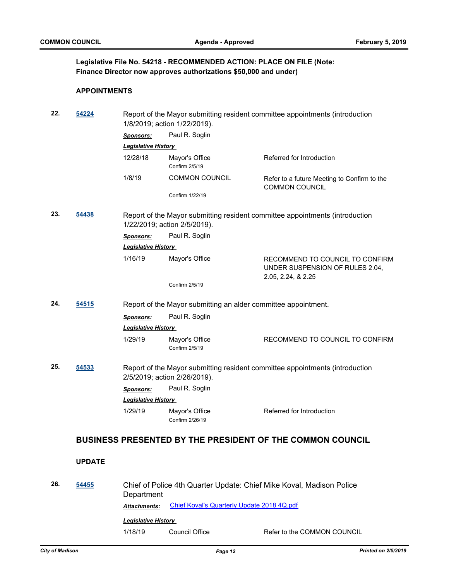## **Legislative File No. 54218 - RECOMMENDED ACTION: PLACE ON FILE (Note: Finance Director now approves authorizations \$50,000 and under)**

#### **APPOINTMENTS**

| 22. | 54224         |                            | Report of the Mayor submitting resident committee appointments (introduction<br>1/8/2019; action 1/22/2019). |                                                                                          |  |
|-----|---------------|----------------------------|--------------------------------------------------------------------------------------------------------------|------------------------------------------------------------------------------------------|--|
|     |               | <b>Sponsors:</b>           | Paul R. Soglin                                                                                               |                                                                                          |  |
|     |               | <b>Legislative History</b> |                                                                                                              |                                                                                          |  |
|     |               | 12/28/18                   | Mayor's Office<br>Confirm 2/5/19                                                                             | Referred for Introduction                                                                |  |
|     |               | 1/8/19                     | <b>COMMON COUNCIL</b>                                                                                        | Refer to a future Meeting to Confirm to the<br><b>COMMON COUNCIL</b>                     |  |
|     |               |                            | Confirm 1/22/19                                                                                              |                                                                                          |  |
| 23. | 54438         |                            | 1/22/2019; action 2/5/2019).                                                                                 | Report of the Mayor submitting resident committee appointments (introduction             |  |
|     |               | <b>Sponsors:</b>           | Paul R. Soglin                                                                                               |                                                                                          |  |
|     |               | <b>Legislative History</b> |                                                                                                              |                                                                                          |  |
|     |               | 1/16/19                    | Mayor's Office                                                                                               | RECOMMEND TO COUNCIL TO CONFIRM<br>UNDER SUSPENSION OF RULES 2.04,<br>2.05, 2.24, & 2.25 |  |
|     |               |                            | Confirm 2/5/19                                                                                               |                                                                                          |  |
| 24. | 54515         |                            | Report of the Mayor submitting an alder committee appointment.                                               |                                                                                          |  |
|     |               | Sponsors:                  | Paul R. Soglin                                                                                               |                                                                                          |  |
|     |               | <b>Legislative History</b> |                                                                                                              |                                                                                          |  |
|     |               | 1/29/19                    | Mayor's Office<br>Confirm 2/5/19                                                                             | RECOMMEND TO COUNCIL TO CONFIRM                                                          |  |
| 25. | 54533         |                            | 2/5/2019; action 2/26/2019).                                                                                 | Report of the Mayor submitting resident committee appointments (introduction             |  |
|     |               | <b>Sponsors:</b>           | Paul R. Soglin                                                                                               |                                                                                          |  |
|     |               | <b>Legislative History</b> |                                                                                                              |                                                                                          |  |
|     |               | 1/29/19                    | Mayor's Office<br>Confirm 2/26/19                                                                            | Referred for Introduction                                                                |  |
|     |               |                            |                                                                                                              | <b>BUSINESS PRESENTED BY THE PRESIDENT OF THE COMMON COUNCIL</b>                         |  |
|     | <b>UPDATE</b> |                            |                                                                                                              |                                                                                          |  |
| 26. | 54455         | Department                 |                                                                                                              | Chief of Police 4th Quarter Update: Chief Mike Koval, Madison Police                     |  |
|     |               | Attachments:               | Chief Koval's Quarterly Update 2018 4Q.pdf                                                                   |                                                                                          |  |
|     |               | <b>Legislative History</b> |                                                                                                              |                                                                                          |  |
|     |               | 1/18/19                    | Council Office                                                                                               | Refer to the COMMON COUNCIL                                                              |  |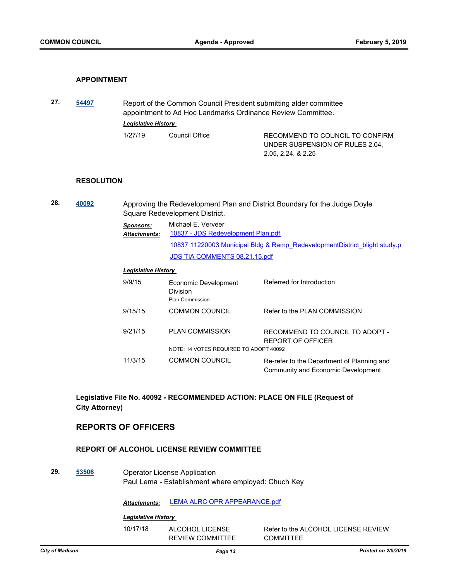#### **APPOINTMENT**

**27. [54497](http://madison.legistar.com/gateway.aspx?m=l&id=/matter.aspx?key=65015)** Report of the Common Council President submitting alder committee appointment to Ad Hoc Landmarks Ordinance Review Committee. *Legislative History*  1/27/19 Council Office RECOMMEND TO COUNCIL TO CONFIRM UNDER SUSPENSION OF RULES 2.04, 2.05, 2.24, & 2.25

#### **RESOLUTION**

**28. [40092](http://madison.legistar.com/gateway.aspx?m=l&id=/matter.aspx?key=43632)** Approving the Redevelopment Plan and District Boundary for the Judge Doyle Square Redevelopment District. *Sponsors:* Michael E. Verveer [10837 - JDS Redevelopment Plan.pdf](http://madison.legistar.com/gateway.aspx?M=F&ID=38f9b4e9-8027-4661-9dfb-1fcd5f3d9a84.pdf) [10837 11220003 Municipal Bldg & Ramp\\_RedevelopmentDistrict\\_blight study.p](http://madison.legistar.com/gateway.aspx?M=F&ID=cfc76625-fb4a-492e-90fd-d5410224a5a1.pdf) [JDS TIA COMMENTS 08.21.15.pdf](http://madison.legistar.com/gateway.aspx?M=F&ID=3f666b6b-e0e1-4ed7-bc93-d2136a60223b.pdf) *Attachments: Legislative History*  9/9/15 Economic Development Division Referred for Introduction Plan Commission 9/15/15 COMMON COUNCIL Refer to the PLAN COMMISSION 9/21/15 PLAN COMMISSION RECOMMEND TO COUNCIL TO ADOPT - REPORT OF OFFICER NOTE: 14 VOTES REQUIRED TO ADOPT 40092 11/3/15 COMMON COUNCIL Re-refer to the Department of Planning and

## **Legislative File No. 40092 - RECOMMENDED ACTION: PLACE ON FILE (Request of City Attorney)**

## **REPORTS OF OFFICERS**

#### **REPORT OF ALCOHOL LICENSE REVIEW COMMITTEE**

**29. [53506](http://madison.legistar.com/gateway.aspx?m=l&id=/matter.aspx?key=62080)** Operator License Application Paul Lema - Establishment where employed: Chuch Key

*Attachments:* [LEMA ALRC OPR APPEARANCE.pdf](http://madison.legistar.com/gateway.aspx?M=F&ID=e39a56c3-7119-40c0-be2d-e23ace4ffd6e.pdf)

#### *Legislative History*

10/17/18 ALCOHOL LICENSE REVIEW COMMITTEE

Refer to the ALCOHOL LICENSE REVIEW **COMMITTEE** 

Community and Economic Development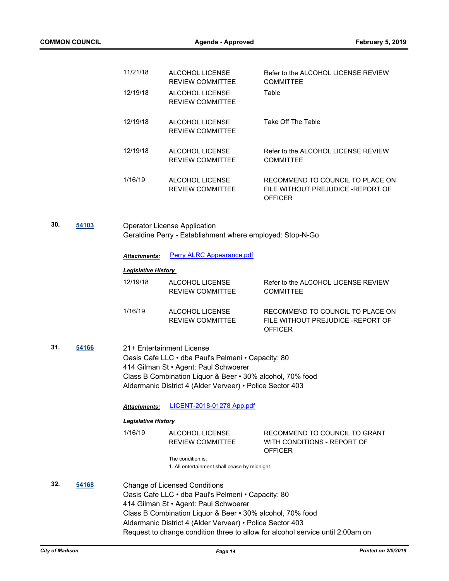|     |       | 11/21/18                   | ALCOHOL LICENSE<br><b>REVIEW COMMITTEE</b>                                                                                                                                                                                                                    | Refer to the ALCOHOL LICENSE REVIEW<br><b>COMMITTEE</b>                                  |
|-----|-------|----------------------------|---------------------------------------------------------------------------------------------------------------------------------------------------------------------------------------------------------------------------------------------------------------|------------------------------------------------------------------------------------------|
|     |       | 12/19/18                   | ALCOHOL LICENSE<br><b>REVIEW COMMITTEE</b>                                                                                                                                                                                                                    | Table                                                                                    |
|     |       | 12/19/18                   | ALCOHOL LICENSE<br><b>REVIEW COMMITTEE</b>                                                                                                                                                                                                                    | Take Off The Table                                                                       |
|     |       | 12/19/18                   | ALCOHOL LICENSE<br><b>REVIEW COMMITTEE</b>                                                                                                                                                                                                                    | Refer to the ALCOHOL LICENSE REVIEW<br><b>COMMITTEE</b>                                  |
|     |       | 1/16/19                    | ALCOHOL LICENSE<br><b>REVIEW COMMITTEE</b>                                                                                                                                                                                                                    | RECOMMEND TO COUNCIL TO PLACE ON<br>FILE WITHOUT PREJUDICE - REPORT OF<br><b>OFFICER</b> |
| 30. | 54103 |                            | <b>Operator License Application</b><br>Geraldine Perry - Establishment where employed: Stop-N-Go                                                                                                                                                              |                                                                                          |
|     |       | Attachments:               | <b>Perry ALRC Appearance.pdf</b>                                                                                                                                                                                                                              |                                                                                          |
|     |       | <b>Legislative History</b> |                                                                                                                                                                                                                                                               |                                                                                          |
|     |       | 12/19/18                   | ALCOHOL LICENSE<br><b>REVIEW COMMITTEE</b>                                                                                                                                                                                                                    | Refer to the ALCOHOL LICENSE REVIEW<br><b>COMMITTEE</b>                                  |
|     |       | 1/16/19                    | ALCOHOL LICENSE<br><b>REVIEW COMMITTEE</b>                                                                                                                                                                                                                    | RECOMMEND TO COUNCIL TO PLACE ON<br>FILE WITHOUT PREJUDICE - REPORT OF<br><b>OFFICER</b> |
| 31. | 54166 |                            | 21+ Entertainment License<br>Oasis Cafe LLC · dba Paul's Pelmeni · Capacity: 80<br>414 Gilman St · Agent: Paul Schwoerer<br>Class B Combination Liquor & Beer . 30% alcohol, 70% food<br>Aldermanic District 4 (Alder Verveer) • Police Sector 403            |                                                                                          |
|     |       | <b>Attachments:</b>        | <b>LICENT-2018-01278 App.pdf</b>                                                                                                                                                                                                                              |                                                                                          |
|     |       | <b>Legislative History</b> |                                                                                                                                                                                                                                                               |                                                                                          |
|     |       | 1/16/19                    | ALCOHOL LICENSE<br><b>REVIEW COMMITTEE</b>                                                                                                                                                                                                                    | RECOMMEND TO COUNCIL TO GRANT<br>WITH CONDITIONS - REPORT OF<br><b>OFFICER</b>           |
|     |       |                            | The condition is:<br>1. All entertainment shall cease by midnight.                                                                                                                                                                                            |                                                                                          |
| 32. | 54168 |                            | <b>Change of Licensed Conditions</b><br>Oasis Cafe LLC · dba Paul's Pelmeni · Capacity: 80<br>414 Gilman St • Agent: Paul Schwoerer<br>Class B Combination Liquor & Beer • 30% alcohol, 70% food<br>Aldermanic District 4 (Alder Verveer) • Police Sector 403 | Request to change condition three to allow for alcohol service until 2:00am on           |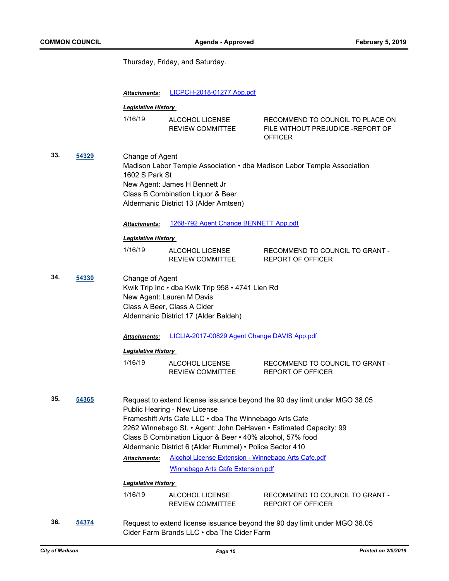Thursday, Friday, and Saturday.

|     |       | Attachments:                      | <b>LICPCH-2018-01277 App.pdf</b>                                                                                                                                                                                                                                                                                                                                                 |                                                                                          |
|-----|-------|-----------------------------------|----------------------------------------------------------------------------------------------------------------------------------------------------------------------------------------------------------------------------------------------------------------------------------------------------------------------------------------------------------------------------------|------------------------------------------------------------------------------------------|
|     |       | <b>Legislative History</b>        |                                                                                                                                                                                                                                                                                                                                                                                  |                                                                                          |
|     |       | 1/16/19                           | ALCOHOL LICENSE<br><b>REVIEW COMMITTEE</b>                                                                                                                                                                                                                                                                                                                                       | RECOMMEND TO COUNCIL TO PLACE ON<br>FILE WITHOUT PREJUDICE - REPORT OF<br><b>OFFICER</b> |
| 33. | 54329 | Change of Agent<br>1602 S Park St | New Agent: James H Bennett Jr<br>Class B Combination Liquor & Beer<br>Aldermanic District 13 (Alder Arntsen)                                                                                                                                                                                                                                                                     | Madison Labor Temple Association • dba Madison Labor Temple Association                  |
|     |       | Attachments:                      | 1268-792 Agent Change BENNETT App.pdf                                                                                                                                                                                                                                                                                                                                            |                                                                                          |
|     |       | <b>Legislative History</b>        |                                                                                                                                                                                                                                                                                                                                                                                  |                                                                                          |
|     |       | 1/16/19                           | ALCOHOL LICENSE<br><b>REVIEW COMMITTEE</b>                                                                                                                                                                                                                                                                                                                                       | RECOMMEND TO COUNCIL TO GRANT -<br><b>REPORT OF OFFICER</b>                              |
| 34. | 54330 | Change of Agent                   | Kwik Trip Inc · dba Kwik Trip 958 · 4741 Lien Rd<br>New Agent: Lauren M Davis<br>Class A Beer, Class A Cider<br>Aldermanic District 17 (Alder Baldeh)                                                                                                                                                                                                                            |                                                                                          |
|     |       | Attachments:                      | LICLIA-2017-00829 Agent Change DAVIS App.pdf                                                                                                                                                                                                                                                                                                                                     |                                                                                          |
|     |       | <b>Legislative History</b>        |                                                                                                                                                                                                                                                                                                                                                                                  |                                                                                          |
|     |       | 1/16/19                           | ALCOHOL LICENSE<br><b>REVIEW COMMITTEE</b>                                                                                                                                                                                                                                                                                                                                       | RECOMMEND TO COUNCIL TO GRANT -<br><b>REPORT OF OFFICER</b>                              |
| 35. | 54365 | Attachments:                      | Public Hearing - New License<br>Frameshift Arts Cafe LLC . dba The Winnebago Arts Cafe<br>2262 Winnebago St. • Agent: John DeHaven • Estimated Capacity: 99<br>Class B Combination Liquor & Beer • 40% alcohol, 57% food<br>Aldermanic District 6 (Alder Rummel) • Police Sector 410<br>Alcohol License Extension - Winnebago Arts Cafe.pdf<br>Winnebago Arts Cafe Extension.pdf | Request to extend license issuance beyond the 90 day limit under MGO 38.05               |
|     |       | <b>Legislative History</b>        |                                                                                                                                                                                                                                                                                                                                                                                  |                                                                                          |
|     |       | 1/16/19                           | ALCOHOL LICENSE<br>REVIEW COMMITTEE                                                                                                                                                                                                                                                                                                                                              | RECOMMEND TO COUNCIL TO GRANT -<br><b>REPORT OF OFFICER</b>                              |
| 36. | 54374 |                                   |                                                                                                                                                                                                                                                                                                                                                                                  | Request to extend license issuance beyond the 90 day limit under MGO 38.05               |

Cider Farm Brands LLC • dba The Cider Farm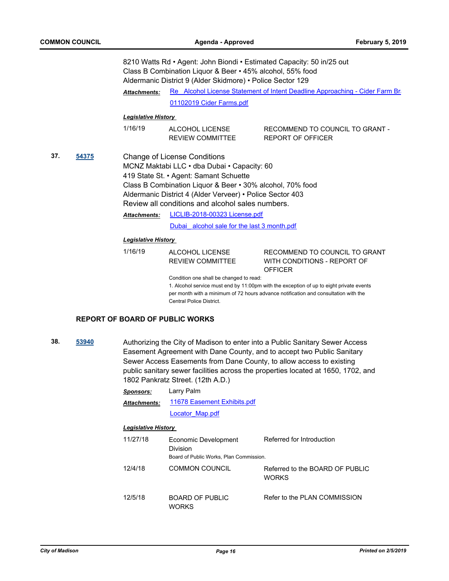8210 Watts Rd • Agent: John Biondi • Estimated Capacity: 50 in/25 out Class B Combination Liquor & Beer • 45% alcohol, 55% food Aldermanic District 9 (Alder Skidmore) • Police Sector 129

Re Alcohol License Statement of Intent Deadline Approaching - Cider Farm Brands Lucense Statement of Intentional Approaching - Cider Farm Brands *Attachments:*

[01102019 Cider Farms.pdf](http://madison.legistar.com/gateway.aspx?M=F&ID=55744e13-998a-412e-999b-49626297a79d.pdf)

## *Legislative History*

| 1/16/19 | ALCOHOL LICENSE         | RECOMMEND TO COUNCIL TO GRANT - |
|---------|-------------------------|---------------------------------|
|         | <b>REVIEW COMMITTEE</b> | REPORT OF OFFICER               |

**37. [54375](http://madison.legistar.com/gateway.aspx?m=l&id=/matter.aspx?key=64896)** Change of License Conditions MCNZ Maktabi LLC • dba Dubai • Capacity: 60 419 State St. • Agent: Samant Schuette Class B Combination Liquor & Beer • 30% alcohol, 70% food Aldermanic District 4 (Alder Verveer) • Police Sector 403 Review all conditions and alcohol sales numbers.

[LICLIB-2018-00323 License.pdf](http://madison.legistar.com/gateway.aspx?M=F&ID=f3f0284e-40e6-4f48-a2ad-620dcf23ddcd.pdf) *Attachments:*

Dubai alcohol sale for the last 3 month.pdf

#### *Legislative History*

1/16/19 ALCOHOL LICENSE REVIEW COMMITTEE RECOMMEND TO COUNCIL TO GRANT WITH CONDITIONS - REPORT OF **OFFICER** 

Condition one shall be changed to read:

1. Alcohol service must end by 11:00pm with the exception of up to eight private events per month with a minimum of 72 hours advance notification and consultation with the Central Police District.

#### **REPORT OF BOARD OF PUBLIC WORKS**

**38. [53940](http://madison.legistar.com/gateway.aspx?m=l&id=/matter.aspx?key=62497)** Authorizing the City of Madison to enter into a Public Sanitary Sewer Access Easement Agreement with Dane County, and to accept two Public Sanitary Sewer Access Easements from Dane County, to allow access to existing public sanitary sewer facilities across the properties located at 1650, 1702, and 1802 Pankratz Street. (12th A.D.)

| Sponsors:           | Larry Palm                  |  |
|---------------------|-----------------------------|--|
| <b>Attachments:</b> | 11678 Easement Exhibits.pdf |  |
|                     | Locator Map.pdf             |  |

#### *Legislative History*

| 11/27/18 | Economic Development<br><b>Division</b><br>Board of Public Works, Plan Commission. | Referred for Introduction                       |
|----------|------------------------------------------------------------------------------------|-------------------------------------------------|
| 12/4/18  | <b>COMMON COUNCIL</b>                                                              | Referred to the BOARD OF PUBLIC<br><b>WORKS</b> |
| 12/5/18  | <b>BOARD OF PUBLIC</b><br>WORKS                                                    | Refer to the PLAN COMMISSION                    |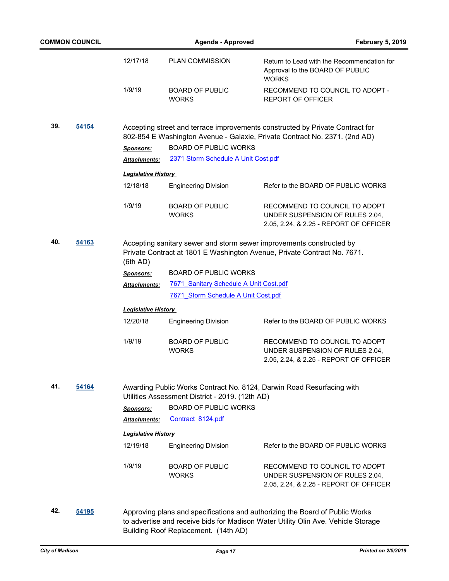| <b>COMMON COUNCIL</b> |       | <b>Agenda - Approved</b>   |                                                 | <b>February 5, 2019</b>                                                                                                                                           |
|-----------------------|-------|----------------------------|-------------------------------------------------|-------------------------------------------------------------------------------------------------------------------------------------------------------------------|
|                       |       | 12/17/18                   | <b>PLAN COMMISSION</b>                          | Return to Lead with the Recommendation for<br>Approval to the BOARD OF PUBLIC<br><b>WORKS</b>                                                                     |
|                       |       | 1/9/19                     | <b>BOARD OF PUBLIC</b><br><b>WORKS</b>          | RECOMMEND TO COUNCIL TO ADOPT -<br><b>REPORT OF OFFICER</b>                                                                                                       |
| 39.                   | 54154 |                            |                                                 | Accepting street and terrace improvements constructed by Private Contract for<br>802-854 E Washington Avenue - Galaxie, Private Contract No. 2371. (2nd AD)       |
|                       |       | Sponsors:                  | <b>BOARD OF PUBLIC WORKS</b>                    |                                                                                                                                                                   |
|                       |       | <b>Attachments:</b>        | 2371 Storm Schedule A Unit Cost.pdf             |                                                                                                                                                                   |
|                       |       | <b>Legislative History</b> |                                                 |                                                                                                                                                                   |
|                       |       | 12/18/18                   | <b>Engineering Division</b>                     | Refer to the BOARD OF PUBLIC WORKS                                                                                                                                |
|                       |       | 1/9/19                     | <b>BOARD OF PUBLIC</b><br><b>WORKS</b>          | RECOMMEND TO COUNCIL TO ADOPT<br>UNDER SUSPENSION OF RULES 2.04,<br>2.05, 2.24, & 2.25 - REPORT OF OFFICER                                                        |
| 40.                   | 54163 | (6th AD)                   |                                                 | Accepting sanitary sewer and storm sewer improvements constructed by<br>Private Contract at 1801 E Washington Avenue, Private Contract No. 7671.                  |
|                       |       | <b>Sponsors:</b>           | <b>BOARD OF PUBLIC WORKS</b>                    |                                                                                                                                                                   |
|                       |       | <b>Attachments:</b>        | 7671 Sanitary Schedule A Unit Cost.pdf          |                                                                                                                                                                   |
|                       |       |                            | 7671 Storm Schedule A Unit Cost.pdf             |                                                                                                                                                                   |
|                       |       | <b>Legislative History</b> |                                                 |                                                                                                                                                                   |
|                       |       | 12/20/18                   | <b>Engineering Division</b>                     | Refer to the BOARD OF PUBLIC WORKS                                                                                                                                |
|                       |       | 1/9/19                     | <b>BOARD OF PUBLIC</b><br><b>WORKS</b>          | RECOMMEND TO COUNCIL TO ADOPT<br>UNDER SUSPENSION OF RULES 2.04,<br>2.05, 2.24, & 2.25 - REPORT OF OFFICER                                                        |
| 41.<br>54164          |       |                            | Utilities Assessment District - 2019. (12th AD) | Awarding Public Works Contract No. 8124, Darwin Road Resurfacing with                                                                                             |
|                       |       | <b>Sponsors:</b>           | <b>BOARD OF PUBLIC WORKS</b>                    |                                                                                                                                                                   |
|                       |       | <b>Attachments:</b>        | Contract 8124.pdf                               |                                                                                                                                                                   |
|                       |       | <b>Legislative History</b> |                                                 |                                                                                                                                                                   |
|                       |       | 12/19/18                   | <b>Engineering Division</b>                     | Refer to the BOARD OF PUBLIC WORKS                                                                                                                                |
|                       |       | 1/9/19                     | <b>BOARD OF PUBLIC</b><br><b>WORKS</b>          | RECOMMEND TO COUNCIL TO ADOPT<br>UNDER SUSPENSION OF RULES 2.04,<br>2.05, 2.24, & 2.25 - REPORT OF OFFICER                                                        |
| 42.                   | 54195 |                            | Building Roof Replacement. (14th AD)            | Approving plans and specifications and authorizing the Board of Public Works<br>to advertise and receive bids for Madison Water Utility Olin Ave. Vehicle Storage |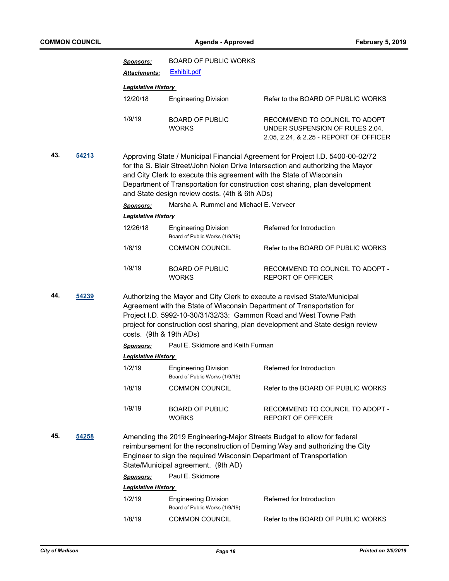|     |       | <u>Sponsors:</u>           | <b>BOARD OF PUBLIC WORKS</b>                                                                                           |                                                                                                                                                                                                                                                                                                             |
|-----|-------|----------------------------|------------------------------------------------------------------------------------------------------------------------|-------------------------------------------------------------------------------------------------------------------------------------------------------------------------------------------------------------------------------------------------------------------------------------------------------------|
|     |       | Attachments:               | <b>Exhibit.pdf</b>                                                                                                     |                                                                                                                                                                                                                                                                                                             |
|     |       | <b>Legislative History</b> |                                                                                                                        |                                                                                                                                                                                                                                                                                                             |
|     |       | 12/20/18                   | <b>Engineering Division</b>                                                                                            | Refer to the BOARD OF PUBLIC WORKS                                                                                                                                                                                                                                                                          |
|     |       | 1/9/19                     | <b>BOARD OF PUBLIC</b><br><b>WORKS</b>                                                                                 | RECOMMEND TO COUNCIL TO ADOPT<br>UNDER SUSPENSION OF RULES 2.04,<br>2.05, 2.24, & 2.25 - REPORT OF OFFICER                                                                                                                                                                                                  |
| 43. | 54213 |                            | and City Clerk to execute this agreement with the State of Wisconsin<br>and State design review costs. (4th & 6th ADs) | Approving State / Municipal Financial Agreement for Project I.D. 5400-00-02/72<br>for the S. Blair Street/John Nolen Drive Intersection and authorizing the Mayor<br>Department of Transportation for construction cost sharing, plan development                                                           |
|     |       | <b>Sponsors:</b>           | Marsha A. Rummel and Michael E. Verveer                                                                                |                                                                                                                                                                                                                                                                                                             |
|     |       | <b>Legislative History</b> |                                                                                                                        |                                                                                                                                                                                                                                                                                                             |
|     |       | 12/26/18                   | <b>Engineering Division</b><br>Board of Public Works (1/9/19)                                                          | Referred for Introduction                                                                                                                                                                                                                                                                                   |
|     |       | 1/8/19                     | <b>COMMON COUNCIL</b>                                                                                                  | Refer to the BOARD OF PUBLIC WORKS                                                                                                                                                                                                                                                                          |
|     |       | 1/9/19                     | <b>BOARD OF PUBLIC</b><br><b>WORKS</b>                                                                                 | RECOMMEND TO COUNCIL TO ADOPT -<br><b>REPORT OF OFFICER</b>                                                                                                                                                                                                                                                 |
| 44. | 54239 | costs. (9th & 19th ADs)    |                                                                                                                        | Authorizing the Mayor and City Clerk to execute a revised State/Municipal<br>Agreement with the State of Wisconsin Department of Transportation for<br>Project I.D. 5992-10-30/31/32/33: Gammon Road and West Towne Path<br>project for construction cost sharing, plan development and State design review |
|     |       | <b>Sponsors:</b>           | Paul E. Skidmore and Keith Furman                                                                                      |                                                                                                                                                                                                                                                                                                             |
|     |       | <b>Legislative History</b> |                                                                                                                        |                                                                                                                                                                                                                                                                                                             |
|     |       | 1/2/19                     | <b>Engineering Division</b><br>Board of Public Works (1/9/19)                                                          | Referred for Introduction                                                                                                                                                                                                                                                                                   |
|     |       | 1/8/19                     | <b>COMMON COUNCIL</b>                                                                                                  | Refer to the BOARD OF PUBLIC WORKS                                                                                                                                                                                                                                                                          |
|     |       | 1/9/19                     | <b>BOARD OF PUBLIC</b><br><b>WORKS</b>                                                                                 | RECOMMEND TO COUNCIL TO ADOPT -<br><b>REPORT OF OFFICER</b>                                                                                                                                                                                                                                                 |
| 45. | 54258 |                            | Engineer to sign the required Wisconsin Department of Transportation<br>State/Municipal agreement. (9th AD)            | Amending the 2019 Engineering-Major Streets Budget to allow for federal<br>reimbursement for the reconstruction of Deming Way and authorizing the City                                                                                                                                                      |
|     |       | <b>Sponsors:</b>           | Paul E. Skidmore                                                                                                       |                                                                                                                                                                                                                                                                                                             |
|     |       | <b>Legislative History</b> |                                                                                                                        |                                                                                                                                                                                                                                                                                                             |
|     |       | 1/2/19                     | <b>Engineering Division</b><br>Board of Public Works (1/9/19)                                                          | Referred for Introduction                                                                                                                                                                                                                                                                                   |
|     |       | 1/8/19                     | <b>COMMON COUNCIL</b>                                                                                                  | Refer to the BOARD OF PUBLIC WORKS                                                                                                                                                                                                                                                                          |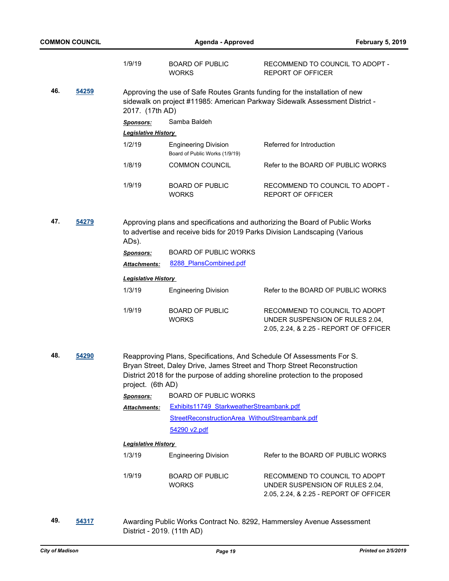|     |       | 1/9/19                     | <b>BOARD OF PUBLIC</b><br><b>WORKS</b>                        | RECOMMEND TO COUNCIL TO ADOPT -<br><b>REPORT OF OFFICER</b>                                                                                                                                                                      |
|-----|-------|----------------------------|---------------------------------------------------------------|----------------------------------------------------------------------------------------------------------------------------------------------------------------------------------------------------------------------------------|
| 46. | 54259 | 2017. (17th AD)            |                                                               | Approving the use of Safe Routes Grants funding for the installation of new<br>sidewalk on project #11985: American Parkway Sidewalk Assessment District -                                                                       |
|     |       | <b>Sponsors:</b>           | Samba Baldeh                                                  |                                                                                                                                                                                                                                  |
|     |       | <b>Legislative History</b> |                                                               |                                                                                                                                                                                                                                  |
|     |       | 1/2/19                     | <b>Engineering Division</b><br>Board of Public Works (1/9/19) | Referred for Introduction                                                                                                                                                                                                        |
|     |       | 1/8/19                     | <b>COMMON COUNCIL</b>                                         | Refer to the BOARD OF PUBLIC WORKS                                                                                                                                                                                               |
|     |       | 1/9/19                     | <b>BOARD OF PUBLIC</b><br><b>WORKS</b>                        | RECOMMEND TO COUNCIL TO ADOPT -<br><b>REPORT OF OFFICER</b>                                                                                                                                                                      |
| 47. | 54279 | ADs).                      |                                                               | Approving plans and specifications and authorizing the Board of Public Works<br>to advertise and receive bids for 2019 Parks Division Landscaping (Various                                                                       |
|     |       | Sponsors:                  | <b>BOARD OF PUBLIC WORKS</b>                                  |                                                                                                                                                                                                                                  |
|     |       | Attachments:               | 8288 PlansCombined.pdf                                        |                                                                                                                                                                                                                                  |
|     |       | <b>Legislative History</b> |                                                               |                                                                                                                                                                                                                                  |
|     |       | 1/3/19                     | <b>Engineering Division</b>                                   | Refer to the BOARD OF PUBLIC WORKS                                                                                                                                                                                               |
|     |       | 1/9/19                     | <b>BOARD OF PUBLIC</b><br><b>WORKS</b>                        | RECOMMEND TO COUNCIL TO ADOPT<br>UNDER SUSPENSION OF RULES 2.04,<br>2.05, 2.24, & 2.25 - REPORT OF OFFICER                                                                                                                       |
| 48. | 54290 | project. (6th AD)          |                                                               | Reapproving Plans, Specifications, And Schedule Of Assessments For S.<br>Bryan Street, Daley Drive, James Street and Thorp Street Reconstruction<br>District 2018 for the purpose of adding shoreline protection to the proposed |
|     |       | <b>Sponsors:</b>           | <b>BOARD OF PUBLIC WORKS</b>                                  |                                                                                                                                                                                                                                  |
|     |       | Attachments:               | Exhibits11749 StarkweatherStreambank.pdf                      |                                                                                                                                                                                                                                  |
|     |       |                            | StreetReconstructionArea WithoutStreambank.pdf                |                                                                                                                                                                                                                                  |
|     |       |                            | 54290 v2.pdf                                                  |                                                                                                                                                                                                                                  |
|     |       | <b>Legislative History</b> |                                                               |                                                                                                                                                                                                                                  |
|     |       | 1/3/19                     | <b>Engineering Division</b>                                   | Refer to the BOARD OF PUBLIC WORKS                                                                                                                                                                                               |
|     |       | 1/9/19                     | <b>BOARD OF PUBLIC</b><br><b>WORKS</b>                        | RECOMMEND TO COUNCIL TO ADOPT<br>UNDER SUSPENSION OF RULES 2.04,<br>2.05, 2.24, & 2.25 - REPORT OF OFFICER                                                                                                                       |

**49. [54317](http://madison.legistar.com/gateway.aspx?m=l&id=/matter.aspx?key=64844)** Awarding Public Works Contract No. 8292, Hammersley Avenue Assessment District - 2019. (11th AD)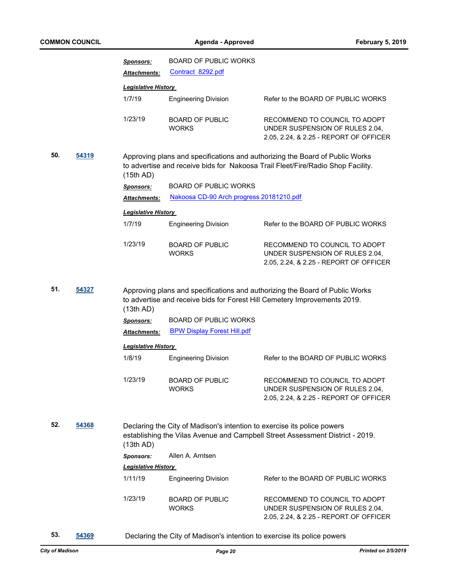|     |       | <b>Sponsors:</b>           | BOARD OF PUBLIC WORKS                                                   |                                                                                                                                                                 |
|-----|-------|----------------------------|-------------------------------------------------------------------------|-----------------------------------------------------------------------------------------------------------------------------------------------------------------|
|     |       | Attachments:               | Contract 8292.pdf                                                       |                                                                                                                                                                 |
|     |       | <b>Legislative History</b> |                                                                         |                                                                                                                                                                 |
|     |       | 1/7/19                     | <b>Engineering Division</b>                                             | Refer to the BOARD OF PUBLIC WORKS                                                                                                                              |
|     |       | 1/23/19                    | <b>BOARD OF PUBLIC</b><br><b>WORKS</b>                                  | RECOMMEND TO COUNCIL TO ADOPT<br>UNDER SUSPENSION OF RULES 2.04,<br>2.05, 2.24, & 2.25 - REPORT OF OFFICER                                                      |
| 50. | 54319 | (15th AD)                  |                                                                         | Approving plans and specifications and authorizing the Board of Public Works<br>to advertise and receive bids for Nakoosa Trail Fleet/Fire/Radio Shop Facility. |
|     |       | <b>Sponsors:</b>           | <b>BOARD OF PUBLIC WORKS</b>                                            |                                                                                                                                                                 |
|     |       | Attachments:               | Nakoosa CD-90 Arch progress 20181210.pdf                                |                                                                                                                                                                 |
|     |       | <b>Legislative History</b> |                                                                         |                                                                                                                                                                 |
|     |       | 1/7/19                     | <b>Engineering Division</b>                                             | Refer to the BOARD OF PUBLIC WORKS                                                                                                                              |
|     |       |                            |                                                                         |                                                                                                                                                                 |
|     |       | 1/23/19                    | <b>BOARD OF PUBLIC</b><br><b>WORKS</b>                                  | RECOMMEND TO COUNCIL TO ADOPT<br>UNDER SUSPENSION OF RULES 2.04,<br>2.05, 2.24, & 2.25 - REPORT OF OFFICER                                                      |
| 51. | 54327 | (13th AD)                  |                                                                         | Approving plans and specifications and authorizing the Board of Public Works<br>to advertise and receive bids for Forest Hill Cemetery Improvements 2019.       |
|     |       | <b>Sponsors:</b>           | <b>BOARD OF PUBLIC WORKS</b>                                            |                                                                                                                                                                 |
|     |       | Attachments:               | <b>BPW Display Forest Hill.pdf</b>                                      |                                                                                                                                                                 |
|     |       | <b>Legislative History</b> |                                                                         |                                                                                                                                                                 |
|     |       | 1/8/19                     | <b>Engineering Division</b>                                             | Refer to the BOARD OF PUBLIC WORKS                                                                                                                              |
|     |       | 1/23/19                    | <b>BOARD OF PUBLIC</b><br><b>WORKS</b>                                  | RECOMMEND TO COUNCIL TO ADOPT<br>UNDER SUSPENSION OF RULES 2.04,<br>2.05, 2.24, & 2.25 - REPORT OF OFFICER                                                      |
| 52. | 54368 | (13th AD)                  | Declaring the City of Madison's intention to exercise its police powers | establishing the Vilas Avenue and Campbell Street Assessment District - 2019.                                                                                   |
|     |       | <b>Sponsors:</b>           | Allen A. Arntsen                                                        |                                                                                                                                                                 |
|     |       | <b>Legislative History</b> |                                                                         |                                                                                                                                                                 |
|     |       | 1/11/19                    | <b>Engineering Division</b>                                             | Refer to the BOARD OF PUBLIC WORKS                                                                                                                              |
|     |       | 1/23/19                    | <b>BOARD OF PUBLIC</b><br><b>WORKS</b>                                  | RECOMMEND TO COUNCIL TO ADOPT<br>UNDER SUSPENSION OF RULES 2.04,<br>2.05, 2.24, & 2.25 - REPORT OF OFFICER                                                      |

- 
- **53. [54369](http://madison.legistar.com/gateway.aspx?m=l&id=/matter.aspx?key=64890)** Declaring the City of Madison's intention to exercise its police powers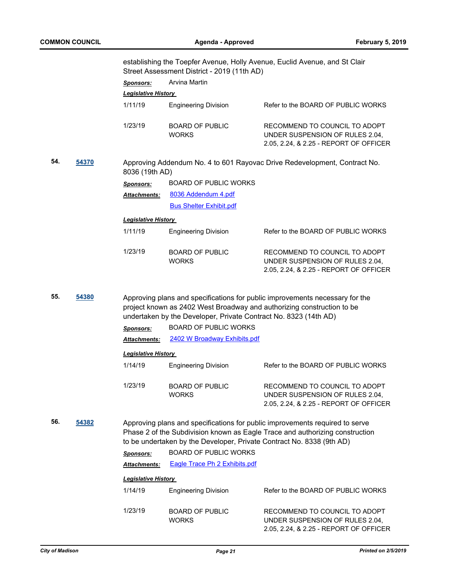|     |       |                            | Street Assessment District - 2019 (11th AD)                           | establishing the Toepfer Avenue, Holly Avenue, Euclid Avenue, and St Clair                                                                                   |
|-----|-------|----------------------------|-----------------------------------------------------------------------|--------------------------------------------------------------------------------------------------------------------------------------------------------------|
|     |       | <b>Sponsors:</b>           | Arvina Martin                                                         |                                                                                                                                                              |
|     |       | Legislative History        |                                                                       |                                                                                                                                                              |
|     |       | 1/11/19                    | <b>Engineering Division</b>                                           | Refer to the BOARD OF PUBLIC WORKS                                                                                                                           |
|     |       | 1/23/19                    | <b>BOARD OF PUBLIC</b><br><b>WORKS</b>                                | RECOMMEND TO COUNCIL TO ADOPT<br>UNDER SUSPENSION OF RULES 2.04,<br>2.05, 2.24, & 2.25 - REPORT OF OFFICER                                                   |
| 54. | 54370 | 8036 (19th AD)             |                                                                       | Approving Addendum No. 4 to 601 Rayovac Drive Redevelopment, Contract No.                                                                                    |
|     |       | <b>Sponsors:</b>           | <b>BOARD OF PUBLIC WORKS</b>                                          |                                                                                                                                                              |
|     |       | Attachments:               | 8036 Addendum 4.pdf                                                   |                                                                                                                                                              |
|     |       |                            | <b>Bus Shelter Exhibit.pdf</b>                                        |                                                                                                                                                              |
|     |       | <b>Legislative History</b> |                                                                       |                                                                                                                                                              |
|     |       | 1/11/19                    | <b>Engineering Division</b>                                           | Refer to the BOARD OF PUBLIC WORKS                                                                                                                           |
|     |       | 1/23/19                    | <b>BOARD OF PUBLIC</b><br><b>WORKS</b>                                | RECOMMEND TO COUNCIL TO ADOPT<br>UNDER SUSPENSION OF RULES 2.04,<br>2.05, 2.24, & 2.25 - REPORT OF OFFICER                                                   |
| 55. | 54380 |                            | undertaken by the Developer, Private Contract No. 8323 (14th AD)      | Approving plans and specifications for public improvements necessary for the<br>project known as 2402 West Broadway and authorizing construction to be       |
|     |       | <b>Sponsors:</b>           | <b>BOARD OF PUBLIC WORKS</b>                                          |                                                                                                                                                              |
|     |       | <b>Attachments:</b>        | 2402 W Broadway Exhibits.pdf                                          |                                                                                                                                                              |
|     |       | <b>Legislative History</b> |                                                                       |                                                                                                                                                              |
|     |       | 1/14/19                    | <b>Engineering Division</b>                                           | Refer to the BOARD OF PUBLIC WORKS                                                                                                                           |
|     |       | 1/23/19                    | <b>BOARD OF PUBLIC</b><br><b>WORKS</b>                                | RECOMMEND TO COUNCIL TO ADOPT<br>UNDER SUSPENSION OF RULES 2.04,<br>2.05, 2.24, & 2.25 - REPORT OF OFFICER                                                   |
| 56. | 54382 |                            | to be undertaken by the Developer, Private Contract No. 8338 (9th AD) | Approving plans and specifications for public improvements required to serve<br>Phase 2 of the Subdivision known as Eagle Trace and authorizing construction |
|     |       | <b>Sponsors:</b>           | <b>BOARD OF PUBLIC WORKS</b>                                          |                                                                                                                                                              |
|     |       | Attachments:               | <b>Eagle Trace Ph 2 Exhibits.pdf</b>                                  |                                                                                                                                                              |
|     |       | <b>Legislative History</b> |                                                                       |                                                                                                                                                              |
|     |       | 1/14/19                    | <b>Engineering Division</b>                                           | Refer to the BOARD OF PUBLIC WORKS                                                                                                                           |
|     |       | 1/23/19                    | <b>BOARD OF PUBLIC</b><br><b>WORKS</b>                                | RECOMMEND TO COUNCIL TO ADOPT<br>UNDER SUSPENSION OF RULES 2.04,                                                                                             |

2.05, 2.24, & 2.25 - REPORT OF OFFICER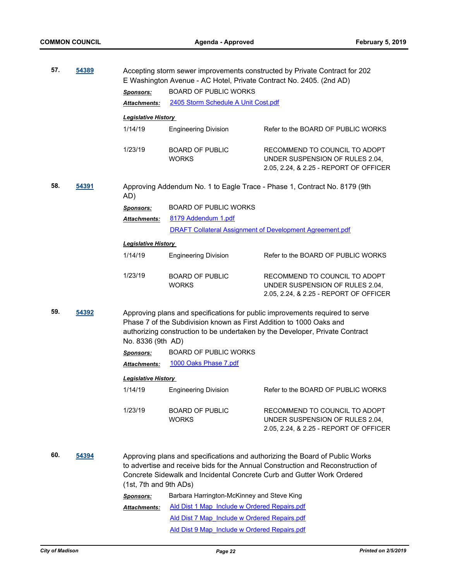| 57. | 54389        |                                                       | E Washington Avenue - AC Hotel, Private Contract No. 2405. (2nd AD)                                                          | Accepting storm sewer improvements constructed by Private Contract for 202                                                                                                                                                                |
|-----|--------------|-------------------------------------------------------|------------------------------------------------------------------------------------------------------------------------------|-------------------------------------------------------------------------------------------------------------------------------------------------------------------------------------------------------------------------------------------|
|     |              | <b>Sponsors:</b>                                      | <b>BOARD OF PUBLIC WORKS</b>                                                                                                 |                                                                                                                                                                                                                                           |
|     |              | <b>Attachments:</b>                                   | 2405 Storm Schedule A Unit Cost.pdf                                                                                          |                                                                                                                                                                                                                                           |
|     |              | <b>Legislative History</b>                            |                                                                                                                              |                                                                                                                                                                                                                                           |
|     |              | 1/14/19                                               | <b>Engineering Division</b>                                                                                                  | Refer to the BOARD OF PUBLIC WORKS                                                                                                                                                                                                        |
|     |              | 1/23/19                                               | <b>BOARD OF PUBLIC</b><br><b>WORKS</b>                                                                                       | RECOMMEND TO COUNCIL TO ADOPT<br>UNDER SUSPENSION OF RULES 2.04,<br>2.05, 2.24, & 2.25 - REPORT OF OFFICER                                                                                                                                |
| 58. | <u>54391</u> | AD)                                                   |                                                                                                                              | Approving Addendum No. 1 to Eagle Trace - Phase 1, Contract No. 8179 (9th                                                                                                                                                                 |
|     |              | <b>Sponsors:</b>                                      | <b>BOARD OF PUBLIC WORKS</b>                                                                                                 |                                                                                                                                                                                                                                           |
|     |              | Attachments:                                          | 8179 Addendum 1.pdf                                                                                                          |                                                                                                                                                                                                                                           |
|     |              |                                                       | <b>DRAFT Collateral Assignment of Development Agreement.pdf</b>                                                              |                                                                                                                                                                                                                                           |
|     |              |                                                       |                                                                                                                              |                                                                                                                                                                                                                                           |
|     |              | <b>Legislative History</b>                            |                                                                                                                              |                                                                                                                                                                                                                                           |
|     |              | 1/14/19                                               | <b>Engineering Division</b>                                                                                                  | Refer to the BOARD OF PUBLIC WORKS                                                                                                                                                                                                        |
|     |              | 1/23/19                                               | <b>BOARD OF PUBLIC</b><br><b>WORKS</b>                                                                                       | RECOMMEND TO COUNCIL TO ADOPT<br>UNDER SUSPENSION OF RULES 2.04,<br>2.05, 2.24, & 2.25 - REPORT OF OFFICER                                                                                                                                |
| 59. | 54392        | No. 8336 (9th AD)<br><b>Sponsors:</b><br>Attachments: | Phase 7 of the Subdivision known as First Addition to 1000 Oaks and<br><b>BOARD OF PUBLIC WORKS</b><br>1000 Oaks Phase 7.pdf | Approving plans and specifications for public improvements required to serve<br>authorizing construction to be undertaken by the Developer, Private Contract                                                                              |
|     |              |                                                       |                                                                                                                              |                                                                                                                                                                                                                                           |
|     |              | <b>Legislative History</b><br>1/14/19                 | <b>Engineering Division</b>                                                                                                  | Refer to the BOARD OF PUBLIC WORKS                                                                                                                                                                                                        |
|     |              | 1/23/19                                               | <b>BOARD OF PUBLIC</b><br><b>WORKS</b>                                                                                       | RECOMMEND TO COUNCIL TO ADOPT<br>UNDER SUSPENSION OF RULES 2.04.<br>2.05, 2.24, & 2.25 - REPORT OF OFFICER                                                                                                                                |
| 60. | 54394        | (1st, 7th and 9th ADs)                                |                                                                                                                              | Approving plans and specifications and authorizing the Board of Public Works<br>to advertise and receive bids for the Annual Construction and Reconstruction of<br>Concrete Sidewalk and Incidental Concrete Curb and Gutter Work Ordered |
|     |              | <b>Sponsors:</b>                                      | Barbara Harrington-McKinney and Steve King                                                                                   |                                                                                                                                                                                                                                           |
|     |              | <b>Attachments:</b>                                   | Ald Dist 1 Map Include w Ordered Repairs.pdf                                                                                 |                                                                                                                                                                                                                                           |
|     |              |                                                       | Ald Dist 7 Map Include w Ordered Repairs.pdf                                                                                 |                                                                                                                                                                                                                                           |
|     |              |                                                       | Ald Dist 9 Map Include w Ordered Repairs.pdf                                                                                 |                                                                                                                                                                                                                                           |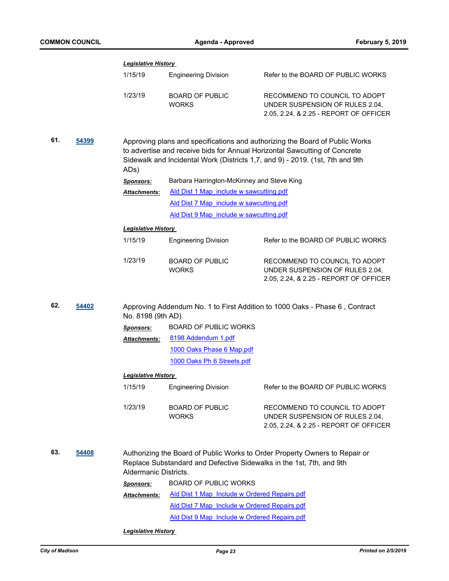|     |       | <b>Legislative History</b> |                                                                      |                                                                                                                                                                                                                                             |
|-----|-------|----------------------------|----------------------------------------------------------------------|---------------------------------------------------------------------------------------------------------------------------------------------------------------------------------------------------------------------------------------------|
|     |       | 1/15/19                    | <b>Engineering Division</b>                                          | Refer to the BOARD OF PUBLIC WORKS                                                                                                                                                                                                          |
|     |       | 1/23/19                    | <b>BOARD OF PUBLIC</b><br><b>WORKS</b>                               | RECOMMEND TO COUNCIL TO ADOPT<br>UNDER SUSPENSION OF RULES 2.04,<br>2.05, 2.24, & 2.25 - REPORT OF OFFICER                                                                                                                                  |
| 61. | 54399 | ADs)                       |                                                                      | Approving plans and specifications and authorizing the Board of Public Works<br>to advertise and receive bids for Annual Horizontal Sawcutting of Concrete<br>Sidewalk and Incidental Work (Districts 1,7, and 9) - 2019. (1st, 7th and 9th |
|     |       | <b>Sponsors:</b>           | Barbara Harrington-McKinney and Steve King                           |                                                                                                                                                                                                                                             |
|     |       | Attachments:               | Ald Dist 1 Map include w sawcutting.pdf                              |                                                                                                                                                                                                                                             |
|     |       |                            | Ald Dist 7 Map include w sawcutting.pdf                              |                                                                                                                                                                                                                                             |
|     |       |                            | Ald Dist 9 Map include w sawcutting.pdf                              |                                                                                                                                                                                                                                             |
|     |       | <b>Legislative History</b> |                                                                      |                                                                                                                                                                                                                                             |
|     |       | 1/15/19                    | <b>Engineering Division</b>                                          | Refer to the BOARD OF PUBLIC WORKS                                                                                                                                                                                                          |
|     |       | 1/23/19                    | <b>BOARD OF PUBLIC</b><br><b>WORKS</b>                               | RECOMMEND TO COUNCIL TO ADOPT<br>UNDER SUSPENSION OF RULES 2.04,<br>2.05, 2.24, & 2.25 - REPORT OF OFFICER                                                                                                                                  |
| 62. | 54402 | No. 8198 (9th AD)          |                                                                      | Approving Addendum No. 1 to First Addition to 1000 Oaks - Phase 6, Contract                                                                                                                                                                 |
|     |       | <b>Sponsors:</b>           | <b>BOARD OF PUBLIC WORKS</b>                                         |                                                                                                                                                                                                                                             |
|     |       | <b>Attachments:</b>        | 8198 Addendum 1.pdf                                                  |                                                                                                                                                                                                                                             |
|     |       |                            | 1000 Oaks Phase 6 Map.pdf                                            |                                                                                                                                                                                                                                             |
|     |       |                            | 1000 Oaks Ph 6 Streets.pdf                                           |                                                                                                                                                                                                                                             |
|     |       | <b>Legislative History</b> |                                                                      |                                                                                                                                                                                                                                             |
|     |       | 1/15/19                    | <b>Engineering Division</b>                                          | Refer to the BOARD OF PUBLIC WORKS                                                                                                                                                                                                          |
|     |       | 1/23/19                    | <b>BOARD OF PUBLIC</b><br><b>WORKS</b>                               | RECOMMEND TO COUNCIL TO ADOPT<br>UNDER SUSPENSION OF RULES 2.04,<br>2.05, 2.24, & 2.25 - REPORT OF OFFICER                                                                                                                                  |
| 63. | 54408 | Aldermanic Districts.      | Replace Substandard and Defective Sidewalks in the 1st, 7th, and 9th | Authorizing the Board of Public Works to Order Property Owners to Repair or                                                                                                                                                                 |
|     |       | <b>Sponsors:</b>           | <b>BOARD OF PUBLIC WORKS</b>                                         |                                                                                                                                                                                                                                             |
|     |       | Attachments:               | Ald Dist 1 Map Include w Ordered Repairs.pdf                         |                                                                                                                                                                                                                                             |
|     |       |                            | Ald Dist 7 Map Include w Ordered Repairs.pdf                         |                                                                                                                                                                                                                                             |
|     |       |                            | Ald Dist 9 Map Include w Ordered Repairs.pdf                         |                                                                                                                                                                                                                                             |
|     |       | <b>Legislative History</b> |                                                                      |                                                                                                                                                                                                                                             |
|     |       |                            |                                                                      |                                                                                                                                                                                                                                             |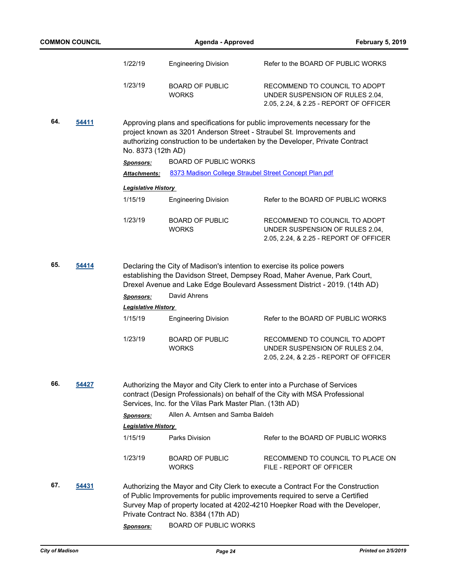|     | <b>COMMON COUNCIL</b> |                            | <b>Agenda - Approved</b>                                 | <b>February 5, 2019</b>                                                                                                                                                                                                                         |
|-----|-----------------------|----------------------------|----------------------------------------------------------|-------------------------------------------------------------------------------------------------------------------------------------------------------------------------------------------------------------------------------------------------|
|     |                       | 1/22/19                    | <b>Engineering Division</b>                              | Refer to the BOARD OF PUBLIC WORKS                                                                                                                                                                                                              |
|     |                       | 1/23/19                    | <b>BOARD OF PUBLIC</b><br><b>WORKS</b>                   | RECOMMEND TO COUNCIL TO ADOPT<br>UNDER SUSPENSION OF RULES 2.04,<br>2.05, 2.24, & 2.25 - REPORT OF OFFICER                                                                                                                                      |
| 64. | 54411                 | No. 8373 (12th AD)         |                                                          | Approving plans and specifications for public improvements necessary for the<br>project known as 3201 Anderson Street - Straubel St. Improvements and<br>authorizing construction to be undertaken by the Developer, Private Contract           |
|     |                       | <b>Sponsors:</b>           | <b>BOARD OF PUBLIC WORKS</b>                             |                                                                                                                                                                                                                                                 |
|     |                       | <b>Attachments:</b>        |                                                          | 8373 Madison College Straubel Street Concept Plan.pdf                                                                                                                                                                                           |
|     |                       | <b>Legislative History</b> |                                                          |                                                                                                                                                                                                                                                 |
|     |                       | 1/15/19                    | <b>Engineering Division</b>                              | Refer to the BOARD OF PUBLIC WORKS                                                                                                                                                                                                              |
|     |                       | 1/23/19                    | <b>BOARD OF PUBLIC</b><br><b>WORKS</b>                   | RECOMMEND TO COUNCIL TO ADOPT<br>UNDER SUSPENSION OF RULES 2.04,<br>2.05, 2.24, & 2.25 - REPORT OF OFFICER                                                                                                                                      |
| 65. | 54414                 |                            |                                                          | Declaring the City of Madison's intention to exercise its police powers<br>establishing the Davidson Street, Dempsey Road, Maher Avenue, Park Court,<br>Drexel Avenue and Lake Edge Boulevard Assessment District - 2019. (14th AD)             |
|     |                       | <b>Sponsors:</b>           | David Ahrens                                             |                                                                                                                                                                                                                                                 |
|     |                       | <b>Legislative History</b> |                                                          |                                                                                                                                                                                                                                                 |
|     |                       | 1/15/19                    | <b>Engineering Division</b>                              | Refer to the BOARD OF PUBLIC WORKS                                                                                                                                                                                                              |
|     |                       | 1/23/19                    | <b>BOARD OF PUBLIC</b><br><b>WORKS</b>                   | RECOMMEND TO COUNCIL TO ADOPT<br>UNDER SUSPENSION OF RULES 2.04,<br>2.05, 2.24, & 2.25 - REPORT OF OFFICER                                                                                                                                      |
| 66. | 54427                 |                            | Services, Inc. for the Vilas Park Master Plan. (13th AD) | Authorizing the Mayor and City Clerk to enter into a Purchase of Services<br>contract (Design Professionals) on behalf of the City with MSA Professional                                                                                        |
|     |                       | <b>Sponsors:</b>           | Allen A. Arntsen and Samba Baldeh                        |                                                                                                                                                                                                                                                 |
|     |                       | <b>Legislative History</b> |                                                          |                                                                                                                                                                                                                                                 |
|     |                       | 1/15/19                    | Parks Division                                           | Refer to the BOARD OF PUBLIC WORKS                                                                                                                                                                                                              |
|     |                       | 1/23/19                    | <b>BOARD OF PUBLIC</b><br><b>WORKS</b>                   | RECOMMEND TO COUNCIL TO PLACE ON<br>FILE - REPORT OF OFFICER                                                                                                                                                                                    |
| 67. | 54431                 |                            | Private Contract No. 8384 (17th AD)                      | Authorizing the Mayor and City Clerk to execute a Contract For the Construction<br>of Public Improvements for public improvements required to serve a Certified<br>Survey Map of property located at 4202-4210 Hoepker Road with the Developer, |
|     |                       | <b>Sponsors:</b>           | <b>BOARD OF PUBLIC WORKS</b>                             |                                                                                                                                                                                                                                                 |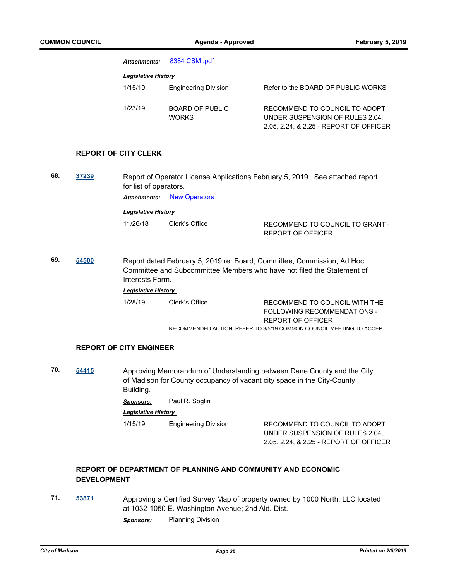| <b>Attachments:</b>        | 8384 CSM .pdf                   |                                                                                                            |
|----------------------------|---------------------------------|------------------------------------------------------------------------------------------------------------|
| <b>Legislative History</b> |                                 |                                                                                                            |
| 1/15/19                    | <b>Engineering Division</b>     | Refer to the BOARD OF PUBLIC WORKS                                                                         |
| 1/23/19                    | <b>BOARD OF PUBLIC</b><br>WORKS | RECOMMEND TO COUNCIL TO ADOPT<br>UNDER SUSPENSION OF RULES 2.04.<br>2.05, 2.24, & 2.25 - REPORT OF OFFICER |

#### **REPORT OF CITY CLERK**

- **68. [37239](http://madison.legistar.com/gateway.aspx?m=l&id=/matter.aspx?key=40059)** Report of Operator License Applications February 5, 2019. See attached report for list of operators. **Attachments: [New Operators](http://madison.legistar.com/gateway.aspx?M=F&ID=7299b958-da87-499b-8a87-a065302fc173.pdf)** *Legislative History*  11/26/18 Clerk's Office RECOMMEND TO COUNCIL TO GRANT - REPORT OF OFFICER
- **69. [54500](http://madison.legistar.com/gateway.aspx?m=l&id=/matter.aspx?key=65018)** Report dated February 5, 2019 re: Board, Committee, Commission, Ad Hoc Committee and Subcommittee Members who have not filed the Statement of Interests Form.

*Legislative History* 

1/28/19 Clerk's Office RECOMMEND TO COUNCIL WITH THE FOLLOWING RECOMMENDATIONS - REPORT OF OFFICER RECOMMENDED ACTION: REFER TO 3/5/19 COMMON COUNCIL MEETING TO ACCEPT

#### **REPORT OF CITY ENGINEER**

**70. [54415](http://madison.legistar.com/gateway.aspx?m=l&id=/matter.aspx?key=64936)** Approving Memorandum of Understanding between Dane County and the City of Madison for County occupancy of vacant city space in the City-County Building.

*Sponsors:* Paul R. Soglin

*Legislative History* 

1/15/19 Engineering Division RECOMMEND TO COUNCIL TO ADOPT

UNDER SUSPENSION OF RULES 2.04, 2.05, 2.24, & 2.25 - REPORT OF OFFICER

## **REPORT OF DEPARTMENT OF PLANNING AND COMMUNITY AND ECONOMIC DEVELOPMENT**

**71. [53871](http://madison.legistar.com/gateway.aspx?m=l&id=/matter.aspx?key=62429)** Approving a Certified Survey Map of property owned by 1000 North, LLC located at 1032-1050 E. Washington Avenue; 2nd Ald. Dist.

*Sponsors:* Planning Division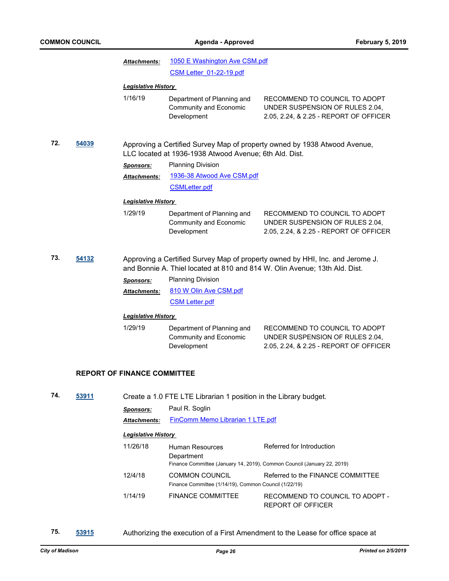|     |       | <b>Attachments:</b>                | 1050 E Washington Ave CSM.pdf                                                                            |                                                                                                                                                             |
|-----|-------|------------------------------------|----------------------------------------------------------------------------------------------------------|-------------------------------------------------------------------------------------------------------------------------------------------------------------|
|     |       |                                    | CSM Letter 01-22-19.pdf                                                                                  |                                                                                                                                                             |
|     |       | <b>Legislative History</b>         |                                                                                                          |                                                                                                                                                             |
|     |       | 1/16/19                            | Department of Planning and<br><b>Community and Economic</b><br>Development                               | RECOMMEND TO COUNCIL TO ADOPT<br>UNDER SUSPENSION OF RULES 2.04,<br>2.05, 2.24, & 2.25 - REPORT OF OFFICER                                                  |
| 72. | 54039 |                                    | LLC located at 1936-1938 Atwood Avenue; 6th Ald. Dist.                                                   | Approving a Certified Survey Map of property owned by 1938 Atwood Avenue,                                                                                   |
|     |       | <b>Sponsors:</b>                   | <b>Planning Division</b>                                                                                 |                                                                                                                                                             |
|     |       | Attachments:                       | 1936-38 Atwood Ave CSM.pdf                                                                               |                                                                                                                                                             |
|     |       |                                    | <b>CSMLetter.pdf</b>                                                                                     |                                                                                                                                                             |
|     |       | <b>Legislative History</b>         |                                                                                                          |                                                                                                                                                             |
|     |       | 1/29/19                            | Department of Planning and<br>Community and Economic<br>Development                                      | RECOMMEND TO COUNCIL TO ADOPT<br>UNDER SUSPENSION OF RULES 2.04,<br>2.05, 2.24, & 2.25 - REPORT OF OFFICER                                                  |
| 73. | 54132 |                                    |                                                                                                          | Approving a Certified Survey Map of property owned by HHI, Inc. and Jerome J.<br>and Bonnie A. Thiel located at 810 and 814 W. Olin Avenue; 13th Ald. Dist. |
|     |       | <b>Sponsors:</b>                   | <b>Planning Division</b>                                                                                 |                                                                                                                                                             |
|     |       | Attachments:                       | 810 W Olin Ave CSM.pdf                                                                                   |                                                                                                                                                             |
|     |       |                                    | <b>CSM Letter.pdf</b>                                                                                    |                                                                                                                                                             |
|     |       | <b>Legislative History</b>         |                                                                                                          |                                                                                                                                                             |
|     |       | 1/29/19                            | Department of Planning and<br>Community and Economic<br>Development                                      | RECOMMEND TO COUNCIL TO ADOPT<br>UNDER SUSPENSION OF RULES 2.04,<br>2.05, 2.24, & 2.25 - REPORT OF OFFICER                                                  |
|     |       | <b>REPORT OF FINANCE COMMITTEE</b> |                                                                                                          |                                                                                                                                                             |
| 74. | 53911 |                                    | Create a 1.0 FTE LTE Librarian 1 position in the Library budget.                                         |                                                                                                                                                             |
|     |       | <b>Sponsors:</b>                   | Paul R. Soglin                                                                                           |                                                                                                                                                             |
|     |       | <b>Attachments:</b>                | <b>FinComm Memo Librarian 1 LTE.pdf</b>                                                                  |                                                                                                                                                             |
|     |       | <b>Legislative History</b>         |                                                                                                          |                                                                                                                                                             |
|     |       | 11/26/18                           | Human Resources<br>Department<br>Finance Committee (January 14, 2019), Common Council (January 22, 2019) | Referred for Introduction                                                                                                                                   |
|     |       | 12/4/18                            | <b>COMMON COUNCIL</b><br>Finance Committee (1/14/19), Common Council (1/22/19)                           | Referred to the FINANCE COMMITTEE                                                                                                                           |
|     |       | 1/14/19                            | <b>FINANCE COMMITTEE</b>                                                                                 | RECOMMEND TO COUNCIL TO ADOPT -<br>REPORT OF OFFICER                                                                                                        |

**75. [53915](http://madison.legistar.com/gateway.aspx?m=l&id=/matter.aspx?key=62473)** Authorizing the execution of a First Amendment to the Lease for office space at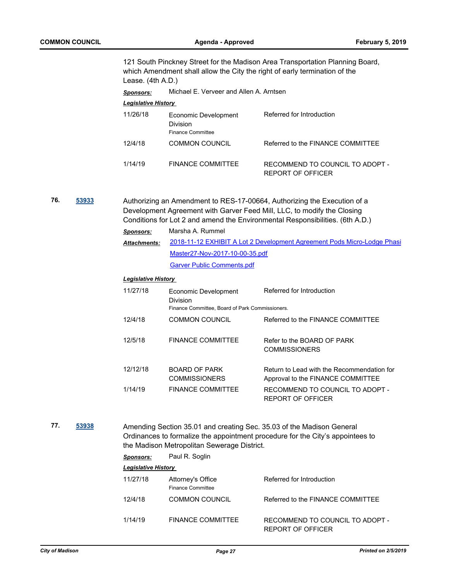|     |       | Lease. (4th A.D.)          |                                                                                            | 121 South Pinckney Street for the Madison Area Transportation Planning Board,<br>which Amendment shall allow the City the right of early termination of the                                                                          |
|-----|-------|----------------------------|--------------------------------------------------------------------------------------------|--------------------------------------------------------------------------------------------------------------------------------------------------------------------------------------------------------------------------------------|
|     |       | <b>Sponsors:</b>           | Michael E. Verveer and Allen A. Arntsen                                                    |                                                                                                                                                                                                                                      |
|     |       | Legislative History        |                                                                                            |                                                                                                                                                                                                                                      |
|     |       | 11/26/18                   | Economic Development<br><b>Division</b><br><b>Finance Committee</b>                        | Referred for Introduction                                                                                                                                                                                                            |
|     |       | 12/4/18                    | <b>COMMON COUNCIL</b>                                                                      | Referred to the FINANCE COMMITTEE                                                                                                                                                                                                    |
|     |       | 1/14/19                    | <b>FINANCE COMMITTEE</b>                                                                   | RECOMMEND TO COUNCIL TO ADOPT -<br>REPORT OF OFFICER                                                                                                                                                                                 |
| 76. | 53933 |                            |                                                                                            | Authorizing an Amendment to RES-17-00664, Authorizing the Execution of a<br>Development Agreement with Garver Feed Mill, LLC, to modify the Closing<br>Conditions for Lot 2 and amend the Environmental Responsibilities. (6th A.D.) |
|     |       | <b>Sponsors:</b>           | Marsha A. Rummel                                                                           |                                                                                                                                                                                                                                      |
|     |       | <b>Attachments:</b>        |                                                                                            | 2018-11-12 EXHIBIT A Lot 2 Development Agreement Pods Micro-Lodge Phasi                                                                                                                                                              |
|     |       |                            | Master27-Nov-2017-10-00-35.pdf                                                             |                                                                                                                                                                                                                                      |
|     |       |                            | <b>Garver Public Comments.pdf</b>                                                          |                                                                                                                                                                                                                                      |
|     |       | <b>Legislative History</b> |                                                                                            |                                                                                                                                                                                                                                      |
|     |       | 11/27/18                   | Economic Development<br><b>Division</b><br>Finance Committee, Board of Park Commissioners. | Referred for Introduction                                                                                                                                                                                                            |
|     |       | 12/4/18                    | <b>COMMON COUNCIL</b>                                                                      | Referred to the FINANCE COMMITTEE                                                                                                                                                                                                    |
|     |       | 12/5/18                    | <b>FINANCE COMMITTEE</b>                                                                   | Refer to the BOARD OF PARK<br><b>COMMISSIONERS</b>                                                                                                                                                                                   |
|     |       | 12/12/18                   | <b>BOARD OF PARK</b><br><b>COMMISSIONERS</b>                                               | Return to Lead with the Recommendation for<br>Approval to the FINANCE COMMITTEE                                                                                                                                                      |
|     |       | 1/14/19                    | <b>FINANCE COMMITTEE</b>                                                                   | RECOMMEND TO COUNCIL TO ADOPT -<br><b>REPORT OF OFFICER</b>                                                                                                                                                                          |
|     |       |                            |                                                                                            |                                                                                                                                                                                                                                      |

**77. [53938](http://madison.legistar.com/gateway.aspx?m=l&id=/matter.aspx?key=62495)** Amending Section 35.01 and creating Sec. 35.03 of the Madison General Ordinances to formalize the appointment procedure for the City's appointees to the Madison Metropolitan Sewerage District.

| Sponsors:                  | Paul R. Soglin                         |                                                      |
|----------------------------|----------------------------------------|------------------------------------------------------|
| <b>Legislative History</b> |                                        |                                                      |
| 11/27/18                   | Attorney's Office<br>Finance Committee | Referred for Introduction                            |
| 12/4/18                    | <b>COMMON COUNCIL</b>                  | Referred to the FINANCE COMMITTEE                    |
| 1/14/19                    | FINANCE COMMITTEE                      | RECOMMEND TO COUNCIL TO ADOPT -<br>REPORT OF OFFICER |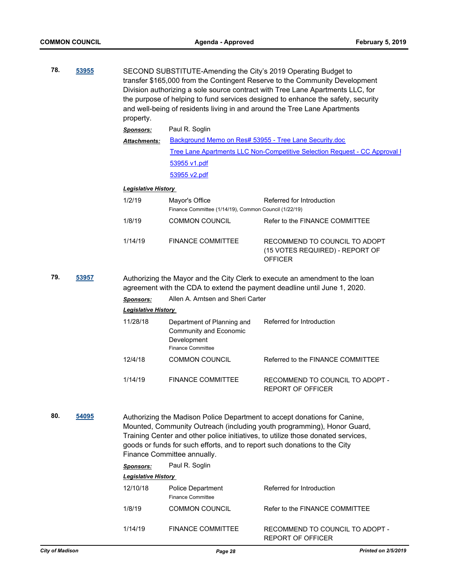|     | 53955 | property.                              |                                                                                                 | SECOND SUBSTITUTE-Amending the City's 2019 Operating Budget to<br>transfer \$165,000 from the Contingent Reserve to the Community Development<br>Division authorizing a sole source contract with Tree Lane Apartments LLC, for<br>the purpose of helping to fund services designed to enhance the safety, security<br>and well-being of residents living in and around the Tree Lane Apartments |
|-----|-------|----------------------------------------|-------------------------------------------------------------------------------------------------|--------------------------------------------------------------------------------------------------------------------------------------------------------------------------------------------------------------------------------------------------------------------------------------------------------------------------------------------------------------------------------------------------|
|     |       | <b>Sponsors:</b>                       | Paul R. Soglin                                                                                  |                                                                                                                                                                                                                                                                                                                                                                                                  |
|     |       | <b>Attachments:</b>                    |                                                                                                 | Background Memo on Res# 53955 - Tree Lane Security.doc                                                                                                                                                                                                                                                                                                                                           |
|     |       |                                        |                                                                                                 | <b>Tree Lane Apartments LLC Non-Competitive Selection Request - CC Approval [</b>                                                                                                                                                                                                                                                                                                                |
|     |       |                                        | 53955 v1.pdf                                                                                    |                                                                                                                                                                                                                                                                                                                                                                                                  |
|     |       |                                        | 53955 v2.pdf                                                                                    |                                                                                                                                                                                                                                                                                                                                                                                                  |
|     |       | <b>Legislative History</b>             |                                                                                                 |                                                                                                                                                                                                                                                                                                                                                                                                  |
|     |       | 1/2/19                                 | Mayor's Office<br>Finance Committee (1/14/19), Common Council (1/22/19)                         | Referred for Introduction                                                                                                                                                                                                                                                                                                                                                                        |
|     |       | 1/8/19                                 | <b>COMMON COUNCIL</b>                                                                           | Refer to the FINANCE COMMITTEE                                                                                                                                                                                                                                                                                                                                                                   |
|     |       | 1/14/19                                | <b>FINANCE COMMITTEE</b>                                                                        | RECOMMEND TO COUNCIL TO ADOPT<br>(15 VOTES REQUIRED) - REPORT OF<br><b>OFFICER</b>                                                                                                                                                                                                                                                                                                               |
| 79. | 53957 |                                        |                                                                                                 | Authorizing the Mayor and the City Clerk to execute an amendment to the loan<br>agreement with the CDA to extend the payment deadline until June 1, 2020.                                                                                                                                                                                                                                        |
|     |       | <b>Sponsors:</b>                       | Allen A. Arntsen and Sheri Carter                                                               |                                                                                                                                                                                                                                                                                                                                                                                                  |
|     |       | <b>Legislative History</b><br>11/28/18 | Department of Planning and<br>Community and Economic<br>Development<br><b>Finance Committee</b> | Referred for Introduction                                                                                                                                                                                                                                                                                                                                                                        |
|     |       | 12/4/18                                | <b>COMMON COUNCIL</b>                                                                           | Referred to the FINANCE COMMITTEE                                                                                                                                                                                                                                                                                                                                                                |
|     |       | 1/14/19                                | <b>FINANCE COMMITTEE</b>                                                                        | RECOMMEND TO COUNCIL TO ADOPT -<br>REPORT OF OFFICER                                                                                                                                                                                                                                                                                                                                             |
| 80. | 54095 |                                        | Finance Committee annually.                                                                     | Authorizing the Madison Police Department to accept donations for Canine,<br>Mounted, Community Outreach (including youth programming), Honor Guard,<br>Training Center and other police initiatives, to utilize those donated services,<br>goods or funds for such efforts, and to report such donations to the City                                                                            |
|     |       | <b>Sponsors:</b>                       | Paul R. Soglin                                                                                  |                                                                                                                                                                                                                                                                                                                                                                                                  |
|     |       | <u> Legislative History</u>            |                                                                                                 |                                                                                                                                                                                                                                                                                                                                                                                                  |
|     |       | 12/10/18                               | Police Department<br><b>Finance Committee</b>                                                   | Referred for Introduction                                                                                                                                                                                                                                                                                                                                                                        |

1/14/19 FINANCE COMMITTEE RECOMMEND TO COUNCIL TO ADOPT -

REPORT OF OFFICER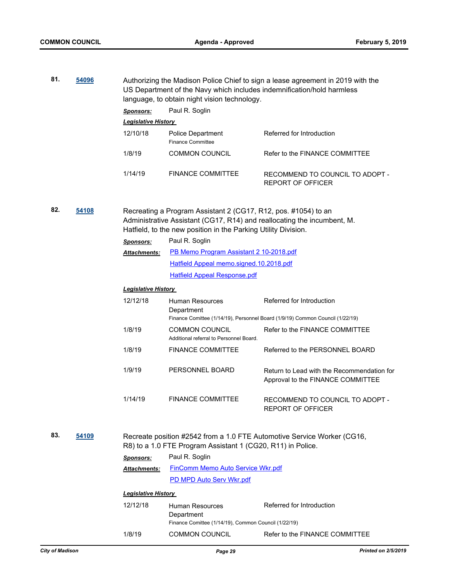**81. [54096](http://madison.legistar.com/gateway.aspx?m=l&id=/matter.aspx?key=62645)** Authorizing the Madison Police Chief to sign a lease agreement in 2019 with the

|     |       | US Department of the Navy which includes indemnification/hold harmless<br>language, to obtain night vision technology. |                                                                                                                                                    |                                                                                                            |  |  |
|-----|-------|------------------------------------------------------------------------------------------------------------------------|----------------------------------------------------------------------------------------------------------------------------------------------------|------------------------------------------------------------------------------------------------------------|--|--|
|     |       | <b>Sponsors:</b>                                                                                                       | Paul R. Soglin                                                                                                                                     |                                                                                                            |  |  |
|     |       | <b>Legislative History</b>                                                                                             |                                                                                                                                                    |                                                                                                            |  |  |
|     |       | 12/10/18                                                                                                               | Police Department<br><b>Finance Committee</b>                                                                                                      | Referred for Introduction                                                                                  |  |  |
|     |       | 1/8/19                                                                                                                 | <b>COMMON COUNCIL</b>                                                                                                                              | Refer to the FINANCE COMMITTEE                                                                             |  |  |
|     |       | 1/14/19                                                                                                                | <b>FINANCE COMMITTEE</b>                                                                                                                           | RECOMMEND TO COUNCIL TO ADOPT -<br><b>REPORT OF OFFICER</b>                                                |  |  |
| 82. | 54108 | <b>Sponsors:</b>                                                                                                       | Recreating a Program Assistant 2 (CG17, R12, pos. #1054) to an<br>Hatfield, to the new position in the Parking Utility Division.<br>Paul R. Soglin | Administrative Assistant (CG17, R14) and reallocating the incumbent, M.                                    |  |  |
|     |       | Attachments:                                                                                                           | PB Memo Program Assistant 2 10-2018.pdf                                                                                                            |                                                                                                            |  |  |
|     |       |                                                                                                                        | Hatfield Appeal memo.signed.10.2018.pdf                                                                                                            |                                                                                                            |  |  |
|     |       |                                                                                                                        | <b>Hatfield Appeal Response.pdf</b>                                                                                                                |                                                                                                            |  |  |
|     |       | <b>Legislative History</b>                                                                                             |                                                                                                                                                    |                                                                                                            |  |  |
|     |       | 12/12/18                                                                                                               | Human Resources<br>Department                                                                                                                      | Referred for Introduction<br>Finance Comittee (1/14/19), Personnel Board (1/9/19) Common Council (1/22/19) |  |  |
|     |       | 1/8/19                                                                                                                 | <b>COMMON COUNCIL</b><br>Additional referral to Personnel Board.                                                                                   | Refer to the FINANCE COMMITTEE                                                                             |  |  |
|     |       | 1/8/19                                                                                                                 | <b>FINANCE COMMITTEE</b>                                                                                                                           | Referred to the PERSONNEL BOARD                                                                            |  |  |
|     |       | 1/9/19                                                                                                                 | PERSONNEL BOARD                                                                                                                                    | Return to Lead with the Recommendation for<br>Approval to the FINANCE COMMITTEE                            |  |  |
|     |       | 1/14/19                                                                                                                | <b>FINANCE COMMITTEE</b>                                                                                                                           | RECOMMEND TO COUNCIL TO ADOPT -<br><b>REPORT OF OFFICER</b>                                                |  |  |
| 83. | 54109 |                                                                                                                        | R8) to a 1.0 FTE Program Assistant 1 (CG20, R11) in Police.                                                                                        | Recreate position #2542 from a 1.0 FTE Automotive Service Worker (CG16,                                    |  |  |
|     |       | <u>Sponsors:</u>                                                                                                       | Paul R. Soglin                                                                                                                                     |                                                                                                            |  |  |
|     |       | Attachments:                                                                                                           | <b>FinComm Memo Auto Service Wkr.pdf</b>                                                                                                           |                                                                                                            |  |  |
|     |       |                                                                                                                        | <b>PD MPD Auto Serv Wkr.pdf</b>                                                                                                                    |                                                                                                            |  |  |
|     |       | <b>Legislative History</b>                                                                                             |                                                                                                                                                    |                                                                                                            |  |  |
|     |       | 12/12/18                                                                                                               | Human Resources<br>Department<br>Finance Comittee (1/14/19), Common Council (1/22/19)                                                              | Referred for Introduction                                                                                  |  |  |
|     |       | 1/8/19                                                                                                                 | <b>COMMON COUNCIL</b>                                                                                                                              | Refer to the FINANCE COMMITTEE                                                                             |  |  |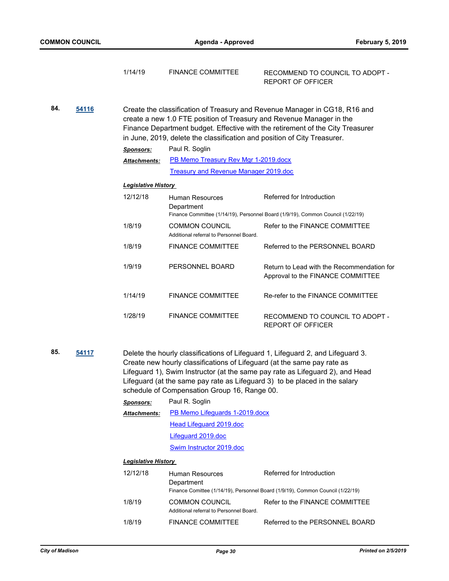|     |       | 1/14/19                    | <b>FINANCE COMMITTEE</b>                                                                                                                         | RECOMMEND TO COUNCIL TO ADOPT -<br><b>REPORT OF OFFICER</b>                                                                                                                                                                                    |  |  |  |
|-----|-------|----------------------------|--------------------------------------------------------------------------------------------------------------------------------------------------|------------------------------------------------------------------------------------------------------------------------------------------------------------------------------------------------------------------------------------------------|--|--|--|
| 84. | 54116 |                            | create a new 1.0 FTE position of Treasury and Revenue Manager in the<br>in June, 2019, delete the classification and position of City Treasurer. | Create the classification of Treasury and Revenue Manager in CG18, R16 and<br>Finance Department budget. Effective with the retirement of the City Treasurer                                                                                   |  |  |  |
|     |       | <b>Sponsors:</b>           | Paul R. Soglin                                                                                                                                   |                                                                                                                                                                                                                                                |  |  |  |
|     |       | Attachments:               | PB Memo Treasury Rev Mgr 1-2019.docx                                                                                                             |                                                                                                                                                                                                                                                |  |  |  |
|     |       |                            | <b>Treasury and Revenue Manager 2019.doc</b>                                                                                                     |                                                                                                                                                                                                                                                |  |  |  |
|     |       |                            | <b>Legislative History</b>                                                                                                                       |                                                                                                                                                                                                                                                |  |  |  |
|     |       | 12/12/18                   | Human Resources<br>Department                                                                                                                    | Referred for Introduction<br>Finance Committee (1/14/19), Personnel Board (1/9/19), Common Council (1/22/19)                                                                                                                                   |  |  |  |
|     |       | 1/8/19                     | <b>COMMON COUNCIL</b><br>Additional referral to Personnel Board.                                                                                 | Refer to the FINANCE COMMITTEE                                                                                                                                                                                                                 |  |  |  |
|     |       | 1/8/19                     | <b>FINANCE COMMITTEE</b>                                                                                                                         | Referred to the PERSONNEL BOARD                                                                                                                                                                                                                |  |  |  |
|     |       | 1/9/19                     | PERSONNEL BOARD                                                                                                                                  | Return to Lead with the Recommendation for<br>Approval to the FINANCE COMMITTEE                                                                                                                                                                |  |  |  |
|     |       | 1/14/19                    | <b>FINANCE COMMITTEE</b>                                                                                                                         | Re-refer to the FINANCE COMMITTEE                                                                                                                                                                                                              |  |  |  |
|     |       | 1/28/19                    | <b>FINANCE COMMITTEE</b>                                                                                                                         | RECOMMEND TO COUNCIL TO ADOPT -<br><b>REPORT OF OFFICER</b>                                                                                                                                                                                    |  |  |  |
| 85. | 54117 |                            | Create new hourly classifications of Lifeguard (at the same pay rate as<br>schedule of Compensation Group 16, Range 00.                          | Delete the hourly classifications of Lifeguard 1, Lifeguard 2, and Lifeguard 3.<br>Lifeguard 1), Swim Instructor (at the same pay rate as Lifeguard 2), and Head<br>Lifeguard (at the same pay rate as Lifeguard 3) to be placed in the salary |  |  |  |
|     |       | <u>Sponsors:</u>           | Paul R. Soglin                                                                                                                                   |                                                                                                                                                                                                                                                |  |  |  |
|     |       | <b>Attachments:</b>        | PB Memo Lifeguards 1-2019.docx                                                                                                                   |                                                                                                                                                                                                                                                |  |  |  |
|     |       |                            | Head Lifeguard 2019.doc                                                                                                                          |                                                                                                                                                                                                                                                |  |  |  |
|     |       |                            | Lifeguard 2019.doc                                                                                                                               |                                                                                                                                                                                                                                                |  |  |  |
|     |       |                            | Swim Instructor 2019.doc                                                                                                                         |                                                                                                                                                                                                                                                |  |  |  |
|     |       | <b>Legislative History</b> |                                                                                                                                                  |                                                                                                                                                                                                                                                |  |  |  |
|     |       | 12/12/18                   | Human Resources<br>Department                                                                                                                    | Referred for Introduction<br>Finance Comittee (1/14/19), Personnel Board (1/9/19), Common Council (1/22/19)                                                                                                                                    |  |  |  |
|     |       | 1/8/19                     | <b>COMMON COUNCIL</b>                                                                                                                            | Refer to the FINANCE COMMITTEE                                                                                                                                                                                                                 |  |  |  |

Additional referral to Personnel Board.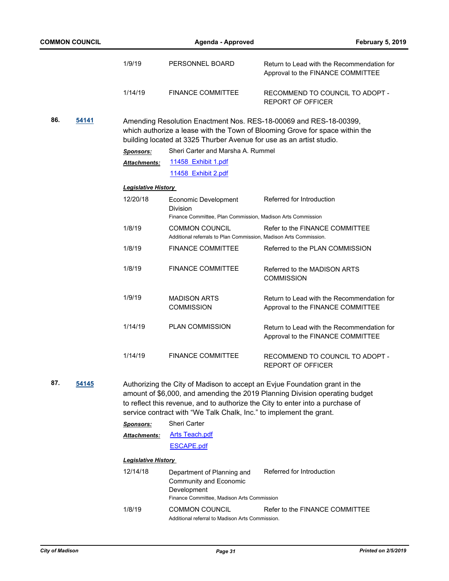| <b>COMMON COUNCIL</b> |                            | <b>Agenda - Approved</b>                                                                                                 | <b>February 5, 2019</b>                                                                                                                                                                                                                     |
|-----------------------|----------------------------|--------------------------------------------------------------------------------------------------------------------------|---------------------------------------------------------------------------------------------------------------------------------------------------------------------------------------------------------------------------------------------|
|                       | 1/9/19                     | PERSONNEL BOARD                                                                                                          | Return to Lead with the Recommendation for<br>Approval to the FINANCE COMMITTEE                                                                                                                                                             |
|                       | 1/14/19                    | <b>FINANCE COMMITTEE</b>                                                                                                 | RECOMMEND TO COUNCIL TO ADOPT -<br><b>REPORT OF OFFICER</b>                                                                                                                                                                                 |
| 86.<br>54141          |                            | building located at 3325 Thurber Avenue for use as an artist studio.                                                     | Amending Resolution Enactment Nos. RES-18-00069 and RES-18-00399,<br>which authorize a lease with the Town of Blooming Grove for space within the                                                                                           |
|                       | <b>Sponsors:</b>           | Sheri Carter and Marsha A. Rummel                                                                                        |                                                                                                                                                                                                                                             |
|                       | Attachments:               | 11458 Exhibit 1.pdf                                                                                                      |                                                                                                                                                                                                                                             |
|                       |                            | 11458 Exhibit 2.pdf                                                                                                      |                                                                                                                                                                                                                                             |
|                       | <b>Legislative History</b> |                                                                                                                          |                                                                                                                                                                                                                                             |
|                       | 12/20/18                   | Economic Development<br><b>Division</b><br>Finance Committee, Plan Commission, Madison Arts Commission                   | Referred for Introduction                                                                                                                                                                                                                   |
|                       | 1/8/19                     | <b>COMMON COUNCIL</b>                                                                                                    | Refer to the FINANCE COMMITTEE                                                                                                                                                                                                              |
|                       |                            | Additional referrals to Plan Commission, Madison Arts Commission.                                                        |                                                                                                                                                                                                                                             |
|                       | 1/8/19                     | <b>FINANCE COMMITTEE</b>                                                                                                 | Referred to the PLAN COMMISSION                                                                                                                                                                                                             |
|                       | 1/8/19                     | <b>FINANCE COMMITTEE</b>                                                                                                 | Referred to the MADISON ARTS<br><b>COMMISSION</b>                                                                                                                                                                                           |
|                       | 1/9/19                     | <b>MADISON ARTS</b><br><b>COMMISSION</b>                                                                                 | Return to Lead with the Recommendation for<br>Approval to the FINANCE COMMITTEE                                                                                                                                                             |
|                       | 1/14/19                    | PLAN COMMISSION                                                                                                          | Return to Lead with the Recommendation for<br>Approval to the FINANCE COMMITTEE                                                                                                                                                             |
|                       | 1/14/19                    | <b>FINANCE COMMITTEE</b>                                                                                                 | RECOMMEND TO COUNCIL TO ADOPT -<br><b>REPORT OF OFFICER</b>                                                                                                                                                                                 |
| 87.<br>54145          |                            | service contract with "We Talk Chalk, Inc." to implement the grant.                                                      | Authorizing the City of Madison to accept an Evjue Foundation grant in the<br>amount of \$6,000, and amending the 2019 Planning Division operating budget<br>to reflect this revenue, and to authorize the City to enter into a purchase of |
|                       | <b>Sponsors:</b>           | Sheri Carter                                                                                                             |                                                                                                                                                                                                                                             |
|                       | <b>Attachments:</b>        | <b>Arts Teach.pdf</b>                                                                                                    |                                                                                                                                                                                                                                             |
|                       |                            | <b>ESCAPE.pdf</b>                                                                                                        |                                                                                                                                                                                                                                             |
|                       | <b>Legislative History</b> |                                                                                                                          |                                                                                                                                                                                                                                             |
|                       | 12/14/18                   | Department of Planning and<br><b>Community and Economic</b><br>Development<br>Finance Committee, Madison Arts Commission | Referred for Introduction                                                                                                                                                                                                                   |
|                       | 1/8/19                     | <b>COMMON COUNCIL</b><br>Additional referral to Madison Arts Commission.                                                 | Refer to the FINANCE COMMITTEE                                                                                                                                                                                                              |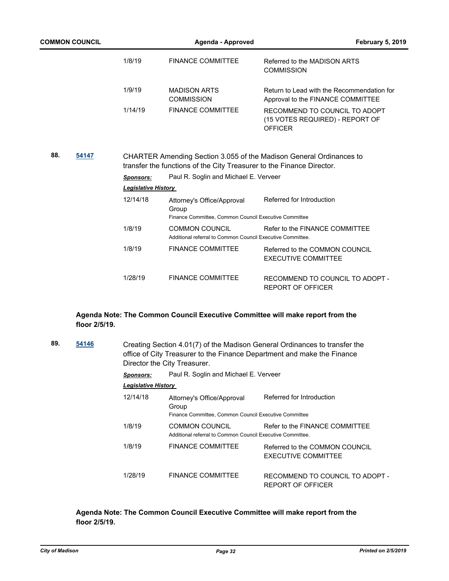| <b>COMMON COUNCIL</b> | Agenda - Approved          |                                                                                              | <b>February 5, 2019</b>                                                            |
|-----------------------|----------------------------|----------------------------------------------------------------------------------------------|------------------------------------------------------------------------------------|
|                       | 1/8/19                     | <b>FINANCE COMMITTEE</b>                                                                     | Referred to the MADISON ARTS<br><b>COMMISSION</b>                                  |
|                       | 1/9/19                     | <b>MADISON ARTS</b><br><b>COMMISSION</b>                                                     | Return to Lead with the Recommendation for<br>Approval to the FINANCE COMMITTEE    |
|                       | 1/14/19                    | <b>FINANCE COMMITTEE</b>                                                                     | RECOMMEND TO COUNCIL TO ADOPT<br>(15 VOTES REQUIRED) - REPORT OF<br><b>OFFICER</b> |
| 88.<br>54147          |                            | transfer the functions of the City Treasurer to the Finance Director.                        | CHARTER Amending Section 3.055 of the Madison General Ordinances to                |
|                       | <b>Sponsors:</b>           | Paul R. Soglin and Michael E. Verveer                                                        |                                                                                    |
|                       | <b>Legislative History</b> |                                                                                              |                                                                                    |
|                       | 12/14/18                   | Attorney's Office/Approval<br>Group<br>Finance Committee, Common Council Executive Committee | Referred for Introduction                                                          |
|                       | 1/8/19                     | <b>COMMON COUNCIL</b><br>Additional referral to Common Council Executive Committee.          | Refer to the FINANCE COMMITTEE                                                     |
|                       | 1/8/19                     | <b>FINANCE COMMITTEE</b>                                                                     | Referred to the COMMON COUNCIL<br><b>EXECUTIVE COMMITTEE</b>                       |
|                       | 1/28/19                    | <b>FINANCE COMMITTEE</b>                                                                     | RECOMMEND TO COUNCIL TO ADOPT -<br><b>REPORT OF OFFICER</b>                        |

## **Agenda Note: The Common Council Executive Committee will make report from the floor 2/5/19.**

| 89. | 54146 | Creating Section 4.01(7) of the Madison General Ordinances to transfer the<br>office of City Treasurer to the Finance Department and make the Finance<br>Director the City Treasurer. |                                                                                              |                                                              |  |  |
|-----|-------|---------------------------------------------------------------------------------------------------------------------------------------------------------------------------------------|----------------------------------------------------------------------------------------------|--------------------------------------------------------------|--|--|
|     |       | <b>Sponsors:</b>                                                                                                                                                                      | Paul R. Soglin and Michael E. Verveer                                                        |                                                              |  |  |
|     |       | <b>Legislative History</b>                                                                                                                                                            |                                                                                              |                                                              |  |  |
|     |       | 12/14/18                                                                                                                                                                              | Attorney's Office/Approval<br>Group<br>Finance Committee, Common Council Executive Committee | Referred for Introduction                                    |  |  |
|     |       | 1/8/19                                                                                                                                                                                | COMMON COUNCIL<br>Additional referral to Common Council Executive Committee.                 | Refer to the FINANCE COMMITTEE                               |  |  |
|     |       | 1/8/19                                                                                                                                                                                | <b>FINANCE COMMITTEE</b>                                                                     | Referred to the COMMON COUNCIL<br><b>EXECUTIVE COMMITTEE</b> |  |  |
|     |       | 1/28/19                                                                                                                                                                               | <b>FINANCE COMMITTEE</b>                                                                     | RECOMMEND TO COUNCIL TO ADOPT -<br>REPORT OF OFFICER         |  |  |

**Agenda Note: The Common Council Executive Committee will make report from the floor 2/5/19.**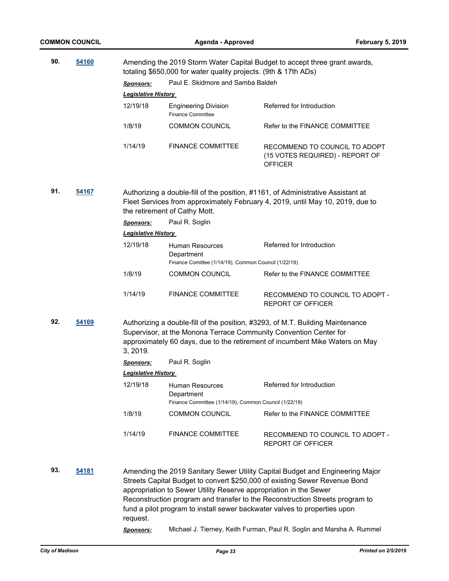| 90. | 54160 |                                                                                                                                                                                                                                                 | Amending the 2019 Storm Water Capital Budget to accept three grant awards,<br>totaling \$650,000 for water quality projects. (9th & 17th ADs) |                                                                                                                                                                                                                                                                                                                                                                                                   |  |
|-----|-------|-------------------------------------------------------------------------------------------------------------------------------------------------------------------------------------------------------------------------------------------------|-----------------------------------------------------------------------------------------------------------------------------------------------|---------------------------------------------------------------------------------------------------------------------------------------------------------------------------------------------------------------------------------------------------------------------------------------------------------------------------------------------------------------------------------------------------|--|
|     |       | <b>Sponsors:</b>                                                                                                                                                                                                                                | Paul E. Skidmore and Samba Baldeh                                                                                                             |                                                                                                                                                                                                                                                                                                                                                                                                   |  |
|     |       | <b>Legislative History</b>                                                                                                                                                                                                                      |                                                                                                                                               |                                                                                                                                                                                                                                                                                                                                                                                                   |  |
|     |       | 12/19/18                                                                                                                                                                                                                                        | <b>Engineering Division</b><br><b>Finance Committee</b>                                                                                       | Referred for Introduction                                                                                                                                                                                                                                                                                                                                                                         |  |
|     |       | 1/8/19                                                                                                                                                                                                                                          | <b>COMMON COUNCIL</b>                                                                                                                         | Refer to the FINANCE COMMITTEE                                                                                                                                                                                                                                                                                                                                                                    |  |
|     |       | 1/14/19                                                                                                                                                                                                                                         | <b>FINANCE COMMITTEE</b>                                                                                                                      | RECOMMEND TO COUNCIL TO ADOPT<br>(15 VOTES REQUIRED) - REPORT OF<br><b>OFFICER</b>                                                                                                                                                                                                                                                                                                                |  |
| 91. | 54167 | Authorizing a double-fill of the position, #1161, of Administrative Assistant at<br>Fleet Services from approximately February 4, 2019, until May 10, 2019, due to<br>the retirement of Cathy Mott.                                             |                                                                                                                                               |                                                                                                                                                                                                                                                                                                                                                                                                   |  |
|     |       | <b>Sponsors:</b>                                                                                                                                                                                                                                | Paul R. Soglin                                                                                                                                |                                                                                                                                                                                                                                                                                                                                                                                                   |  |
|     |       | Legislative History                                                                                                                                                                                                                             |                                                                                                                                               |                                                                                                                                                                                                                                                                                                                                                                                                   |  |
|     |       | 12/19/18                                                                                                                                                                                                                                        | <b>Human Resources</b><br>Department<br>Finance Comittee (1/14/19), Common Council (1/22/19)                                                  | Referred for Introduction                                                                                                                                                                                                                                                                                                                                                                         |  |
|     |       | 1/8/19                                                                                                                                                                                                                                          | <b>COMMON COUNCIL</b>                                                                                                                         | Refer to the FINANCE COMMITTEE                                                                                                                                                                                                                                                                                                                                                                    |  |
|     |       | 1/14/19                                                                                                                                                                                                                                         | <b>FINANCE COMMITTEE</b>                                                                                                                      | RECOMMEND TO COUNCIL TO ADOPT -<br>REPORT OF OFFICER                                                                                                                                                                                                                                                                                                                                              |  |
| 92. | 54169 | Authorizing a double-fill of the position, #3293, of M.T. Building Maintenance<br>Supervisor, at the Monona Terrace Community Convention Center for<br>approximately 60 days, due to the retirement of incumbent Mike Waters on May<br>3, 2019. |                                                                                                                                               |                                                                                                                                                                                                                                                                                                                                                                                                   |  |
|     |       | <b>Sponsors:</b>                                                                                                                                                                                                                                | Paul R. Soglin                                                                                                                                |                                                                                                                                                                                                                                                                                                                                                                                                   |  |
|     |       | <b>Legislative History</b>                                                                                                                                                                                                                      |                                                                                                                                               |                                                                                                                                                                                                                                                                                                                                                                                                   |  |
|     |       | 12/19/18                                                                                                                                                                                                                                        | Human Resources<br>Department                                                                                                                 | Referred for Introduction                                                                                                                                                                                                                                                                                                                                                                         |  |
|     |       |                                                                                                                                                                                                                                                 | Finance Committee (1/14/19), Common Council (1/22/19)                                                                                         |                                                                                                                                                                                                                                                                                                                                                                                                   |  |
|     |       | 1/8/19                                                                                                                                                                                                                                          | <b>COMMON COUNCIL</b>                                                                                                                         | Refer to the FINANCE COMMITTEE                                                                                                                                                                                                                                                                                                                                                                    |  |
|     |       | 1/14/19                                                                                                                                                                                                                                         | <b>FINANCE COMMITTEE</b>                                                                                                                      | RECOMMEND TO COUNCIL TO ADOPT -<br><b>REPORT OF OFFICER</b>                                                                                                                                                                                                                                                                                                                                       |  |
| 93. | 54181 | request.<br>Sponsors:                                                                                                                                                                                                                           | appropriation to Sewer Utility Reserve appropriation in the Sewer                                                                             | Amending the 2019 Sanitary Sewer Utility Capital Budget and Engineering Major<br>Streets Capital Budget to convert \$250,000 of existing Sewer Revenue Bond<br>Reconstruction program and transfer to the Reconstruction Streets program to<br>fund a pilot program to install sewer backwater valves to properties upon<br>Michael J. Tierney, Keith Furman, Paul R. Soglin and Marsha A. Rummel |  |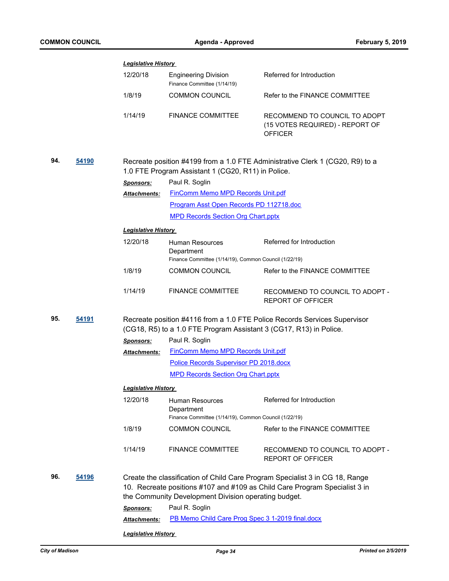|     |       | <b>Legislative History</b> |                                                                    |                                                                                                                                                            |  |
|-----|-------|----------------------------|--------------------------------------------------------------------|------------------------------------------------------------------------------------------------------------------------------------------------------------|--|
|     |       | 12/20/18                   | <b>Engineering Division</b><br>Finance Committee (1/14/19)         | Referred for Introduction                                                                                                                                  |  |
|     |       | 1/8/19                     | <b>COMMON COUNCIL</b>                                              | Refer to the FINANCE COMMITTEE                                                                                                                             |  |
|     |       | 1/14/19                    | <b>FINANCE COMMITTEE</b>                                           | RECOMMEND TO COUNCIL TO ADOPT<br>(15 VOTES REQUIRED) - REPORT OF<br><b>OFFICER</b>                                                                         |  |
| 94. | 54190 |                            | 1.0 FTE Program Assistant 1 (CG20, R11) in Police.                 | Recreate position #4199 from a 1.0 FTE Administrative Clerk 1 (CG20, R9) to a                                                                              |  |
|     |       | <b>Sponsors:</b>           | Paul R. Soglin                                                     |                                                                                                                                                            |  |
|     |       | <b>Attachments:</b>        | FinComm Memo MPD Records Unit.pdf                                  |                                                                                                                                                            |  |
|     |       |                            | Program Asst Open Records PD 112718.doc                            |                                                                                                                                                            |  |
|     |       |                            | <b>MPD Records Section Org Chart.pptx</b>                          |                                                                                                                                                            |  |
|     |       | <b>Legislative History</b> |                                                                    |                                                                                                                                                            |  |
|     |       | 12/20/18                   | <b>Human Resources</b>                                             | Referred for Introduction                                                                                                                                  |  |
|     |       |                            | Department                                                         |                                                                                                                                                            |  |
|     |       |                            | Finance Committee (1/14/19), Common Council (1/22/19)              |                                                                                                                                                            |  |
|     |       | 1/8/19                     | COMMON COUNCIL                                                     | Refer to the FINANCE COMMITTEE                                                                                                                             |  |
|     |       | 1/14/19                    | <b>FINANCE COMMITTEE</b>                                           | RECOMMEND TO COUNCIL TO ADOPT -<br><b>REPORT OF OFFICER</b>                                                                                                |  |
| 95. | 54191 |                            | (CG18, R5) to a 1.0 FTE Program Assistant 3 (CG17, R13) in Police. | Recreate position #4116 from a 1.0 FTE Police Records Services Supervisor                                                                                  |  |
|     |       | <b>Sponsors:</b>           | Paul R. Soglin                                                     |                                                                                                                                                            |  |
|     |       | <b>Attachments:</b>        | <b>FinComm Memo MPD Records Unit.pdf</b>                           |                                                                                                                                                            |  |
|     |       |                            | Police Records Supervisor PD 2018.docx                             |                                                                                                                                                            |  |
|     |       |                            | <b>MPD Records Section Org Chart.pptx</b>                          |                                                                                                                                                            |  |
|     |       | <b>Legislative History</b> |                                                                    |                                                                                                                                                            |  |
|     |       | 12/20/18                   | Human Resources                                                    | Referred for Introduction                                                                                                                                  |  |
|     |       |                            | Department                                                         |                                                                                                                                                            |  |
|     |       |                            | Finance Committee (1/14/19), Common Council (1/22/19)              |                                                                                                                                                            |  |
|     |       | 1/8/19                     | <b>COMMON COUNCIL</b>                                              | Refer to the FINANCE COMMITTEE                                                                                                                             |  |
|     |       | 1/14/19                    | <b>FINANCE COMMITTEE</b>                                           | RECOMMEND TO COUNCIL TO ADOPT -<br><b>REPORT OF OFFICER</b>                                                                                                |  |
| 96. | 54196 |                            | the Community Development Division operating budget.               | Create the classification of Child Care Program Specialist 3 in CG 18, Range<br>10. Recreate positions #107 and #109 as Child Care Program Specialist 3 in |  |
|     |       | <b>Sponsors:</b>           | Paul R. Soglin                                                     |                                                                                                                                                            |  |
|     |       | Attachments:               | PB Memo Child Care Prog Spec 3 1-2019 final.docx                   |                                                                                                                                                            |  |
|     |       | <b>Legislative History</b> |                                                                    |                                                                                                                                                            |  |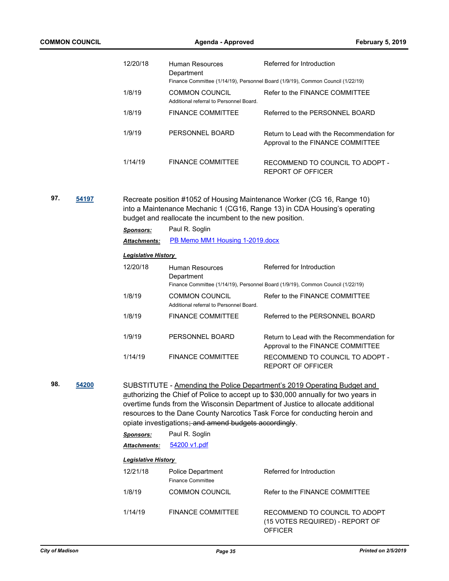|     |       | 12/20/18                   | <b>Human Resources</b><br>Department                                       | Referred for Introduction                                                                                                                                                                                                                                                                                                      |
|-----|-------|----------------------------|----------------------------------------------------------------------------|--------------------------------------------------------------------------------------------------------------------------------------------------------------------------------------------------------------------------------------------------------------------------------------------------------------------------------|
|     |       |                            |                                                                            | Finance Committee (1/14/19), Personnel Board (1/9/19), Common Council (1/22/19)                                                                                                                                                                                                                                                |
|     |       | 1/8/19                     | <b>COMMON COUNCIL</b><br>Additional referral to Personnel Board.           | Refer to the FINANCE COMMITTEE                                                                                                                                                                                                                                                                                                 |
|     |       | 1/8/19                     | <b>FINANCE COMMITTEE</b>                                                   | Referred to the PERSONNEL BOARD                                                                                                                                                                                                                                                                                                |
|     |       | 1/9/19                     | PERSONNEL BOARD                                                            | Return to Lead with the Recommendation for<br>Approval to the FINANCE COMMITTEE                                                                                                                                                                                                                                                |
|     |       | 1/14/19                    | <b>FINANCE COMMITTEE</b>                                                   | RECOMMEND TO COUNCIL TO ADOPT -<br><b>REPORT OF OFFICER</b>                                                                                                                                                                                                                                                                    |
| 97. | 54197 |                            | budget and reallocate the incumbent to the new position.<br>Paul R. Soglin | Recreate position #1052 of Housing Maintenance Worker (CG 16, Range 10)<br>into a Maintenance Mechanic 1 (CG16, Range 13) in CDA Housing's operating                                                                                                                                                                           |
|     |       | <b>Sponsors:</b>           | PB Memo MM1 Housing 1-2019.docx                                            |                                                                                                                                                                                                                                                                                                                                |
|     |       | Attachments:               |                                                                            |                                                                                                                                                                                                                                                                                                                                |
|     |       | <b>Legislative History</b> |                                                                            |                                                                                                                                                                                                                                                                                                                                |
|     |       | 12/20/18                   | <b>Human Resources</b><br>Department                                       | Referred for Introduction<br>Finance Committee (1/14/19), Personnel Board (1/9/19), Common Council (1/22/19)                                                                                                                                                                                                                   |
|     |       | 1/8/19                     | <b>COMMON COUNCIL</b><br>Additional referral to Personnel Board.           | Refer to the FINANCE COMMITTEE                                                                                                                                                                                                                                                                                                 |
|     |       | 1/8/19                     | <b>FINANCE COMMITTEE</b>                                                   | Referred to the PERSONNEL BOARD                                                                                                                                                                                                                                                                                                |
|     |       | 1/9/19                     | PERSONNEL BOARD                                                            | Return to Lead with the Recommendation for<br>Approval to the FINANCE COMMITTEE                                                                                                                                                                                                                                                |
|     |       | 1/14/19                    | <b>FINANCE COMMITTEE</b>                                                   | RECOMMEND TO COUNCIL TO ADOPT -<br><b>REPORT OF OFFICER</b>                                                                                                                                                                                                                                                                    |
| 98. | 54200 |                            | opiate investigations; and amend budgets accordingly.                      | SUBSTITUTE - Amending the Police Department's 2019 Operating Budget and<br>authorizing the Chief of Police to accept up to \$30,000 annually for two years in<br>overtime funds from the Wisconsin Department of Justice to allocate additional<br>resources to the Dane County Narcotics Task Force for conducting heroin and |
|     |       | <b>Sponsors:</b>           | Paul R. Soglin                                                             |                                                                                                                                                                                                                                                                                                                                |
|     |       | <b>Attachments:</b>        | 54200 v1.pdf                                                               |                                                                                                                                                                                                                                                                                                                                |
|     |       | <b>Legislative History</b> |                                                                            |                                                                                                                                                                                                                                                                                                                                |
|     |       | 12/21/18                   | Police Department<br><b>Finance Committee</b>                              | Referred for Introduction                                                                                                                                                                                                                                                                                                      |
|     |       | 1/8/19                     | <b>COMMON COUNCIL</b>                                                      | Refer to the FINANCE COMMITTEE                                                                                                                                                                                                                                                                                                 |
|     |       | 1/14/19                    | <b>FINANCE COMMITTEE</b>                                                   | RECOMMEND TO COUNCIL TO ADOPT<br>(15 VOTES REQUIRED) - REPORT OF<br><b>OFFICER</b>                                                                                                                                                                                                                                             |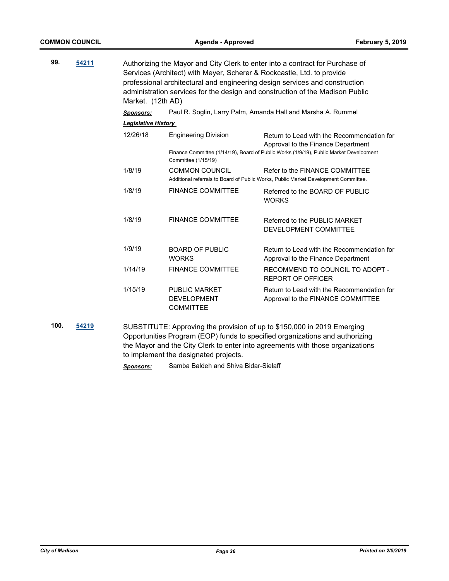| 99. | 54211 | Authorizing the Mayor and City Clerk to enter into a contract for Purchase of<br>Services (Architect) with Meyer, Scherer & Rockcastle, Ltd. to provide<br>professional architectural and engineering design services and construction<br>administration services for the design and construction of the Madison Public<br>Market. (12th AD) |                                                                |                                                                                                                                                                            |  |
|-----|-------|----------------------------------------------------------------------------------------------------------------------------------------------------------------------------------------------------------------------------------------------------------------------------------------------------------------------------------------------|----------------------------------------------------------------|----------------------------------------------------------------------------------------------------------------------------------------------------------------------------|--|
|     |       | <b>Sponsors:</b>                                                                                                                                                                                                                                                                                                                             |                                                                | Paul R. Soglin, Larry Palm, Amanda Hall and Marsha A. Rummel                                                                                                               |  |
|     |       | <b>Legislative History</b>                                                                                                                                                                                                                                                                                                                   |                                                                |                                                                                                                                                                            |  |
|     |       | 12/26/18                                                                                                                                                                                                                                                                                                                                     | <b>Engineering Division</b><br>Committee (1/15/19)             | Return to Lead with the Recommendation for<br>Approval to the Finance Department<br>Finance Committee (1/14/19), Board of Public Works (1/9/19), Public Market Development |  |
|     |       | 1/8/19                                                                                                                                                                                                                                                                                                                                       | <b>COMMON COUNCIL</b>                                          | Refer to the FINANCE COMMITTEE<br>Additional referrals to Board of Public Works, Public Market Development Committee.                                                      |  |
|     |       | 1/8/19                                                                                                                                                                                                                                                                                                                                       | <b>FINANCE COMMITTEE</b>                                       | Referred to the BOARD OF PUBLIC<br><b>WORKS</b>                                                                                                                            |  |
|     |       | 1/8/19                                                                                                                                                                                                                                                                                                                                       | <b>FINANCE COMMITTEE</b>                                       | Referred to the PUBLIC MARKET<br>DEVELOPMENT COMMITTEE                                                                                                                     |  |
|     |       | 1/9/19                                                                                                                                                                                                                                                                                                                                       | <b>BOARD OF PUBLIC</b><br><b>WORKS</b>                         | Return to Lead with the Recommendation for<br>Approval to the Finance Department                                                                                           |  |
|     |       | 1/14/19                                                                                                                                                                                                                                                                                                                                      | <b>FINANCE COMMITTEE</b>                                       | RECOMMEND TO COUNCIL TO ADOPT -<br><b>REPORT OF OFFICER</b>                                                                                                                |  |
|     |       | 1/15/19                                                                                                                                                                                                                                                                                                                                      | <b>PUBLIC MARKET</b><br><b>DEVELOPMENT</b><br><b>COMMITTEE</b> | Return to Lead with the Recommendation for<br>Approval to the FINANCE COMMITTEE                                                                                            |  |

**100. [54219](http://madison.legistar.com/gateway.aspx?m=l&id=/matter.aspx?key=63752)** SUBSTITUTE: Approving the provision of up to \$150,000 in 2019 Emerging Opportunities Program (EOP) funds to specified organizations and authorizing the Mayor and the City Clerk to enter into agreements with those organizations to implement the designated projects.

*Sponsors:* Samba Baldeh and Shiva Bidar-Sielaff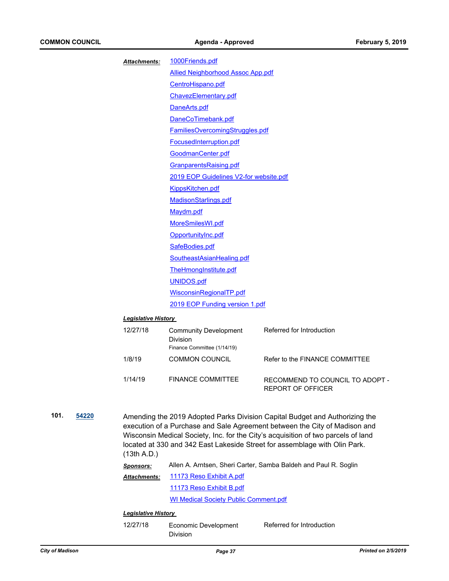|               | Attachments:               | 1000Friends.pdf                                                         |                                                                                                                                                                                                                                                                                                                              |  |
|---------------|----------------------------|-------------------------------------------------------------------------|------------------------------------------------------------------------------------------------------------------------------------------------------------------------------------------------------------------------------------------------------------------------------------------------------------------------------|--|
|               |                            | <b>Allied Neighborhood Assoc App.pdf</b>                                |                                                                                                                                                                                                                                                                                                                              |  |
|               |                            | CentroHispano.pdf                                                       |                                                                                                                                                                                                                                                                                                                              |  |
|               |                            | ChavezElementary.pdf                                                    |                                                                                                                                                                                                                                                                                                                              |  |
|               |                            | DaneArts.pdf                                                            |                                                                                                                                                                                                                                                                                                                              |  |
|               |                            | DaneCoTimebank.pdf                                                      |                                                                                                                                                                                                                                                                                                                              |  |
|               |                            | <b>FamiliesOvercomingStruggles.pdf</b>                                  |                                                                                                                                                                                                                                                                                                                              |  |
|               |                            | FocusedInterruption.pdf                                                 |                                                                                                                                                                                                                                                                                                                              |  |
|               |                            | GoodmanCenter.pdf                                                       |                                                                                                                                                                                                                                                                                                                              |  |
|               |                            | GranparentsRaising.pdf                                                  |                                                                                                                                                                                                                                                                                                                              |  |
|               |                            | 2019 EOP Guidelines V2-for website.pdf                                  |                                                                                                                                                                                                                                                                                                                              |  |
|               |                            | KippsKitchen.pdf                                                        |                                                                                                                                                                                                                                                                                                                              |  |
|               |                            | MadisonStarlings.pdf                                                    |                                                                                                                                                                                                                                                                                                                              |  |
|               |                            | Maydm.pdf                                                               |                                                                                                                                                                                                                                                                                                                              |  |
|               |                            | MoreSmilesWI.pdf                                                        |                                                                                                                                                                                                                                                                                                                              |  |
|               |                            | OpportunityInc.pdf                                                      |                                                                                                                                                                                                                                                                                                                              |  |
|               |                            | SafeBodies.pdf                                                          |                                                                                                                                                                                                                                                                                                                              |  |
|               |                            | SoutheastAsianHealing.pdf                                               |                                                                                                                                                                                                                                                                                                                              |  |
|               |                            | TheHmongInstitute.pdf                                                   |                                                                                                                                                                                                                                                                                                                              |  |
|               |                            | UNIDOS.pdf                                                              |                                                                                                                                                                                                                                                                                                                              |  |
|               |                            | WisconsinRegionalTP.pdf                                                 |                                                                                                                                                                                                                                                                                                                              |  |
|               |                            | 2019 EOP Funding version 1.pdf                                          |                                                                                                                                                                                                                                                                                                                              |  |
|               | <b>Legislative History</b> |                                                                         |                                                                                                                                                                                                                                                                                                                              |  |
|               | 12/27/18                   | <b>Community Development</b><br>Division<br>Finance Committee (1/14/19) | Referred for Introduction                                                                                                                                                                                                                                                                                                    |  |
|               | 1/8/19                     | <b>COMMON COUNCIL</b>                                                   | Refer to the FINANCE COMMITTEE                                                                                                                                                                                                                                                                                               |  |
|               | 1/14/19                    | <b>FINANCE COMMITTEE</b>                                                | RECOMMEND TO COUNCIL TO ADOPT -<br><b>REPORT OF OFFICER</b>                                                                                                                                                                                                                                                                  |  |
| 101.<br>54220 | (13th A.D.)                |                                                                         | Amending the 2019 Adopted Parks Division Capital Budget and Authorizing the<br>execution of a Purchase and Sale Agreement between the City of Madison and<br>Wisconsin Medical Society, Inc. for the City's acquisition of two parcels of land<br>located at 330 and 342 East Lakeside Street for assemblage with Olin Park. |  |
|               | Sponsors:                  |                                                                         | Allen A. Arntsen, Sheri Carter, Samba Baldeh and Paul R. Soglin                                                                                                                                                                                                                                                              |  |
|               | Attachments:               | 11173 Reso Exhibit A.pdf                                                |                                                                                                                                                                                                                                                                                                                              |  |
|               |                            | 11173 Reso Exhibit B.pdf                                                |                                                                                                                                                                                                                                                                                                                              |  |

[WI Medical Society Public Comment.pdf](http://madison.legistar.com/gateway.aspx?M=F&ID=e8fcbeec-dbb1-438d-8c02-01e82e347c26.pdf)

#### *Legislative History*

12/27/18 Economic Development Division Referred for Introduction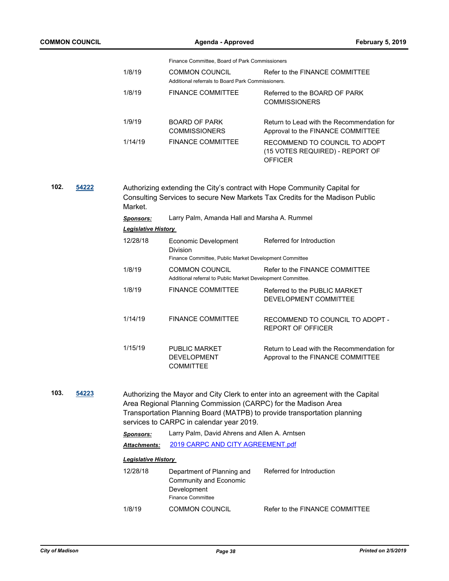| COMMON COUNCIL |                            | <b>Agenda - Approved</b>                                                                                                                                                                                                                                                   |                                                                                    | <b>February 5, 2019</b> |
|----------------|----------------------------|----------------------------------------------------------------------------------------------------------------------------------------------------------------------------------------------------------------------------------------------------------------------------|------------------------------------------------------------------------------------|-------------------------|
|                |                            | Finance Committee, Board of Park Commissioners                                                                                                                                                                                                                             |                                                                                    |                         |
|                | 1/8/19                     | <b>COMMON COUNCIL</b><br>Additional referrals to Board Park Commissioners.                                                                                                                                                                                                 | Refer to the FINANCE COMMITTEE                                                     |                         |
|                | 1/8/19                     | <b>FINANCE COMMITTEE</b>                                                                                                                                                                                                                                                   | Referred to the BOARD OF PARK<br><b>COMMISSIONERS</b>                              |                         |
|                | 1/9/19                     | <b>BOARD OF PARK</b><br><b>COMMISSIONERS</b>                                                                                                                                                                                                                               | Return to Lead with the Recommendation for<br>Approval to the FINANCE COMMITTEE    |                         |
|                | 1/14/19                    | <b>FINANCE COMMITTEE</b>                                                                                                                                                                                                                                                   | RECOMMEND TO COUNCIL TO ADOPT<br>(15 VOTES REQUIRED) - REPORT OF<br><b>OFFICER</b> |                         |
| 102.<br>54222  | Market.                    | Authorizing extending the City's contract with Hope Community Capital for<br>Consulting Services to secure New Markets Tax Credits for the Madison Public                                                                                                                  |                                                                                    |                         |
|                | <b>Sponsors:</b>           | Larry Palm, Amanda Hall and Marsha A. Rummel                                                                                                                                                                                                                               |                                                                                    |                         |
|                | <b>Legislative History</b> |                                                                                                                                                                                                                                                                            |                                                                                    |                         |
|                | 12/28/18                   | Economic Development<br><b>Division</b><br>Finance Committee, Public Market Development Committee                                                                                                                                                                          | Referred for Introduction                                                          |                         |
|                | 1/8/19                     | <b>COMMON COUNCIL</b><br>Additional referral to Public Market Development Committee.                                                                                                                                                                                       | Refer to the FINANCE COMMITTEE                                                     |                         |
|                | 1/8/19                     | <b>FINANCE COMMITTEE</b>                                                                                                                                                                                                                                                   | Referred to the PUBLIC MARKET<br>DEVELOPMENT COMMITTEE                             |                         |
|                | 1/14/19                    | <b>FINANCE COMMITTEE</b>                                                                                                                                                                                                                                                   | RECOMMEND TO COUNCIL TO ADOPT -<br><b>REPORT OF OFFICER</b>                        |                         |
|                | 1/15/19                    | <b>PUBLIC MARKET</b><br><b>DEVELOPMENT</b><br><b>COMMITTEE</b>                                                                                                                                                                                                             | Return to Lead with the Recommendation for<br>Approval to the FINANCE COMMITTEE    |                         |
| 103.<br>54223  |                            | Authorizing the Mayor and City Clerk to enter into an agreement with the Capital<br>Area Regional Planning Commission (CARPC) for the Madison Area<br>Transportation Planning Board (MATPB) to provide transportation planning<br>services to CARPC in calendar year 2019. |                                                                                    |                         |
|                | <b>Sponsors:</b>           | Larry Palm, David Ahrens and Allen A. Arntsen                                                                                                                                                                                                                              |                                                                                    |                         |
|                | <b>Attachments:</b>        | 2019 CARPC AND CITY AGREEMENT.pdf                                                                                                                                                                                                                                          |                                                                                    |                         |
|                | <b>Legislative History</b> |                                                                                                                                                                                                                                                                            |                                                                                    |                         |
|                | 12/28/18                   | Department of Planning and<br>Community and Economic<br>Development<br><b>Finance Committee</b>                                                                                                                                                                            | Referred for Introduction                                                          |                         |
|                | 1/8/19                     | <b>COMMON COUNCIL</b>                                                                                                                                                                                                                                                      | Refer to the FINANCE COMMITTEE                                                     |                         |
|                |                            |                                                                                                                                                                                                                                                                            |                                                                                    |                         |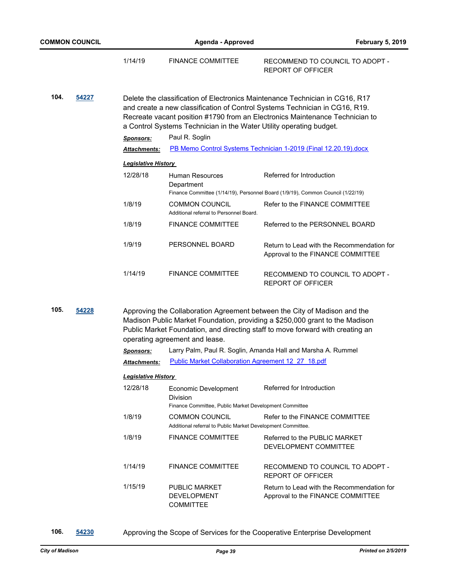|      |                            | 1/14/19                    | <b>FINANCE COMMITTEE</b>                                                                   | RECOMMEND TO COUNCIL TO ADOPT -<br>REPORT OF OFFICER                                                                                                                                                                                        |
|------|----------------------------|----------------------------|--------------------------------------------------------------------------------------------|---------------------------------------------------------------------------------------------------------------------------------------------------------------------------------------------------------------------------------------------|
| 104. | 54227                      |                            | a Control Systems Technician in the Water Utility operating budget.                        | Delete the classification of Electronics Maintenance Technician in CG16, R17<br>and create a new classification of Control Systems Technician in CG16, R19.<br>Recreate vacant position #1790 from an Electronics Maintenance Technician to |
|      |                            | <b>Sponsors:</b>           | Paul R. Soglin                                                                             |                                                                                                                                                                                                                                             |
|      |                            | <b>Attachments:</b>        |                                                                                            | PB Memo Control Systems Technician 1-2019 (Final 12.20.19).docx                                                                                                                                                                             |
|      | <b>Legislative History</b> |                            |                                                                                            |                                                                                                                                                                                                                                             |
|      |                            | 12/28/18                   | Human Resources<br>Department                                                              | Referred for Introduction<br>Finance Committee (1/14/19), Personnel Board (1/9/19), Common Council (1/22/19)                                                                                                                                |
|      |                            | 1/8/19                     | COMMON COUNCIL<br>Additional referral to Personnel Board.                                  | Refer to the FINANCE COMMITTEE                                                                                                                                                                                                              |
|      |                            | 1/8/19                     | <b>FINANCE COMMITTEE</b>                                                                   | Referred to the PERSONNEL BOARD                                                                                                                                                                                                             |
|      |                            | 1/9/19                     | PERSONNEL BOARD                                                                            | Return to Lead with the Recommendation for<br>Approval to the FINANCE COMMITTEE                                                                                                                                                             |
|      |                            | 1/14/19                    | <b>FINANCE COMMITTEE</b>                                                                   | RECOMMEND TO COUNCIL TO ADOPT -<br><b>REPORT OF OFFICER</b>                                                                                                                                                                                 |
| 105. | 54228                      |                            | operating agreement and lease.                                                             | Approving the Collaboration Agreement between the City of Madison and the<br>Madison Public Market Foundation, providing a \$250,000 grant to the Madison<br>Public Market Foundation, and directing staff to move forward with creating an |
|      |                            | <b>Sponsors:</b>           |                                                                                            | Larry Palm, Paul R. Soglin, Amanda Hall and Marsha A. Rummel                                                                                                                                                                                |
|      |                            | Attachments:               | Public Market Collaboration Agreement 12 27 18.pdf                                         |                                                                                                                                                                                                                                             |
|      |                            | <b>Legislative History</b> |                                                                                            |                                                                                                                                                                                                                                             |
|      |                            | 12/28/18                   | Economic Development<br>Division<br>Finance Committee, Public Market Development Committee | Referred for Introduction                                                                                                                                                                                                                   |

| 1/8/19  | <b>COMMON COUNCIL</b><br>Additional referral to Public Market Development Committee. | Refer to the FINANCE COMMITTEE                                                  |
|---------|--------------------------------------------------------------------------------------|---------------------------------------------------------------------------------|
| 1/8/19  | <b>FINANCE COMMITTEE</b>                                                             | Referred to the PUBLIC MARKET<br>DEVELOPMENT COMMITTEE                          |
| 1/14/19 | <b>FINANCE COMMITTEE</b>                                                             | RECOMMEND TO COUNCIL TO ADOPT -<br>REPORT OF OFFICER                            |
| 1/15/19 | PUBLIC MARKET<br><b>DEVELOPMENT</b>                                                  | Return to Lead with the Recommendation for<br>Approval to the FINANCE COMMITTEE |

**106. [54230](http://madison.legistar.com/gateway.aspx?m=l&id=/matter.aspx?key=63763)** Approving the Scope of Services for the Cooperative Enterprise Development

COMMITTEE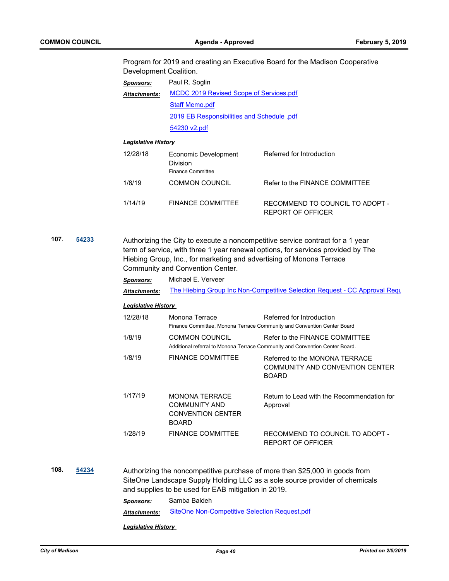Program for 2019 and creating an Executive Board for the Madison Cooperative Development Coalition.

| <b>Sponsors:</b>    | Paul R. Soglin                             |  |
|---------------------|--------------------------------------------|--|
| <b>Attachments:</b> | MCDC 2019 Revised Scope of Services.pdf    |  |
|                     | <b>Staff Memo.pdf</b>                      |  |
|                     | 2019 EB Responsibilities and Schedule .pdf |  |
|                     | 54230 v2.pdf                               |  |

#### *Legislative History*

| 12/28/18 | Economic Development<br>Division<br><b>Finance Committee</b> | Referred for Introduction                            |
|----------|--------------------------------------------------------------|------------------------------------------------------|
| 1/8/19   | <b>COMMON COUNCIL</b>                                        | Refer to the FINANCE COMMITTEE                       |
| 1/14/19  | <b>FINANCE COMMITTEE</b>                                     | RECOMMEND TO COUNCIL TO ADOPT -<br>REPORT OF OFFICER |

**107. [54233](http://madison.legistar.com/gateway.aspx?m=l&id=/matter.aspx?key=63766)** Authorizing the City to execute a noncompetitive service contract for a 1 year term of service, with three 1 year renewal options, for services provided by The Hiebing Group, Inc., for marketing and advertising of Monona Terrace Community and Convention Center.

| Sponsors:                  | Michael E. Verveer                                                                        |                                                                                                                |  |
|----------------------------|-------------------------------------------------------------------------------------------|----------------------------------------------------------------------------------------------------------------|--|
| <b>Attachments:</b>        | The Hiebing Group Inc Non-Competitive Selection Request - CC Approval Requ                |                                                                                                                |  |
| <b>Legislative History</b> |                                                                                           |                                                                                                                |  |
| 12/28/18                   | Monona Terrace                                                                            | Referred for Introduction<br>Finance Committee, Monona Terrace Community and Convention Center Board           |  |
| 1/8/19                     | COMMON COUNCIL                                                                            | Refer to the FINANCE COMMITTEE<br>Additional referral to Monona Terrace Community and Convention Center Board. |  |
| 1/8/19                     | <b>FINANCE COMMITTEE</b>                                                                  | Referred to the MONONA TERRACE<br>COMMUNITY AND CONVENTION CENTER<br><b>BOARD</b>                              |  |
| 1/17/19                    | <b>MONONA TERRACE</b><br><b>COMMUNITY AND</b><br><b>CONVENTION CENTER</b><br><b>BOARD</b> | Return to Lead with the Recommendation for<br>Approval                                                         |  |
| 1/28/19                    | <b>FINANCE COMMITTEE</b>                                                                  | RECOMMEND TO COUNCIL TO ADOPT -<br>REPORT OF OFFICER                                                           |  |

**108. [54234](http://madison.legistar.com/gateway.aspx?m=l&id=/matter.aspx?key=63767)** Authorizing the noncompetitive purchase of more than \$25,000 in goods from SiteOne Landscape Supply Holding LLC as a sole source provider of chemicals and supplies to be used for EAB mitigation in 2019. *Sponsors:* Samba Baldeh *Attachments:* [SiteOne Non-Competitive Selection Request.pdf](http://madison.legistar.com/gateway.aspx?M=F&ID=abf2e035-4114-4589-8774-d9eadd590b64.pdf)

*Legislative History*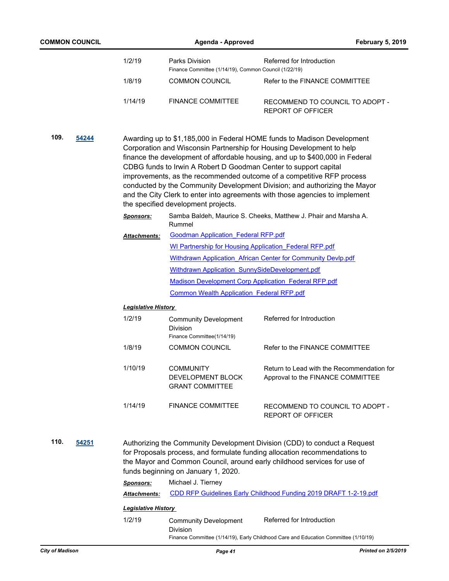|      | <b>COMMON COUNCIL</b> |                                      | Agenda - Approved                                                       | <b>February 5, 2019</b>                                                                                                                                                                                                                                                                                                                                                                                                                                                                                                                      |
|------|-----------------------|--------------------------------------|-------------------------------------------------------------------------|----------------------------------------------------------------------------------------------------------------------------------------------------------------------------------------------------------------------------------------------------------------------------------------------------------------------------------------------------------------------------------------------------------------------------------------------------------------------------------------------------------------------------------------------|
|      |                       | 1/2/19                               | Parks Division<br>Finance Committee (1/14/19), Common Council (1/22/19) | Referred for Introduction                                                                                                                                                                                                                                                                                                                                                                                                                                                                                                                    |
|      |                       | 1/8/19                               | <b>COMMON COUNCIL</b>                                                   | Refer to the FINANCE COMMITTEE                                                                                                                                                                                                                                                                                                                                                                                                                                                                                                               |
|      |                       | 1/14/19                              | <b>FINANCE COMMITTEE</b>                                                | RECOMMEND TO COUNCIL TO ADOPT -<br><b>REPORT OF OFFICER</b>                                                                                                                                                                                                                                                                                                                                                                                                                                                                                  |
| 109. | 54244                 |                                      | the specified development projects.                                     | Awarding up to \$1,185,000 in Federal HOME funds to Madison Development<br>Corporation and Wisconsin Partnership for Housing Development to help<br>finance the development of affordable housing, and up to \$400,000 in Federal<br>CDBG funds to Irwin A Robert D Goodman Center to support capital<br>improvements, as the recommended outcome of a competitive RFP process<br>conducted by the Community Development Division; and authorizing the Mayor<br>and the City Clerk to enter into agreements with those agencies to implement |
|      |                       | <b>Sponsors:</b>                     | Rummel                                                                  | Samba Baldeh, Maurice S. Cheeks, Matthew J. Phair and Marsha A.                                                                                                                                                                                                                                                                                                                                                                                                                                                                              |
|      |                       | <b>Attachments:</b>                  | <b>Goodman Application Federal RFP.pdf</b>                              |                                                                                                                                                                                                                                                                                                                                                                                                                                                                                                                                              |
|      |                       |                                      |                                                                         | <b>WI Partnership for Housing Application Federal RFP.pdf</b>                                                                                                                                                                                                                                                                                                                                                                                                                                                                                |
|      |                       |                                      |                                                                         | Withdrawn Application African Center for Community Devlp.pdf                                                                                                                                                                                                                                                                                                                                                                                                                                                                                 |
|      |                       |                                      | Withdrawn Application SunnySideDevelopment.pdf                          |                                                                                                                                                                                                                                                                                                                                                                                                                                                                                                                                              |
|      |                       |                                      |                                                                         | <b>Madison Development Corp Application Federal RFP.pdf</b>                                                                                                                                                                                                                                                                                                                                                                                                                                                                                  |
|      |                       |                                      | <b>Common Wealth Application Federal RFP.pdf</b>                        |                                                                                                                                                                                                                                                                                                                                                                                                                                                                                                                                              |
|      |                       |                                      |                                                                         |                                                                                                                                                                                                                                                                                                                                                                                                                                                                                                                                              |
|      |                       | <b>Legislative History</b><br>1/2/19 | <b>Community Development</b><br>Division<br>Finance Committee(1/14/19)  | Referred for Introduction                                                                                                                                                                                                                                                                                                                                                                                                                                                                                                                    |
|      |                       | 1/8/19                               | <b>COMMON COUNCIL</b>                                                   | Refer to the FINANCE COMMITTEE                                                                                                                                                                                                                                                                                                                                                                                                                                                                                                               |
|      |                       | 1/10/19                              | <b>COMMUNITY</b><br>DEVELOPMENT BLOCK<br><b>GRANT COMMITTEE</b>         | Return to Lead with the Recommendation for<br>Approval to the FINANCE COMMITTEE                                                                                                                                                                                                                                                                                                                                                                                                                                                              |
|      |                       | 1/14/19                              | <b>FINANCE COMMITTEE</b>                                                | RECOMMEND TO COUNCIL TO ADOPT -<br><b>REPORT OF OFFICER</b>                                                                                                                                                                                                                                                                                                                                                                                                                                                                                  |
| 110. | 54251                 | Sponsors:                            | funds beginning on January 1, 2020.<br>Michael J. Tierney               | Authorizing the Community Development Division (CDD) to conduct a Request<br>for Proposals process, and formulate funding allocation recommendations to<br>the Mayor and Common Council, around early childhood services for use of                                                                                                                                                                                                                                                                                                          |
|      |                       | <b>Attachments:</b>                  |                                                                         | CDD RFP Guidelines Early Childhood Funding 2019 DRAFT 1-2-19.pdf                                                                                                                                                                                                                                                                                                                                                                                                                                                                             |
|      |                       | <b>Legislative History</b>           |                                                                         |                                                                                                                                                                                                                                                                                                                                                                                                                                                                                                                                              |
|      |                       | 1/2/19                               | <b>Community Development</b><br><b>Division</b>                         | Referred for Introduction<br>Finance Committee (1/14/19), Early Childhood Care and Education Committee (1/10/19)                                                                                                                                                                                                                                                                                                                                                                                                                             |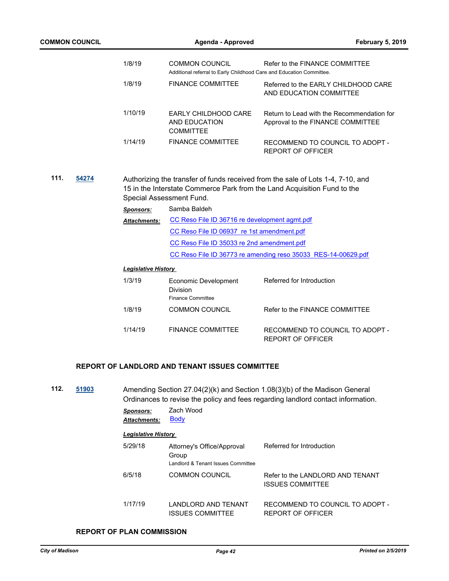| <b>COMMON COUNCIL</b> |                            | Agenda - Approved                                                                             | <b>February 5, 2019</b>                                                                                                                                     |
|-----------------------|----------------------------|-----------------------------------------------------------------------------------------------|-------------------------------------------------------------------------------------------------------------------------------------------------------------|
|                       | 1/8/19                     | <b>COMMON COUNCIL</b><br>Additional referral to Early Childhood Care and Education Committee. | Refer to the FINANCE COMMITTEE                                                                                                                              |
|                       | 1/8/19                     | <b>FINANCE COMMITTEE</b>                                                                      | Referred to the EARLY CHILDHOOD CARE<br>AND EDUCATION COMMITTEE                                                                                             |
|                       | 1/10/19                    | EARLY CHILDHOOD CARE<br>AND EDUCATION<br><b>COMMITTEE</b>                                     | Return to Lead with the Recommendation for<br>Approval to the FINANCE COMMITTEE                                                                             |
|                       | 1/14/19                    | <b>FINANCE COMMITTEE</b>                                                                      | RECOMMEND TO COUNCIL TO ADOPT -<br>REPORT OF OFFICER                                                                                                        |
| 111.<br>54274         |                            | Special Assessment Fund.                                                                      | Authorizing the transfer of funds received from the sale of Lots 1-4, 7-10, and<br>15 in the Interstate Commerce Park from the Land Acquisition Fund to the |
|                       | <b>Sponsors:</b>           | Samba Baldeh                                                                                  |                                                                                                                                                             |
|                       | <b>Attachments:</b>        | CC Reso File ID 36716 re development agmt.pdf                                                 |                                                                                                                                                             |
|                       |                            | CC Reso File ID 06937 re 1st amendment.pdf                                                    |                                                                                                                                                             |
|                       |                            | CC Reso File ID 35033 re 2nd amendment.pdf                                                    |                                                                                                                                                             |
|                       |                            |                                                                                               | CC Reso File ID 36773 re amending reso 35033 RES-14-00629.pdf                                                                                               |
|                       | <b>Legislative History</b> |                                                                                               |                                                                                                                                                             |
|                       | 1/3/19                     | Economic Development<br>Division<br><b>Finance Committee</b>                                  | Referred for Introduction                                                                                                                                   |
|                       | 1/8/19                     | <b>COMMON COUNCIL</b>                                                                         | Refer to the FINANCE COMMITTEE                                                                                                                              |
|                       | 1/14/19                    | <b>FINANCE COMMITTEE</b>                                                                      | RECOMMEND TO COUNCIL TO ADOPT -<br><b>REPORT OF OFFICER</b>                                                                                                 |
|                       |                            | <b>REPORT OF LANDLORD AND TENANT ISSUES COMMITTEE</b>                                         |                                                                                                                                                             |

**112. [51903](http://madison.legistar.com/gateway.aspx?m=l&id=/matter.aspx?key=57593)** Amending Section 27.04(2)(k) and Section 1.08(3)(b) of the Madison General Ordinances to revise the policy and fees regarding landlord contact information.

*Sponsors:* Zach Wood **Attachments: [Body](http://madison.legistar.com/gateway.aspx?M=F&ID=6235feca-6931-420c-9de2-8b5bb68f4fd8.pdf)** 

## *Legislative History*

| 5/29/18 | Attorney's Office/Approval<br>Group<br>Landlord & Tenant Issues Committee | Referred for Introduction                                   |
|---------|---------------------------------------------------------------------------|-------------------------------------------------------------|
| 6/5/18  | <b>COMMON COUNCIL</b>                                                     | Refer to the LANDLORD AND TENANT<br><b>ISSUES COMMITTEE</b> |
| 1/17/19 | LANDLORD AND TENANT<br><b>ISSUES COMMITTEE</b>                            | RECOMMEND TO COUNCIL TO ADOPT -<br>REPORT OF OFFICER        |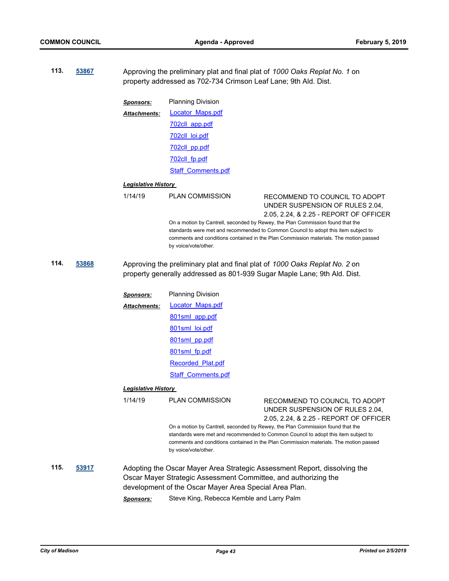**113. [53867](http://madison.legistar.com/gateway.aspx?m=l&id=/matter.aspx?key=62425)** Approving the preliminary plat and final plat of *1000 Oaks Replat No. 1* on property addressed as 702-734 Crimson Leaf Lane; 9th Ald. Dist. *Sponsors:* Planning Division [Locator\\_Maps.pdf](http://madison.legistar.com/gateway.aspx?M=F&ID=48228ac3-3ba7-406d-8d1e-e406f570c11c.pdf) [702cll\\_app.pdf](http://madison.legistar.com/gateway.aspx?M=F&ID=a01b3975-286a-422e-b2c7-0650fd36452e.pdf) [702cll\\_loi.pdf](http://madison.legistar.com/gateway.aspx?M=F&ID=fe0e6733-9efb-4bc9-b152-84a9d656dbc8.pdf) [702cll\\_pp.pdf](http://madison.legistar.com/gateway.aspx?M=F&ID=70bf190f-01c1-4927-95ad-84a352ae2bd5.pdf) [702cll\\_fp.pdf](http://madison.legistar.com/gateway.aspx?M=F&ID=d869a340-89cb-4e82-ae1f-43bd1dd0e633.pdf) [Staff\\_Comments.pdf](http://madison.legistar.com/gateway.aspx?M=F&ID=150ca2c0-d8e8-4ed5-a3ac-c44eae71b14e.pdf) *Attachments: Legislative History*  1/14/19 PLAN COMMISSION RECOMMEND TO COUNCIL TO ADOPT UNDER SUSPENSION OF RULES 2.04, 2.05, 2.24, & 2.25 - REPORT OF OFFICER On a motion by Cantrell, seconded by Rewey, the Plan Commission found that the standards were met and recommended to Common Council to adopt this item subject to comments and conditions contained in the Plan Commission materials. The motion passed by voice/vote/other. **114. [53868](http://madison.legistar.com/gateway.aspx?m=l&id=/matter.aspx?key=62426)** Approving the preliminary plat and final plat of *1000 Oaks Replat No. 2* on property generally addressed as 801-939 Sugar Maple Lane; 9th Ald. Dist. *Sponsors:* Planning Division [Locator\\_Maps.pdf](http://madison.legistar.com/gateway.aspx?M=F&ID=a2183b77-8494-4f98-9fb0-f72833e15cfd.pdf) [801sml\\_app.pdf](http://madison.legistar.com/gateway.aspx?M=F&ID=0dd63983-cca4-470f-90d2-d6cce217c929.pdf) [801sml\\_loi.pdf](http://madison.legistar.com/gateway.aspx?M=F&ID=828dea02-41cd-468f-9624-83e1a10396b5.pdf) [801sml\\_pp.pdf](http://madison.legistar.com/gateway.aspx?M=F&ID=bfd81fc3-12b0-4f62-a0bf-27b312a14635.pdf) [801sml\\_fp.pdf](http://madison.legistar.com/gateway.aspx?M=F&ID=5b478a8d-a22f-4788-b2e7-69617e86524a.pdf) [Recorded\\_Plat.pdf](http://madison.legistar.com/gateway.aspx?M=F&ID=d19fc921-90ed-48e6-83be-7cb68f912846.pdf) [Staff\\_Comments.pdf](http://madison.legistar.com/gateway.aspx?M=F&ID=f37d6a50-a2fa-480b-a928-6b63994d7aaf.pdf) *Attachments: Legislative History*  1/14/19 PLAN COMMISSION RECOMMEND TO COUNCIL TO ADOPT UNDER SUSPENSION OF RULES 2.04, 2.05, 2.24, & 2.25 - REPORT OF OFFICER On a motion by Cantrell, seconded by Rewey, the Plan Commission found that the standards were met and recommended to Common Council to adopt this item subject to comments and conditions contained in the Plan Commission materials. The motion passed by voice/vote/other. **115. [53917](http://madison.legistar.com/gateway.aspx?m=l&id=/matter.aspx?key=62475)** Adopting the Oscar Mayer Area Strategic Assessment Report, dissolving the Oscar Mayer Strategic Assessment Committee, and authorizing the development of the Oscar Mayer Area Special Area Plan.

*Sponsors:* Steve King, Rebecca Kemble and Larry Palm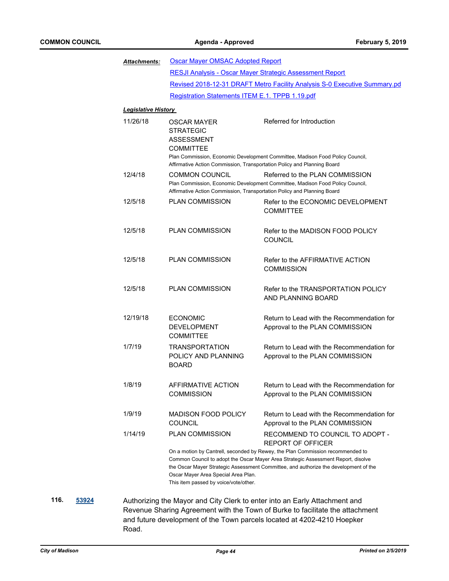| <b>Attachments:</b>        | <b>Oscar Mayer OMSAC Adopted Report</b>                                                                                                                    |                                                                                                                                                                                                                                                                                                                            |  |  |  |
|----------------------------|------------------------------------------------------------------------------------------------------------------------------------------------------------|----------------------------------------------------------------------------------------------------------------------------------------------------------------------------------------------------------------------------------------------------------------------------------------------------------------------------|--|--|--|
|                            | RESJI Analysis - Oscar Mayer Strategic Assessment Report                                                                                                   |                                                                                                                                                                                                                                                                                                                            |  |  |  |
|                            | Revised 2018-12-31 DRAFT Metro Facility Analysis S-0 Executive Summary.pd                                                                                  |                                                                                                                                                                                                                                                                                                                            |  |  |  |
|                            | Registration Statements ITEM E.1. TPPB 1.19.pdf                                                                                                            |                                                                                                                                                                                                                                                                                                                            |  |  |  |
| <b>Legislative History</b> |                                                                                                                                                            |                                                                                                                                                                                                                                                                                                                            |  |  |  |
| 11/26/18                   | <b>OSCAR MAYER</b><br><b>STRATEGIC</b><br><b>ASSESSMENT</b><br><b>COMMITTEE</b><br>Affirmative Action Commission, Transportation Policy and Planning Board | Referred for Introduction<br>Plan Commission, Economic Development Committee, Madison Food Policy Council,                                                                                                                                                                                                                 |  |  |  |
| 12/4/18                    | <b>COMMON COUNCIL</b><br>Affirmative Action Commission, Transportation Policy and Planning Board                                                           | Referred to the PLAN COMMISSION<br>Plan Commission, Economic Development Committee, Madison Food Policy Council,                                                                                                                                                                                                           |  |  |  |
| 12/5/18                    | <b>PLAN COMMISSION</b>                                                                                                                                     | Refer to the ECONOMIC DEVELOPMENT<br><b>COMMITTEE</b>                                                                                                                                                                                                                                                                      |  |  |  |
| 12/5/18                    | PLAN COMMISSION                                                                                                                                            | Refer to the MADISON FOOD POLICY<br><b>COUNCIL</b>                                                                                                                                                                                                                                                                         |  |  |  |
| 12/5/18                    | <b>PLAN COMMISSION</b>                                                                                                                                     | Refer to the AFFIRMATIVE ACTION<br><b>COMMISSION</b>                                                                                                                                                                                                                                                                       |  |  |  |
| 12/5/18                    | <b>PLAN COMMISSION</b>                                                                                                                                     | Refer to the TRANSPORTATION POLICY<br>AND PLANNING BOARD                                                                                                                                                                                                                                                                   |  |  |  |
| 12/19/18                   | <b>ECONOMIC</b><br><b>DEVELOPMENT</b><br><b>COMMITTEE</b>                                                                                                  | Return to Lead with the Recommendation for<br>Approval to the PLAN COMMISSION                                                                                                                                                                                                                                              |  |  |  |
| 1/7/19                     | <b>TRANSPORTATION</b><br>POLICY AND PLANNING<br><b>BOARD</b>                                                                                               | Return to Lead with the Recommendation for<br>Approval to the PLAN COMMISSION                                                                                                                                                                                                                                              |  |  |  |
| 1/8/19                     | AFFIRMATIVE ACTION<br><b>COMMISSION</b>                                                                                                                    | Return to Lead with the Recommendation for<br>Approval to the PLAN COMMISSION                                                                                                                                                                                                                                              |  |  |  |
| 1/9/19                     | <b>MADISON FOOD POLICY</b><br><b>COUNCIL</b>                                                                                                               | Return to Lead with the Recommendation for<br>Approval to the PLAN COMMISSION                                                                                                                                                                                                                                              |  |  |  |
| 1/14/19                    | <b>PLAN COMMISSION</b><br>Oscar Mayer Area Special Area Plan.<br>This item passed by voice/vote/other.                                                     | RECOMMEND TO COUNCIL TO ADOPT -<br><b>REPORT OF OFFICER</b><br>On a motion by Cantrell, seconded by Rewey, the Plan Commission recommended to<br>Common Council to adopt the Oscar Mayer Area Strategic Assessment Report, disolve<br>the Oscar Mayer Strategic Assessment Committee, and authorize the development of the |  |  |  |

**116. [53924](http://madison.legistar.com/gateway.aspx?m=l&id=/matter.aspx?key=62481)** Authorizing the Mayor and City Clerk to enter into an Early Attachment and Revenue Sharing Agreement with the Town of Burke to facilitate the attachment and future development of the Town parcels located at 4202-4210 Hoepker Road.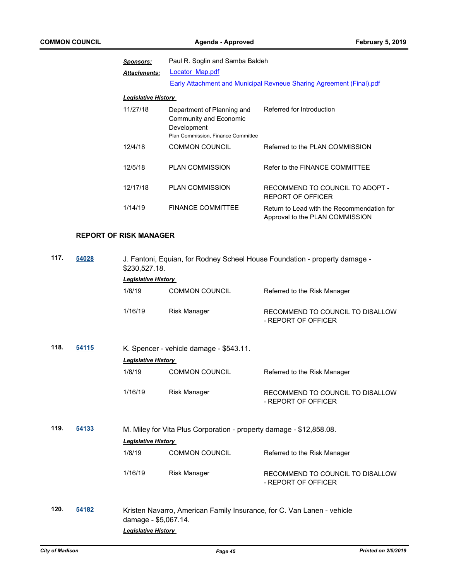| <b>Sponsors:</b>           | Paul R. Soglin and Samba Baldeh                                                                           |                                                                               |  |
|----------------------------|-----------------------------------------------------------------------------------------------------------|-------------------------------------------------------------------------------|--|
| <b>Attachments:</b>        | Locator Map.pdf                                                                                           |                                                                               |  |
|                            |                                                                                                           | Early Attachment and Municipal Revneue Sharing Agreement (Final).pdf          |  |
| <b>Legislative History</b> |                                                                                                           |                                                                               |  |
| 11/27/18                   | Department of Planning and<br>Community and Economic<br>Development<br>Plan Commission, Finance Committee | Referred for Introduction                                                     |  |
| 12/4/18                    | <b>COMMON COUNCIL</b>                                                                                     | Referred to the PLAN COMMISSION                                               |  |
| 12/5/18                    | <b>PLAN COMMISSION</b>                                                                                    | Refer to the FINANCE COMMITTEE                                                |  |
| 12/17/18                   | <b>PLAN COMMISSION</b>                                                                                    | RECOMMEND TO COUNCIL TO ADOPT -<br><b>REPORT OF OFFICER</b>                   |  |
| 1/14/19                    | <b>FINANCE COMMITTEE</b>                                                                                  | Return to Lead with the Recommendation for<br>Approval to the PLAN COMMISSION |  |

## **REPORT OF RISK MANAGER**

| 117.<br>54028 |       | J. Fantoni, Equian, for Rodney Scheel House Foundation - property damage -<br>\$230,527.18.<br><b>Legislative History</b> |                                                                        |                                                         |  |
|---------------|-------|---------------------------------------------------------------------------------------------------------------------------|------------------------------------------------------------------------|---------------------------------------------------------|--|
|               |       | 1/8/19                                                                                                                    | <b>COMMON COUNCIL</b>                                                  | Referred to the Risk Manager                            |  |
|               |       | 1/16/19                                                                                                                   | <b>Risk Manager</b>                                                    | RECOMMEND TO COUNCIL TO DISALLOW<br>- REPORT OF OFFICER |  |
| 118.          | 54115 | <b>Legislative History</b>                                                                                                | K. Spencer - vehicle damage - \$543.11.                                |                                                         |  |
|               |       | 1/8/19                                                                                                                    | <b>COMMON COUNCIL</b>                                                  | Referred to the Risk Manager                            |  |
|               |       | 1/16/19                                                                                                                   | <b>Risk Manager</b>                                                    | RECOMMEND TO COUNCIL TO DISALLOW<br>- REPORT OF OFFICER |  |
| 119.          | 54133 |                                                                                                                           | M. Miley for Vita Plus Corporation - property damage - \$12,858.08.    |                                                         |  |
|               |       | <b>Legislative History</b><br>1/8/19                                                                                      | <b>COMMON COUNCIL</b>                                                  | Referred to the Risk Manager                            |  |
|               |       | 1/16/19                                                                                                                   | <b>Risk Manager</b>                                                    | RECOMMEND TO COUNCIL TO DISALLOW<br>- REPORT OF OFFICER |  |
| 120.          | 54182 | damage - \$5,067.14.<br><b>Legislative History</b>                                                                        | Kristen Navarro, American Family Insurance, for C. Van Lanen - vehicle |                                                         |  |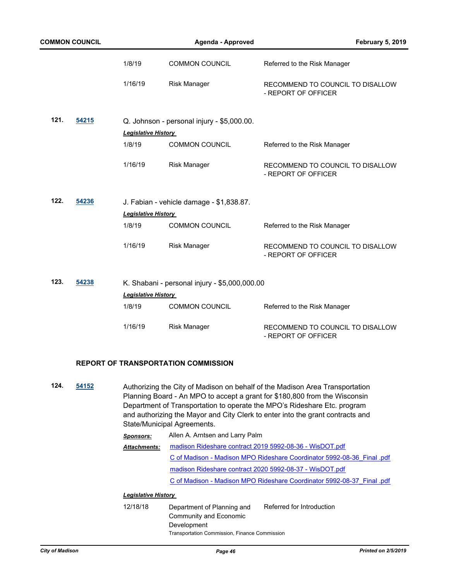| <b>COMMON COUNCIL</b> |       | Agenda - Approved          |                                               | <b>February 5, 2019</b>                                 |
|-----------------------|-------|----------------------------|-----------------------------------------------|---------------------------------------------------------|
|                       |       | 1/8/19                     | <b>COMMON COUNCIL</b>                         | Referred to the Risk Manager                            |
|                       |       | 1/16/19                    | <b>Risk Manager</b>                           | RECOMMEND TO COUNCIL TO DISALLOW<br>- REPORT OF OFFICER |
| 121.                  | 54215 |                            | Q. Johnson - personal injury - \$5,000.00.    |                                                         |
|                       |       | <b>Legislative History</b> |                                               |                                                         |
|                       |       | 1/8/19                     | <b>COMMON COUNCIL</b>                         | Referred to the Risk Manager                            |
|                       |       | 1/16/19                    | <b>Risk Manager</b>                           | RECOMMEND TO COUNCIL TO DISALLOW<br>- REPORT OF OFFICER |
| 122.                  | 54236 |                            | J. Fabian - vehicle damage - \$1,838.87.      |                                                         |
|                       |       | <b>Legislative History</b> |                                               |                                                         |
|                       |       | 1/8/19                     | <b>COMMON COUNCIL</b>                         | Referred to the Risk Manager                            |
|                       |       | 1/16/19                    | <b>Risk Manager</b>                           | RECOMMEND TO COUNCIL TO DISALLOW<br>- REPORT OF OFFICER |
| 123.                  | 54238 |                            | K. Shabani - personal injury - \$5,000,000.00 |                                                         |
|                       |       | <b>Legislative History</b> |                                               |                                                         |
|                       |       | 1/8/19                     | <b>COMMON COUNCIL</b>                         | Referred to the Risk Manager                            |
|                       |       | 1/16/19                    | <b>Risk Manager</b>                           | RECOMMEND TO COUNCIL TO DISALLOW<br>- REPORT OF OFFICER |

#### **REPORT OF TRANSPORTATION COMMISSION**

**124. [54152](http://madison.legistar.com/gateway.aspx?m=l&id=/matter.aspx?key=63696)** Authorizing the City of Madison on behalf of the Madison Area Transportation Planning Board - An MPO to accept a grant for \$180,800 from the Wisconsin Department of Transportation to operate the MPO's Rideshare Etc. program and authorizing the Mayor and City Clerk to enter into the grant contracts and State/Municipal Agreements.

> *Sponsors:* Allen A. Arntsen and Larry Palm [madison Rideshare contract 2019 5992-08-36 - WisDOT.pdf](http://madison.legistar.com/gateway.aspx?M=F&ID=06351d48-c817-4ca6-a156-ed078d1e616d.pdf) [C of Madison - Madison MPO Rideshare Coordinator 5992-08-36\\_Final .pdf](http://madison.legistar.com/gateway.aspx?M=F&ID=bf6c6ca0-7061-4a6d-8571-d202a2edae8a.pdf) [madison Rideshare contract 2020 5992-08-37 - WisDOT.pdf](http://madison.legistar.com/gateway.aspx?M=F&ID=7dc9c365-b21e-4ef0-b414-dabda72959eb.pdf) [C of Madison - Madison MPO Rideshare Coordinator 5992-08-37\\_Final .pdf](http://madison.legistar.com/gateway.aspx?M=F&ID=2a9b204c-f13f-4e67-bdb8-14dc48009154.pdf) *Attachments:*

#### *Legislative History*

12/18/18 Department of Planning and Community and Economic Development Referred for Introduction Transportation Commission, Finance Commission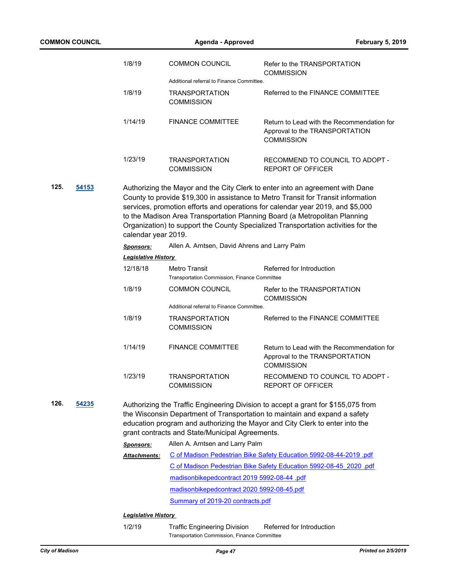| <b>COMMON COUNCIL</b> |                                                                                                                                                                                                                                                                                                                                                                                                                                                         | <b>Agenda - Approved</b>                   |                                                                                     | <b>February 5, 2019</b>                                                                                                                                                                                                                         |
|-----------------------|---------------------------------------------------------------------------------------------------------------------------------------------------------------------------------------------------------------------------------------------------------------------------------------------------------------------------------------------------------------------------------------------------------------------------------------------------------|--------------------------------------------|-------------------------------------------------------------------------------------|-------------------------------------------------------------------------------------------------------------------------------------------------------------------------------------------------------------------------------------------------|
|                       |                                                                                                                                                                                                                                                                                                                                                                                                                                                         | 1/8/19                                     | <b>COMMON COUNCIL</b>                                                               | Refer to the TRANSPORTATION                                                                                                                                                                                                                     |
|                       |                                                                                                                                                                                                                                                                                                                                                                                                                                                         |                                            | Additional referral to Finance Committee.                                           | <b>COMMISSION</b>                                                                                                                                                                                                                               |
|                       |                                                                                                                                                                                                                                                                                                                                                                                                                                                         | 1/8/19                                     | <b>TRANSPORTATION</b><br><b>COMMISSION</b>                                          | Referred to the FINANCE COMMITTEE                                                                                                                                                                                                               |
|                       |                                                                                                                                                                                                                                                                                                                                                                                                                                                         | 1/14/19                                    | <b>FINANCE COMMITTEE</b>                                                            | Return to Lead with the Recommendation for<br>Approval to the TRANSPORTATION<br><b>COMMISSION</b>                                                                                                                                               |
|                       |                                                                                                                                                                                                                                                                                                                                                                                                                                                         | 1/23/19                                    | <b>TRANSPORTATION</b><br><b>COMMISSION</b>                                          | RECOMMEND TO COUNCIL TO ADOPT -<br><b>REPORT OF OFFICER</b>                                                                                                                                                                                     |
| 125.                  | 54153<br>Authorizing the Mayor and the City Clerk to enter into an agreement with Dane<br>County to provide \$19,300 in assistance to Metro Transit for Transit information<br>services, promotion efforts and operations for calendar year 2019, and \$5,000<br>to the Madison Area Transportation Planning Board (a Metropolitan Planning<br>Organization) to support the County Specialized Transportation activities for the<br>calendar year 2019. |                                            |                                                                                     |                                                                                                                                                                                                                                                 |
|                       |                                                                                                                                                                                                                                                                                                                                                                                                                                                         | Sponsors:                                  | Allen A. Arntsen, David Ahrens and Larry Palm                                       |                                                                                                                                                                                                                                                 |
|                       |                                                                                                                                                                                                                                                                                                                                                                                                                                                         | <b>Legislative History</b>                 |                                                                                     |                                                                                                                                                                                                                                                 |
|                       |                                                                                                                                                                                                                                                                                                                                                                                                                                                         | 12/18/18                                   | Metro Transit<br>Transportation Commission, Finance Committee                       | Referred for Introduction                                                                                                                                                                                                                       |
|                       |                                                                                                                                                                                                                                                                                                                                                                                                                                                         | 1/8/19                                     | <b>COMMON COUNCIL</b>                                                               | Refer to the TRANSPORTATION<br><b>COMMISSION</b>                                                                                                                                                                                                |
|                       |                                                                                                                                                                                                                                                                                                                                                                                                                                                         |                                            | Additional referral to Finance Committee.                                           |                                                                                                                                                                                                                                                 |
|                       |                                                                                                                                                                                                                                                                                                                                                                                                                                                         | 1/8/19                                     | <b>TRANSPORTATION</b><br><b>COMMISSION</b>                                          | Referred to the FINANCE COMMITTEE                                                                                                                                                                                                               |
|                       |                                                                                                                                                                                                                                                                                                                                                                                                                                                         | 1/14/19                                    | <b>FINANCE COMMITTEE</b>                                                            | Return to Lead with the Recommendation for<br>Approval to the TRANSPORTATION<br><b>COMMISSION</b>                                                                                                                                               |
|                       |                                                                                                                                                                                                                                                                                                                                                                                                                                                         | 1/23/19                                    | <b>TRANSPORTATION</b><br><b>COMMISSION</b>                                          | RECOMMEND TO COUNCIL TO ADOPT -<br><b>REPORT OF OFFICER</b>                                                                                                                                                                                     |
| 126.                  | 54235                                                                                                                                                                                                                                                                                                                                                                                                                                                   |                                            | grant contracts and State/Municipal Agreements.                                     | Authorizing the Traffic Engineering Division to accept a grant for \$155,075 from<br>the Wisconsin Department of Transportation to maintain and expand a safety<br>education program and authorizing the Mayor and City Clerk to enter into the |
|                       |                                                                                                                                                                                                                                                                                                                                                                                                                                                         | <b>Sponsors:</b>                           | Allen A. Arntsen and Larry Palm                                                     |                                                                                                                                                                                                                                                 |
|                       |                                                                                                                                                                                                                                                                                                                                                                                                                                                         | <b>Attachments:</b>                        |                                                                                     | C of Madison Pedestrian Bike Safety Education 5992-08-44-2019 .pdf                                                                                                                                                                              |
|                       |                                                                                                                                                                                                                                                                                                                                                                                                                                                         |                                            |                                                                                     | C of Madison Pedestrian Bike Safety Education 5992-08-45 2020 .pdf                                                                                                                                                                              |
|                       |                                                                                                                                                                                                                                                                                                                                                                                                                                                         |                                            | madisonbikepedcontract 2019 5992-08-44 .pdf                                         |                                                                                                                                                                                                                                                 |
|                       |                                                                                                                                                                                                                                                                                                                                                                                                                                                         | madisonbikepedcontract 2020 5992-08-45.pdf |                                                                                     |                                                                                                                                                                                                                                                 |
|                       |                                                                                                                                                                                                                                                                                                                                                                                                                                                         |                                            | Summary of 2019-20 contracts.pdf                                                    |                                                                                                                                                                                                                                                 |
|                       |                                                                                                                                                                                                                                                                                                                                                                                                                                                         | <b>Legislative History</b>                 |                                                                                     |                                                                                                                                                                                                                                                 |
|                       |                                                                                                                                                                                                                                                                                                                                                                                                                                                         | 1/2/19                                     | <b>Traffic Engineering Division</b><br>Transportation Commission, Finance Committee | Referred for Introduction                                                                                                                                                                                                                       |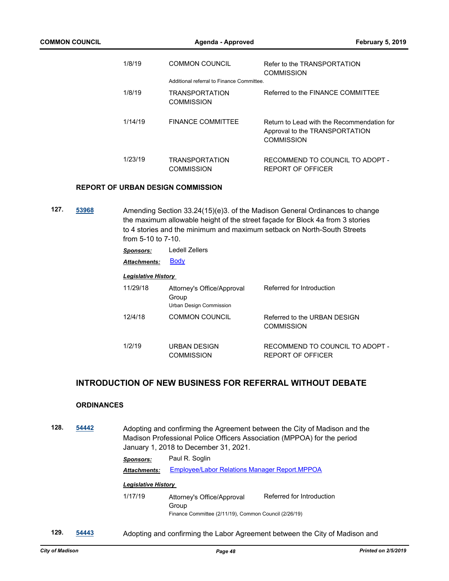| 1/8/19  | <b>COMMON COUNCIL</b><br>Additional referral to Finance Committee | Refer to the TRANSPORTATION<br><b>COMMISSION</b>                                           |
|---------|-------------------------------------------------------------------|--------------------------------------------------------------------------------------------|
| 1/8/19  | <b>TRANSPORTATION</b><br><b>COMMISSION</b>                        | Referred to the FINANCF COMMITTEF                                                          |
| 1/14/19 | FINANCE COMMITTEE                                                 | Return to Lead with the Recommendation for<br>Approval to the TRANSPORTATION<br>COMMISSION |
| 1/23/19 | <b>TRANSPORTATION</b><br><b>COMMISSION</b>                        | RECOMMEND TO COUNCIL TO ADOPT -<br>REPORT OF OFFICER                                       |

#### **REPORT OF URBAN DESIGN COMMISSION**

**127. [53968](http://madison.legistar.com/gateway.aspx?m=l&id=/matter.aspx?key=62525)** Amending Section 33.24(15)(e)3. of the Madison General Ordinances to change the maximum allowable height of the street façade for Block 4a from 3 stories to 4 stories and the minimum and maximum setback on North-South Streets from 5-10 to 7-10.

| Sponsors: | Ledell Zellers |
|-----------|----------------|
|-----------|----------------|

Attachments: **[Body](http://madison.legistar.com/gateway.aspx?M=F&ID=73af27af-e888-406c-bc79-9f89b64091d9.pdf)** 

#### *Legislative History*

| 11/29/18 | Attorney's Office/Approval<br>Group<br>Urban Design Commission | Referred for Introduction                            |
|----------|----------------------------------------------------------------|------------------------------------------------------|
| 12/4/18  | <b>COMMON COUNCIL</b>                                          | Referred to the URBAN DESIGN<br><b>COMMISSION</b>    |
| 1/2/19   | URBAN DESIGN<br><b>COMMISSION</b>                              | RECOMMEND TO COUNCIL TO ADOPT -<br>REPORT OF OFFICER |

## **INTRODUCTION OF NEW BUSINESS FOR REFERRAL WITHOUT DEBATE**

#### **ORDINANCES**

**128. [54442](http://madison.legistar.com/gateway.aspx?m=l&id=/matter.aspx?key=64960)** Adopting and confirming the Agreement between the City of Madison and the Madison Professional Police Officers Association (MPPOA) for the period January 1, 2018 to December 31, 2021.

## *Sponsors:* Paul R. Soglin *Attachments:* [Employee/Labor Relations Manager Report.MPPOA](http://madison.legistar.com/gateway.aspx?M=F&ID=8ca0f5fd-1115-42b1-b152-8d37633cabe1.pdf)

## *Legislative History*

- 1/17/19 Attorney's Office/Approval Group Referred for Introduction Finance Committee (2/11/19), Common Council (2/26/19)
- **129. [54443](http://madison.legistar.com/gateway.aspx?m=l&id=/matter.aspx?key=64961)** Adopting and confirming the Labor Agreement between the City of Madison and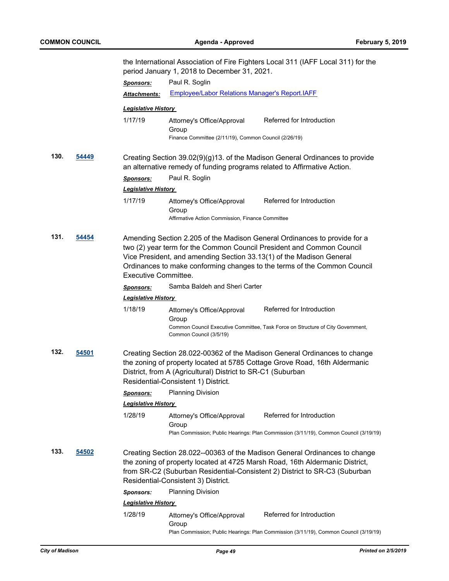|      |              |                                                                                                                                                                                                                                                                                 | the International Association of Fire Fighters Local 311 (IAFF Local 311) for the<br>period January 1, 2018 to December 31, 2021. |                                                                                                                                                                                                                                |  |
|------|--------------|---------------------------------------------------------------------------------------------------------------------------------------------------------------------------------------------------------------------------------------------------------------------------------|-----------------------------------------------------------------------------------------------------------------------------------|--------------------------------------------------------------------------------------------------------------------------------------------------------------------------------------------------------------------------------|--|
|      |              | <b>Sponsors:</b>                                                                                                                                                                                                                                                                | Paul R. Soglin                                                                                                                    |                                                                                                                                                                                                                                |  |
|      |              | Attachments:                                                                                                                                                                                                                                                                    | <b>Employee/Labor Relations Manager's Report.IAFF</b>                                                                             |                                                                                                                                                                                                                                |  |
|      |              | <b>Legislative History</b>                                                                                                                                                                                                                                                      |                                                                                                                                   |                                                                                                                                                                                                                                |  |
|      |              | 1/17/19                                                                                                                                                                                                                                                                         | Attorney's Office/Approval<br>Group<br>Finance Committee (2/11/19), Common Council (2/26/19)                                      | Referred for Introduction                                                                                                                                                                                                      |  |
| 130. | 54449        | <b>Sponsors:</b>                                                                                                                                                                                                                                                                | an alternative remedy of funding programs related to Affirmative Action.<br>Paul R. Soglin                                        | Creating Section 39.02(9)(g)13. of the Madison General Ordinances to provide                                                                                                                                                   |  |
|      |              | <b>Legislative History</b>                                                                                                                                                                                                                                                      |                                                                                                                                   |                                                                                                                                                                                                                                |  |
|      |              | 1/17/19                                                                                                                                                                                                                                                                         | Attorney's Office/Approval<br>Group<br>Affirmative Action Commission, Finance Committee                                           | Referred for Introduction                                                                                                                                                                                                      |  |
| 131. | 54454        | Executive Committee.                                                                                                                                                                                                                                                            | Vice President, and amending Section 33.13(1) of the Madison General                                                              | Amending Section 2.205 of the Madison General Ordinances to provide for a<br>two (2) year term for the Common Council President and Common Council<br>Ordinances to make conforming changes to the terms of the Common Council |  |
|      |              | <b>Sponsors:</b>                                                                                                                                                                                                                                                                | Samba Baldeh and Sheri Carter                                                                                                     |                                                                                                                                                                                                                                |  |
|      |              | <b>Legislative History</b>                                                                                                                                                                                                                                                      |                                                                                                                                   |                                                                                                                                                                                                                                |  |
|      |              | 1/18/19                                                                                                                                                                                                                                                                         | Attorney's Office/Approval<br>Group<br>Common Council (3/5/19)                                                                    | Referred for Introduction<br>Common Council Executive Committee, Task Force on Structure of City Government,                                                                                                                   |  |
| 132. | <u>54501</u> | Creating Section 28.022-00362 of the Madison General Ordinances to change<br>the zoning of property located at 5785 Cottage Grove Road, 16th Aldermanic<br>District, from A (Agricultural) District to SR-C1 (Suburban<br>Residential-Consistent 1) District.                   |                                                                                                                                   |                                                                                                                                                                                                                                |  |
|      |              | <b>Sponsors:</b>                                                                                                                                                                                                                                                                | <b>Planning Division</b>                                                                                                          |                                                                                                                                                                                                                                |  |
|      |              | <b>Legislative History</b>                                                                                                                                                                                                                                                      |                                                                                                                                   |                                                                                                                                                                                                                                |  |
|      |              | 1/28/19                                                                                                                                                                                                                                                                         | Attorney's Office/Approval<br>Group                                                                                               | Referred for Introduction<br>Plan Commission; Public Hearings: Plan Commission (3/11/19), Common Council (3/19/19)                                                                                                             |  |
| 133. | 54502        | Creating Section 28.022--00363 of the Madison General Ordinances to change<br>the zoning of property located at 4725 Marsh Road, 16th Aldermanic District,<br>from SR-C2 (Suburban Residential-Consistent 2) District to SR-C3 (Suburban<br>Residential-Consistent 3) District. |                                                                                                                                   |                                                                                                                                                                                                                                |  |
|      |              | <b>Sponsors:</b>                                                                                                                                                                                                                                                                | <b>Planning Division</b>                                                                                                          |                                                                                                                                                                                                                                |  |
|      |              | <b>Legislative History</b>                                                                                                                                                                                                                                                      |                                                                                                                                   |                                                                                                                                                                                                                                |  |
|      |              | 1/28/19                                                                                                                                                                                                                                                                         | Attorney's Office/Approval<br>Group                                                                                               | Referred for Introduction                                                                                                                                                                                                      |  |
|      |              |                                                                                                                                                                                                                                                                                 |                                                                                                                                   | Plan Commission; Public Hearings: Plan Commission (3/11/19), Common Council (3/19/19)                                                                                                                                          |  |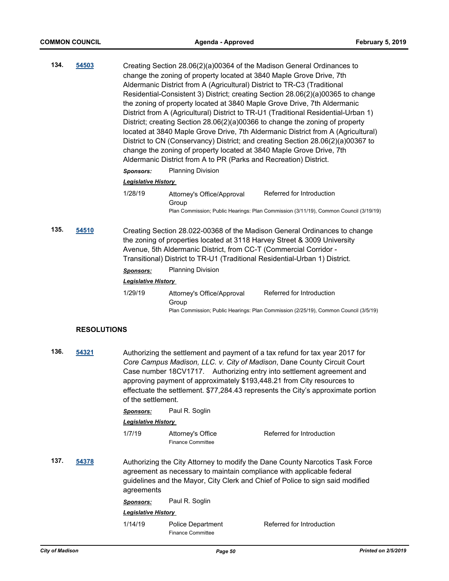| 134.<br>54503 |                    | change the zoning of property located at 3840 Maple Grove Drive, 7th<br>Aldermanic District from A (Agricultural) District to TR-C3 (Traditional<br>change the zoning of property located at 3840 Maple Grove Drive, 7th<br>Aldermanic District from A to PR (Parks and Recreation) District.                                                                                           | Creating Section 28.06(2)(a)00364 of the Madison General Ordinances to<br>Residential-Consistent 3) District; creating Section 28.06(2)(a)00365 to change<br>the zoning of property located at 3840 Maple Grove Drive, 7th Aldermanic<br>District from A (Agricultural) District to TR-U1 (Traditional Residential-Urban 1)<br>District; creating Section 28.06(2)(a)00366 to change the zoning of property<br>located at 3840 Maple Grove Drive, 7th Aldermanic District from A (Agricultural)<br>District to CN (Conservancy) District; and creating Section 28.06(2)(a)00367 to |                                                                                                                                                                                                                                                                                                                                                                                                |
|---------------|--------------------|-----------------------------------------------------------------------------------------------------------------------------------------------------------------------------------------------------------------------------------------------------------------------------------------------------------------------------------------------------------------------------------------|------------------------------------------------------------------------------------------------------------------------------------------------------------------------------------------------------------------------------------------------------------------------------------------------------------------------------------------------------------------------------------------------------------------------------------------------------------------------------------------------------------------------------------------------------------------------------------|------------------------------------------------------------------------------------------------------------------------------------------------------------------------------------------------------------------------------------------------------------------------------------------------------------------------------------------------------------------------------------------------|
|               |                    | <b>Sponsors:</b>                                                                                                                                                                                                                                                                                                                                                                        | <b>Planning Division</b>                                                                                                                                                                                                                                                                                                                                                                                                                                                                                                                                                           |                                                                                                                                                                                                                                                                                                                                                                                                |
|               |                    | <b>Legislative History</b>                                                                                                                                                                                                                                                                                                                                                              |                                                                                                                                                                                                                                                                                                                                                                                                                                                                                                                                                                                    |                                                                                                                                                                                                                                                                                                                                                                                                |
|               |                    | 1/28/19                                                                                                                                                                                                                                                                                                                                                                                 | Attorney's Office/Approval<br>Group                                                                                                                                                                                                                                                                                                                                                                                                                                                                                                                                                | Referred for Introduction<br>Plan Commission; Public Hearings: Plan Commission (3/11/19), Common Council (3/19/19)                                                                                                                                                                                                                                                                             |
| 135.          | 54510              | Creating Section 28.022-00368 of the Madison General Ordinances to change<br>the zoning of properties located at 3118 Harvey Street & 3009 University<br>Avenue, 5th Aldermanic District, from CC-T (Commercial Corridor -<br>Transitional) District to TR-U1 (Traditional Residential-Urban 1) District.<br><b>Planning Division</b><br><b>Sponsors:</b><br><b>Legislative History</b> |                                                                                                                                                                                                                                                                                                                                                                                                                                                                                                                                                                                    |                                                                                                                                                                                                                                                                                                                                                                                                |
|               |                    | 1/29/19                                                                                                                                                                                                                                                                                                                                                                                 | Attorney's Office/Approval                                                                                                                                                                                                                                                                                                                                                                                                                                                                                                                                                         | Referred for Introduction                                                                                                                                                                                                                                                                                                                                                                      |
|               |                    |                                                                                                                                                                                                                                                                                                                                                                                         | Group                                                                                                                                                                                                                                                                                                                                                                                                                                                                                                                                                                              | Plan Commission; Public Hearings: Plan Commission (2/25/19), Common Council (3/5/19)                                                                                                                                                                                                                                                                                                           |
|               | <b>RESOLUTIONS</b> |                                                                                                                                                                                                                                                                                                                                                                                         |                                                                                                                                                                                                                                                                                                                                                                                                                                                                                                                                                                                    |                                                                                                                                                                                                                                                                                                                                                                                                |
| 136.          | 54321              | of the settlement.                                                                                                                                                                                                                                                                                                                                                                      |                                                                                                                                                                                                                                                                                                                                                                                                                                                                                                                                                                                    | Authorizing the settlement and payment of a tax refund for tax year 2017 for<br>Core Campus Madison, LLC. v. City of Madison, Dane County Circuit Court<br>Case number 18CV1717. Authorizing entry into settlement agreement and<br>approving payment of approximately \$193,448.21 from City resources to<br>effectuate the settlement. \$77,284.43 represents the City's approximate portion |
|               |                    | <b>Sponsors:</b>                                                                                                                                                                                                                                                                                                                                                                        | Paul R. Soglin                                                                                                                                                                                                                                                                                                                                                                                                                                                                                                                                                                     |                                                                                                                                                                                                                                                                                                                                                                                                |
|               |                    | <b>Legislative History</b>                                                                                                                                                                                                                                                                                                                                                              |                                                                                                                                                                                                                                                                                                                                                                                                                                                                                                                                                                                    |                                                                                                                                                                                                                                                                                                                                                                                                |
|               |                    | 1/7/19                                                                                                                                                                                                                                                                                                                                                                                  | Attorney's Office<br><b>Finance Committee</b>                                                                                                                                                                                                                                                                                                                                                                                                                                                                                                                                      | Referred for Introduction                                                                                                                                                                                                                                                                                                                                                                      |
| 137.          | 54378              | agreements                                                                                                                                                                                                                                                                                                                                                                              | agreement as necessary to maintain compliance with applicable federal<br>Paul R. Soglin                                                                                                                                                                                                                                                                                                                                                                                                                                                                                            | Authorizing the City Attorney to modify the Dane County Narcotics Task Force<br>guidelines and the Mayor, City Clerk and Chief of Police to sign said modified                                                                                                                                                                                                                                 |
|               |                    | <u>Sponsors:</u><br><b>Legislative History</b>                                                                                                                                                                                                                                                                                                                                          |                                                                                                                                                                                                                                                                                                                                                                                                                                                                                                                                                                                    |                                                                                                                                                                                                                                                                                                                                                                                                |
|               |                    |                                                                                                                                                                                                                                                                                                                                                                                         |                                                                                                                                                                                                                                                                                                                                                                                                                                                                                                                                                                                    | Referred for Introduction                                                                                                                                                                                                                                                                                                                                                                      |
|               |                    | 1/14/19                                                                                                                                                                                                                                                                                                                                                                                 | Police Department<br><b>Finance Committee</b>                                                                                                                                                                                                                                                                                                                                                                                                                                                                                                                                      |                                                                                                                                                                                                                                                                                                                                                                                                |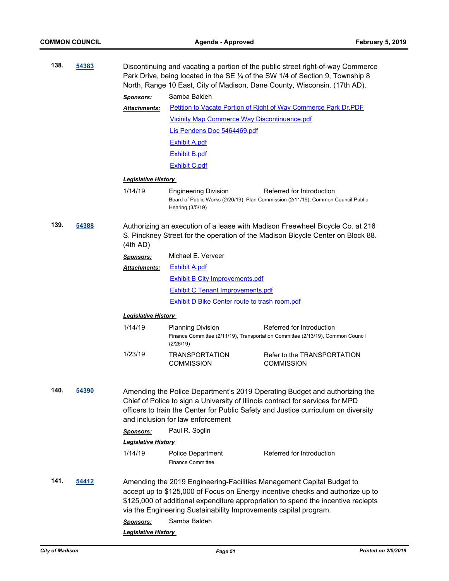| 138. | 54383        |                                                                                                                                                                                                                                                                                         |                                                                                  | Discontinuing and vacating a portion of the public street right-of-way Commerce<br>Park Drive, being located in the SE 1/4 of the SW 1/4 of Section 9, Township 8<br>North, Range 10 East, City of Madison, Dane County, Wisconsin. (17th AD). |
|------|--------------|-----------------------------------------------------------------------------------------------------------------------------------------------------------------------------------------------------------------------------------------------------------------------------------------|----------------------------------------------------------------------------------|------------------------------------------------------------------------------------------------------------------------------------------------------------------------------------------------------------------------------------------------|
|      |              | <b>Sponsors:</b>                                                                                                                                                                                                                                                                        | Samba Baldeh                                                                     |                                                                                                                                                                                                                                                |
|      |              | <u> Attachments:</u>                                                                                                                                                                                                                                                                    |                                                                                  | Petition to Vacate Portion of Right of Way Commerce Park Dr.PDF                                                                                                                                                                                |
|      |              |                                                                                                                                                                                                                                                                                         | <b>Vicinity Map Commerce Way Discontinuance.pdf</b>                              |                                                                                                                                                                                                                                                |
|      |              |                                                                                                                                                                                                                                                                                         | Lis Pendens Doc 5464469.pdf                                                      |                                                                                                                                                                                                                                                |
|      |              |                                                                                                                                                                                                                                                                                         | <b>Exhibit A.pdf</b>                                                             |                                                                                                                                                                                                                                                |
|      |              |                                                                                                                                                                                                                                                                                         | <b>Exhibit B.pdf</b>                                                             |                                                                                                                                                                                                                                                |
|      |              |                                                                                                                                                                                                                                                                                         | <b>Exhibit C.pdf</b>                                                             |                                                                                                                                                                                                                                                |
|      |              | <u> Legislative History</u>                                                                                                                                                                                                                                                             |                                                                                  |                                                                                                                                                                                                                                                |
|      |              | 1/14/19                                                                                                                                                                                                                                                                                 | <b>Engineering Division</b><br>Hearing (3/5/19)                                  | Referred for Introduction<br>Board of Public Works (2/20/19), Plan Commission (2/11/19), Common Council Public                                                                                                                                 |
| 139. | 54388        | (4th AD)                                                                                                                                                                                                                                                                                |                                                                                  | Authorizing an execution of a lease with Madison Freewheel Bicycle Co. at 216<br>S. Pinckney Street for the operation of the Madison Bicycle Center on Block 88.                                                                               |
|      |              | <b>Sponsors:</b>                                                                                                                                                                                                                                                                        | Michael E. Verveer                                                               |                                                                                                                                                                                                                                                |
|      |              | Attachments:                                                                                                                                                                                                                                                                            | <b>Exhibit A.pdf</b>                                                             |                                                                                                                                                                                                                                                |
|      |              |                                                                                                                                                                                                                                                                                         | <b>Exhibit B City Improvements.pdf</b>                                           |                                                                                                                                                                                                                                                |
|      |              |                                                                                                                                                                                                                                                                                         | <b>Exhibit C Tenant Improvements.pdf</b>                                         |                                                                                                                                                                                                                                                |
|      |              |                                                                                                                                                                                                                                                                                         | <b>Exhibit D Bike Center route to trash room.pdf</b>                             |                                                                                                                                                                                                                                                |
|      |              | <u> Legislative History</u>                                                                                                                                                                                                                                                             |                                                                                  |                                                                                                                                                                                                                                                |
|      |              | 1/14/19                                                                                                                                                                                                                                                                                 | <b>Planning Division</b><br>(2/26/19)                                            | Referred for Introduction<br>Finance Committee (2/11/19), Transportation Committee (2/13/19), Common Council                                                                                                                                   |
|      |              | 1/23/19                                                                                                                                                                                                                                                                                 | <b>TRANSPORTATION</b><br><b>COMMISSION</b>                                       | Refer to the TRANSPORTATION<br><b>COMMISSION</b>                                                                                                                                                                                               |
| 140. | <u>54390</u> | Amending the Police Department's 2019 Operating Budget and authorizing the<br>Chief of Police to sign a University of Illinois contract for services for MPD<br>officers to train the Center for Public Safety and Justice curriculum on diversity<br>and inclusion for law enforcement |                                                                                  |                                                                                                                                                                                                                                                |
|      |              | <b>Sponsors:</b>                                                                                                                                                                                                                                                                        | Paul R. Soglin                                                                   |                                                                                                                                                                                                                                                |
|      |              | <b>Legislative History</b>                                                                                                                                                                                                                                                              |                                                                                  |                                                                                                                                                                                                                                                |
|      |              | 1/14/19                                                                                                                                                                                                                                                                                 | <b>Police Department</b><br><b>Finance Committee</b>                             | Referred for Introduction                                                                                                                                                                                                                      |
| 141. | 54412        | <b>Sponsors:</b>                                                                                                                                                                                                                                                                        | via the Engineering Sustainability Improvements capital program.<br>Samba Baldeh | Amending the 2019 Engineering-Facilities Management Capital Budget to<br>accept up to \$125,000 of Focus on Energy incentive checks and authorize up to<br>\$125,000 of additional expenditure appropriation to spend the incentive reciepts   |
|      |              | <b>Legislative History</b>                                                                                                                                                                                                                                                              |                                                                                  |                                                                                                                                                                                                                                                |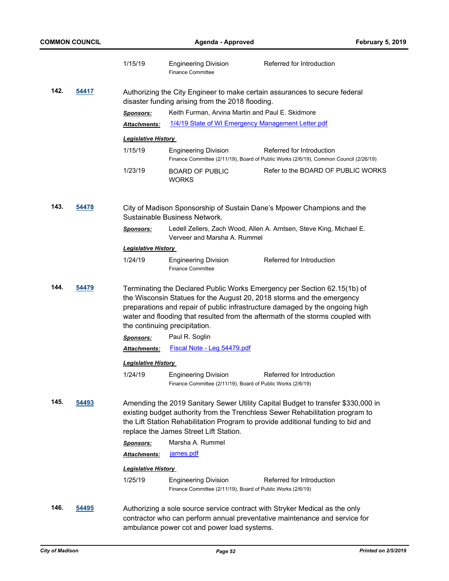|               |       | 1/15/19                                                                                                                                                                                                                                                                                                                                               | <b>Engineering Division</b><br><b>Finance Committee</b>                                             | Referred for Introduction                                                                                                                                                                                                                             |  |  |
|---------------|-------|-------------------------------------------------------------------------------------------------------------------------------------------------------------------------------------------------------------------------------------------------------------------------------------------------------------------------------------------------------|-----------------------------------------------------------------------------------------------------|-------------------------------------------------------------------------------------------------------------------------------------------------------------------------------------------------------------------------------------------------------|--|--|
| 142.          | 54417 | Authorizing the City Engineer to make certain assurances to secure federal<br>disaster funding arising from the 2018 flooding.                                                                                                                                                                                                                        |                                                                                                     |                                                                                                                                                                                                                                                       |  |  |
|               |       | <b>Sponsors:</b>                                                                                                                                                                                                                                                                                                                                      | Keith Furman, Arvina Martin and Paul E. Skidmore                                                    |                                                                                                                                                                                                                                                       |  |  |
|               |       | Attachments:                                                                                                                                                                                                                                                                                                                                          | 1/4/19 State of WI Emergency Management Letter.pdf                                                  |                                                                                                                                                                                                                                                       |  |  |
|               |       | <b>Legislative History</b>                                                                                                                                                                                                                                                                                                                            |                                                                                                     |                                                                                                                                                                                                                                                       |  |  |
|               |       | 1/15/19                                                                                                                                                                                                                                                                                                                                               | <b>Engineering Division</b>                                                                         | Referred for Introduction                                                                                                                                                                                                                             |  |  |
|               |       |                                                                                                                                                                                                                                                                                                                                                       |                                                                                                     | Finance Committee (2/11/19), Board of Public Works (2/6/19), Common Council (2/26/19)                                                                                                                                                                 |  |  |
|               |       | 1/23/19                                                                                                                                                                                                                                                                                                                                               | <b>BOARD OF PUBLIC</b><br><b>WORKS</b>                                                              | Refer to the BOARD OF PUBLIC WORKS                                                                                                                                                                                                                    |  |  |
| 143.          | 54478 | City of Madison Sponsorship of Sustain Dane's Mpower Champions and the<br>Sustainable Business Network.                                                                                                                                                                                                                                               |                                                                                                     |                                                                                                                                                                                                                                                       |  |  |
|               |       | <b>Sponsors:</b>                                                                                                                                                                                                                                                                                                                                      | Ledell Zellers, Zach Wood, Allen A. Arntsen, Steve King, Michael E.<br>Verveer and Marsha A. Rummel |                                                                                                                                                                                                                                                       |  |  |
|               |       | <b>Legislative History</b>                                                                                                                                                                                                                                                                                                                            |                                                                                                     |                                                                                                                                                                                                                                                       |  |  |
|               |       | 1/24/19                                                                                                                                                                                                                                                                                                                                               | <b>Engineering Division</b><br><b>Finance Committee</b>                                             | Referred for Introduction                                                                                                                                                                                                                             |  |  |
| 144.<br>54479 |       | Terminating the Declared Public Works Emergency per Section 62.15(1b) of<br>the Wisconsin Statues for the August 20, 2018 storms and the emergency<br>preparations and repair of public infrastructure damaged by the ongoing high<br>water and flooding that resulted from the aftermath of the storms coupled with<br>the continuing precipitation. |                                                                                                     |                                                                                                                                                                                                                                                       |  |  |
|               |       | <b>Sponsors:</b>                                                                                                                                                                                                                                                                                                                                      | Paul R. Soglin                                                                                      |                                                                                                                                                                                                                                                       |  |  |
|               |       | Attachments:                                                                                                                                                                                                                                                                                                                                          | Fiscal Note - Leg 54479.pdf                                                                         |                                                                                                                                                                                                                                                       |  |  |
|               |       | <b>Legislative History</b>                                                                                                                                                                                                                                                                                                                            |                                                                                                     |                                                                                                                                                                                                                                                       |  |  |
|               |       | 1/24/19                                                                                                                                                                                                                                                                                                                                               | <b>Engineering Division</b><br>Finance Committee (2/11/19), Board of Public Works (2/6/19)          | Referred for Introduction                                                                                                                                                                                                                             |  |  |
| 145.          | 54493 |                                                                                                                                                                                                                                                                                                                                                       | replace the James Street Lift Station.                                                              | Amending the 2019 Sanitary Sewer Utility Capital Budget to transfer \$330,000 in<br>existing budget authority from the Trenchless Sewer Rehabilitation program to<br>the Lift Station Rehabilitation Program to provide additional funding to bid and |  |  |
|               |       | <b>Sponsors:</b>                                                                                                                                                                                                                                                                                                                                      | Marsha A. Rummel                                                                                    |                                                                                                                                                                                                                                                       |  |  |
|               |       | <b>Attachments:</b>                                                                                                                                                                                                                                                                                                                                   | james.pdf                                                                                           |                                                                                                                                                                                                                                                       |  |  |
|               |       | <b>Legislative History</b>                                                                                                                                                                                                                                                                                                                            |                                                                                                     |                                                                                                                                                                                                                                                       |  |  |
|               |       | 1/25/19                                                                                                                                                                                                                                                                                                                                               | <b>Engineering Division</b><br>Finance Committee (2/11/19), Board of Public Works (2/6/19)          | Referred for Introduction                                                                                                                                                                                                                             |  |  |
| 146.          | 54495 |                                                                                                                                                                                                                                                                                                                                                       | ambulance power cot and power load systems.                                                         | Authorizing a sole source service contract with Stryker Medical as the only<br>contractor who can perform annual preventative maintenance and service for                                                                                             |  |  |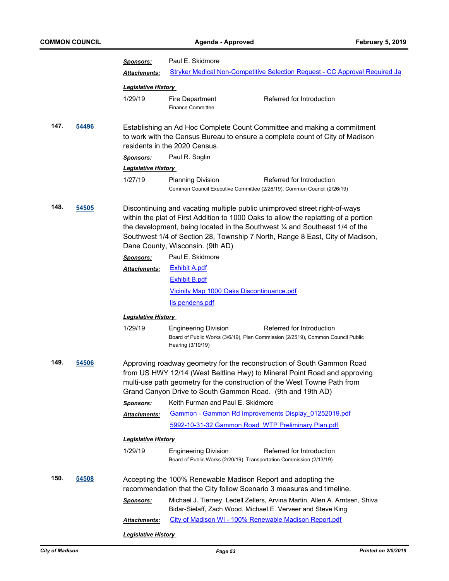|                                                                                                                                                                                                                                                                                                                                                                                                   |       | <b>Sponsors:</b>                                                                                                                                                                                                                                                                              | Paul E. Skidmore                                                            |                                                                                                                                           |  |  |  |
|---------------------------------------------------------------------------------------------------------------------------------------------------------------------------------------------------------------------------------------------------------------------------------------------------------------------------------------------------------------------------------------------------|-------|-----------------------------------------------------------------------------------------------------------------------------------------------------------------------------------------------------------------------------------------------------------------------------------------------|-----------------------------------------------------------------------------|-------------------------------------------------------------------------------------------------------------------------------------------|--|--|--|
|                                                                                                                                                                                                                                                                                                                                                                                                   |       | <b>Attachments:</b>                                                                                                                                                                                                                                                                           | Stryker Medical Non-Competitive Selection Request - CC Approval Required Ja |                                                                                                                                           |  |  |  |
|                                                                                                                                                                                                                                                                                                                                                                                                   |       | <b>Legislative History</b>                                                                                                                                                                                                                                                                    |                                                                             |                                                                                                                                           |  |  |  |
|                                                                                                                                                                                                                                                                                                                                                                                                   |       | 1/29/19                                                                                                                                                                                                                                                                                       | Fire Department<br><b>Finance Committee</b>                                 | Referred for Introduction                                                                                                                 |  |  |  |
| 147.<br>54496                                                                                                                                                                                                                                                                                                                                                                                     |       | Establishing an Ad Hoc Complete Count Committee and making a commitment<br>to work with the Census Bureau to ensure a complete count of City of Madison<br>residents in the 2020 Census.                                                                                                      |                                                                             |                                                                                                                                           |  |  |  |
|                                                                                                                                                                                                                                                                                                                                                                                                   |       | <b>Sponsors:</b>                                                                                                                                                                                                                                                                              | Paul R. Soglin                                                              |                                                                                                                                           |  |  |  |
|                                                                                                                                                                                                                                                                                                                                                                                                   |       | <b>Legislative History</b>                                                                                                                                                                                                                                                                    |                                                                             |                                                                                                                                           |  |  |  |
|                                                                                                                                                                                                                                                                                                                                                                                                   |       | 1/27/19                                                                                                                                                                                                                                                                                       | <b>Planning Division</b>                                                    | Referred for Introduction<br>Common Council Executive Committee (2/26/19), Common Council (2/26/19)                                       |  |  |  |
| 148.<br>54505<br>Discontinuing and vacating multiple public unimproved street right-of-ways<br>within the plat of First Addition to 1000 Oaks to allow the replatting of a portion<br>the development, being located in the Southwest $\frac{1}{4}$ and Southeast 1/4 of the<br>Southwest 1/4 of Section 28, Township 7 North, Range 8 East, City of Madison,<br>Dane County, Wisconsin. (9th AD) |       |                                                                                                                                                                                                                                                                                               |                                                                             |                                                                                                                                           |  |  |  |
|                                                                                                                                                                                                                                                                                                                                                                                                   |       | <b>Sponsors:</b>                                                                                                                                                                                                                                                                              | Paul E. Skidmore                                                            |                                                                                                                                           |  |  |  |
|                                                                                                                                                                                                                                                                                                                                                                                                   |       | <b>Attachments:</b>                                                                                                                                                                                                                                                                           | <b>Exhibit A.pdf</b>                                                        |                                                                                                                                           |  |  |  |
|                                                                                                                                                                                                                                                                                                                                                                                                   |       |                                                                                                                                                                                                                                                                                               | <b>Exhibit B.pdf</b>                                                        |                                                                                                                                           |  |  |  |
|                                                                                                                                                                                                                                                                                                                                                                                                   |       |                                                                                                                                                                                                                                                                                               | Vicinity Map 1000 Oaks Discontinuance.pdf                                   |                                                                                                                                           |  |  |  |
|                                                                                                                                                                                                                                                                                                                                                                                                   |       |                                                                                                                                                                                                                                                                                               | lis pendens.pdf                                                             |                                                                                                                                           |  |  |  |
|                                                                                                                                                                                                                                                                                                                                                                                                   |       | <b>Legislative History</b>                                                                                                                                                                                                                                                                    |                                                                             |                                                                                                                                           |  |  |  |
|                                                                                                                                                                                                                                                                                                                                                                                                   |       | 1/29/19                                                                                                                                                                                                                                                                                       | <b>Engineering Division</b><br>Hearing (3/19/19)                            | Referred for Introduction<br>Board of Public Works (3/6/19), Plan Commission (2/2519), Common Council Public                              |  |  |  |
| 149.                                                                                                                                                                                                                                                                                                                                                                                              | 54506 | Approving roadway geometry for the reconstruction of South Gammon Road<br>from US HWY 12/14 (West Beltline Hwy) to Mineral Point Road and approving<br>multi-use path geometry for the construction of the West Towne Path from<br>Grand Canyon Drive to South Gammon Road. (9th and 19th AD) |                                                                             |                                                                                                                                           |  |  |  |
|                                                                                                                                                                                                                                                                                                                                                                                                   |       | Sponsors:                                                                                                                                                                                                                                                                                     | Keith Furman and Paul E. Skidmore                                           |                                                                                                                                           |  |  |  |
|                                                                                                                                                                                                                                                                                                                                                                                                   |       | Attachments:                                                                                                                                                                                                                                                                                  |                                                                             | Gammon - Gammon Rd Improvements Display 01252019.pdf                                                                                      |  |  |  |
|                                                                                                                                                                                                                                                                                                                                                                                                   |       |                                                                                                                                                                                                                                                                                               |                                                                             | 5992-10-31-32 Gammon Road_WTP Preliminary Plan.pdf                                                                                        |  |  |  |
|                                                                                                                                                                                                                                                                                                                                                                                                   |       | <b>Legislative History</b>                                                                                                                                                                                                                                                                    |                                                                             |                                                                                                                                           |  |  |  |
|                                                                                                                                                                                                                                                                                                                                                                                                   |       | 1/29/19                                                                                                                                                                                                                                                                                       | <b>Engineering Division</b>                                                 | Referred for Introduction<br>Board of Public Works (2/20/19), Transportation Commission (2/13/19)                                         |  |  |  |
| 150.                                                                                                                                                                                                                                                                                                                                                                                              | 54508 |                                                                                                                                                                                                                                                                                               |                                                                             | Accepting the 100% Renewable Madison Report and adopting the<br>recommendation that the City follow Scenario 3 measures and timeline.     |  |  |  |
|                                                                                                                                                                                                                                                                                                                                                                                                   |       | <b>Sponsors:</b>                                                                                                                                                                                                                                                                              |                                                                             | Michael J. Tierney, Ledell Zellers, Arvina Martin, Allen A. Arntsen, Shiva<br>Bidar-Sielaff, Zach Wood, Michael E. Verveer and Steve King |  |  |  |
|                                                                                                                                                                                                                                                                                                                                                                                                   |       | Attachments:                                                                                                                                                                                                                                                                                  |                                                                             | City of Madison WI - 100% Renewable Madison Report.pdf                                                                                    |  |  |  |
|                                                                                                                                                                                                                                                                                                                                                                                                   |       | <b>Legislative History</b>                                                                                                                                                                                                                                                                    |                                                                             |                                                                                                                                           |  |  |  |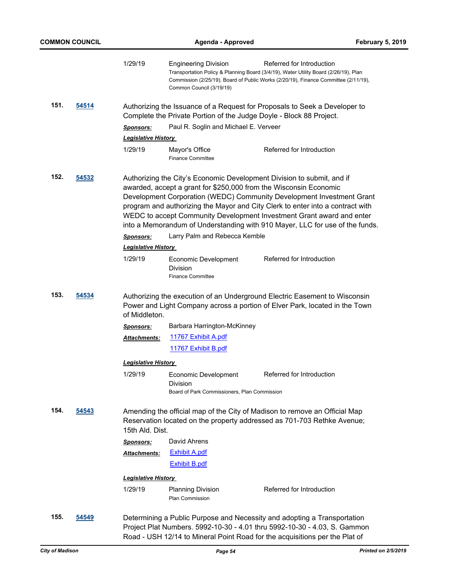|      |              | 1/29/19                                                                                                                                                                                                                                                                                                                                                                                                                                                                                                              | <b>Engineering Division</b><br>Common Council (3/19/19)                          | Referred for Introduction<br>Transportation Policy & Planning Board (3/4/19), Water Utility Board (2/26/19), Plan<br>Commission (2/25/19), Board of Public Works (2/20/19), Finance Committee (2/11/19),                             |  |
|------|--------------|----------------------------------------------------------------------------------------------------------------------------------------------------------------------------------------------------------------------------------------------------------------------------------------------------------------------------------------------------------------------------------------------------------------------------------------------------------------------------------------------------------------------|----------------------------------------------------------------------------------|--------------------------------------------------------------------------------------------------------------------------------------------------------------------------------------------------------------------------------------|--|
| 151. | <u>54514</u> | Authorizing the Issuance of a Request for Proposals to Seek a Developer to<br>Complete the Private Portion of the Judge Doyle - Block 88 Project.                                                                                                                                                                                                                                                                                                                                                                    |                                                                                  |                                                                                                                                                                                                                                      |  |
|      |              | <u>Sponsors:</u>                                                                                                                                                                                                                                                                                                                                                                                                                                                                                                     | Paul R. Soglin and Michael E. Verveer                                            |                                                                                                                                                                                                                                      |  |
|      |              | <b>Legislative History</b>                                                                                                                                                                                                                                                                                                                                                                                                                                                                                           |                                                                                  |                                                                                                                                                                                                                                      |  |
|      |              | 1/29/19                                                                                                                                                                                                                                                                                                                                                                                                                                                                                                              | Mayor's Office<br><b>Finance Committee</b>                                       | Referred for Introduction                                                                                                                                                                                                            |  |
| 152. | 54532        | Authorizing the City's Economic Development Division to submit, and if<br>awarded, accept a grant for \$250,000 from the Wisconsin Economic<br>Development Corporation (WEDC) Community Development Investment Grant<br>program and authorizing the Mayor and City Clerk to enter into a contract with<br>WEDC to accept Community Development Investment Grant award and enter<br>into a Memorandum of Understanding with 910 Mayer, LLC for use of the funds.<br>Larry Palm and Rebecca Kemble<br><b>Sponsors:</b> |                                                                                  |                                                                                                                                                                                                                                      |  |
|      |              | <b>Legislative History</b>                                                                                                                                                                                                                                                                                                                                                                                                                                                                                           |                                                                                  |                                                                                                                                                                                                                                      |  |
|      |              | 1/29/19                                                                                                                                                                                                                                                                                                                                                                                                                                                                                                              | Economic Development<br><b>Division</b><br><b>Finance Committee</b>              | Referred for Introduction                                                                                                                                                                                                            |  |
| 153. | 54534        | Authorizing the execution of an Underground Electric Easement to Wisconsin<br>Power and Light Company across a portion of Elver Park, located in the Town<br>of Middleton.                                                                                                                                                                                                                                                                                                                                           |                                                                                  |                                                                                                                                                                                                                                      |  |
|      |              | <u>Sponsors:</u>                                                                                                                                                                                                                                                                                                                                                                                                                                                                                                     | Barbara Harrington-McKinney                                                      |                                                                                                                                                                                                                                      |  |
|      |              | <u> Attachments:</u>                                                                                                                                                                                                                                                                                                                                                                                                                                                                                                 | 11767 Exhibit A.pdf                                                              |                                                                                                                                                                                                                                      |  |
|      |              |                                                                                                                                                                                                                                                                                                                                                                                                                                                                                                                      | 11767 Exhibit B.pdf                                                              |                                                                                                                                                                                                                                      |  |
|      |              | <b>Legislative History</b>                                                                                                                                                                                                                                                                                                                                                                                                                                                                                           |                                                                                  |                                                                                                                                                                                                                                      |  |
|      |              | 1/29/19                                                                                                                                                                                                                                                                                                                                                                                                                                                                                                              | Economic Development<br>Division<br>Board of Park Commissioners, Plan Commission | Referred for Introduction                                                                                                                                                                                                            |  |
| 154. | 54543        | 15th Ald. Dist.                                                                                                                                                                                                                                                                                                                                                                                                                                                                                                      |                                                                                  | Amending the official map of the City of Madison to remove an Official Map<br>Reservation located on the property addressed as 701-703 Rethke Avenue;                                                                                |  |
|      |              | <b>Sponsors:</b>                                                                                                                                                                                                                                                                                                                                                                                                                                                                                                     | David Ahrens                                                                     |                                                                                                                                                                                                                                      |  |
|      |              | <b>Attachments:</b>                                                                                                                                                                                                                                                                                                                                                                                                                                                                                                  | <b>Exhibit A.pdf</b>                                                             |                                                                                                                                                                                                                                      |  |
|      |              |                                                                                                                                                                                                                                                                                                                                                                                                                                                                                                                      | <b>Exhibit B.pdf</b>                                                             |                                                                                                                                                                                                                                      |  |
|      |              | <b>Legislative History</b>                                                                                                                                                                                                                                                                                                                                                                                                                                                                                           |                                                                                  |                                                                                                                                                                                                                                      |  |
|      |              | 1/29/19                                                                                                                                                                                                                                                                                                                                                                                                                                                                                                              | <b>Planning Division</b><br><b>Plan Commission</b>                               | Referred for Introduction                                                                                                                                                                                                            |  |
| 155. | 54549        |                                                                                                                                                                                                                                                                                                                                                                                                                                                                                                                      |                                                                                  | Determining a Public Purpose and Necessity and adopting a Transportation<br>Project Plat Numbers. 5992-10-30 - 4.01 thru 5992-10-30 - 4.03, S. Gammon<br>Road - USH 12/14 to Mineral Point Road for the acquisitions per the Plat of |  |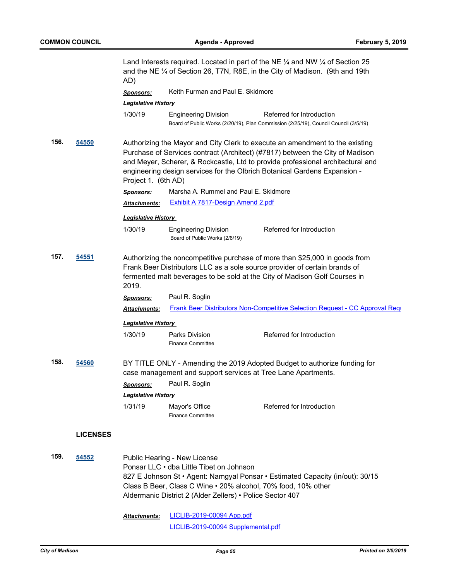Land Interests required. Located in part of the NE  $\frac{1}{4}$  and NW  $\frac{1}{4}$  of Section 25 and the NE ¼ of Section 26, T7N, R8E, in the City of Madison. (9th and 19th AD) *Sponsors:* Keith Furman and Paul E. Skidmore *Legislative History*  1/30/19 Engineering Division Referred for Introduction Board of Public Works (2/20/19), Plan Commission (2/25/19), Council Council (3/5/19) **156. [54550](http://madison.legistar.com/gateway.aspx?m=l&id=/matter.aspx?key=65065)** Authorizing the Mayor and City Clerk to execute an amendment to the existing Purchase of Services contract (Architect) (#7817) between the City of Madison and Meyer, Scherer, & Rockcastle, Ltd to provide professional architectural and engineering design services for the Olbrich Botanical Gardens Expansion - Project 1. (6th AD) *Sponsors:* Marsha A. Rummel and Paul E. Skidmore *Attachments:* [Exhibit A 7817-Design Amend 2.pdf](http://madison.legistar.com/gateway.aspx?M=F&ID=5d877dba-27d3-498b-870a-e516c4da7dea.pdf) *Legislative History*  1/30/19 Engineering Division Referred for Introduction Board of Public Works (2/6/19) **157. [54551](http://madison.legistar.com/gateway.aspx?m=l&id=/matter.aspx?key=65066)** Authorizing the noncompetitive purchase of more than \$25,000 in goods from Frank Beer Distributors LLC as a sole source provider of certain brands of fermented malt beverages to be sold at the City of Madison Golf Courses in 2019. *Sponsors:* Paul R. Soglin Attachments: [Frank Beer Distributors Non-Competitive Selection Request - CC Approval Requ](http://madison.legistar.com/gateway.aspx?M=F&ID=53b36408-ec1b-43a5-8515-8b226efed7f6.pdf) *Legislative History*  1/30/19 Parks Division Referred for Introduction Finance Committee **158. [54560](http://madison.legistar.com/gateway.aspx?m=l&id=/matter.aspx?key=65075)** BY TITLE ONLY - Amending the 2019 Adopted Budget to authorize funding for case management and support services at Tree Lane Apartments. *Sponsors:* Paul R. Soglin *Legislative History*  1/31/19 Mayor's Office Referred for Introduction Finance Committee **LICENSES 159. [54552](http://madison.legistar.com/gateway.aspx?m=l&id=/matter.aspx?key=65067)** Public Hearing - New License Ponsar LLC • dba Little Tibet on Johnson 827 E Johnson St • Agent: Namgyal Ponsar • Estimated Capacity (in/out): 30/15 Class B Beer, Class C Wine • 20% alcohol, 70% food, 10% other Aldermanic District 2 (Alder Zellers) • Police Sector 407

> [LICLIB-2019-00094 App.pdf](http://madison.legistar.com/gateway.aspx?M=F&ID=0bb7cbb2-343a-4d85-b60a-ef3964e54b9e.pdf) [LICLIB-2019-00094 Supplemental.pdf](http://madison.legistar.com/gateway.aspx?M=F&ID=97e8b999-adb6-48ad-9313-5890b204432e.pdf) *Attachments:*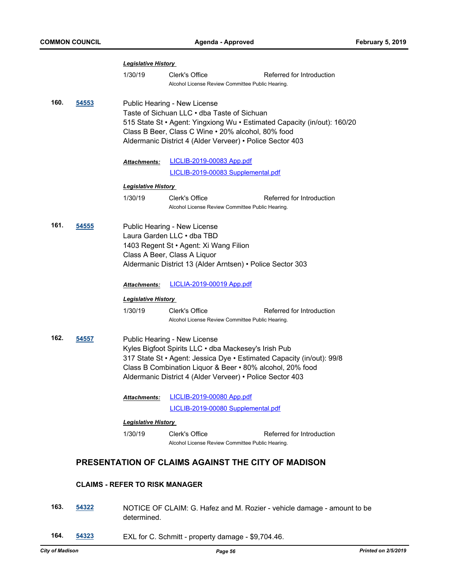|      |       | <b>Legislative History</b>   |                                                                                                                                                                                                                                                                                         |                                                                          |
|------|-------|------------------------------|-----------------------------------------------------------------------------------------------------------------------------------------------------------------------------------------------------------------------------------------------------------------------------------------|--------------------------------------------------------------------------|
|      |       | 1/30/19                      | Clerk's Office<br>Alcohol License Review Committee Public Hearing.                                                                                                                                                                                                                      | Referred for Introduction                                                |
| 160. | 54553 |                              | Public Hearing - New License<br>Taste of Sichuan LLC • dba Taste of Sichuan<br>Class B Beer, Class C Wine . 20% alcohol, 80% food<br>Aldermanic District 4 (Alder Verveer) • Police Sector 403                                                                                          | 515 State St • Agent: Yingxiong Wu • Estimated Capacity (in/out): 160/20 |
|      |       | Attachments:                 | <b>LICLIB-2019-00083 App.pdf</b>                                                                                                                                                                                                                                                        |                                                                          |
|      |       |                              | LICLIB-2019-00083 Supplemental.pdf                                                                                                                                                                                                                                                      |                                                                          |
|      |       | <u> Leqislative History </u> |                                                                                                                                                                                                                                                                                         |                                                                          |
|      |       | 1/30/19                      | Clerk's Office<br>Alcohol License Review Committee Public Hearing.                                                                                                                                                                                                                      | Referred for Introduction                                                |
| 161. | 54555 |                              | Public Hearing - New License<br>Laura Garden LLC • dba TBD<br>1403 Regent St • Agent: Xi Wang Filion<br>Class A Beer, Class A Liquor<br>Aldermanic District 13 (Alder Arntsen) • Police Sector 303                                                                                      |                                                                          |
|      |       | <u> Attachments:</u>         | <u>LICLIA-2019-00019 App.pdf</u>                                                                                                                                                                                                                                                        |                                                                          |
|      |       | <b>Legislative History</b>   |                                                                                                                                                                                                                                                                                         |                                                                          |
|      |       | 1/30/19                      | Clerk's Office<br>Alcohol License Review Committee Public Hearing.                                                                                                                                                                                                                      | Referred for Introduction                                                |
| 162. | 54557 |                              | Public Hearing - New License<br>Kyles Bigfoot Spirits LLC . dba Mackesey's Irish Pub<br>317 State St • Agent: Jessica Dye • Estimated Capacity (in/out): 99/8<br>Class B Combination Liquor & Beer • 80% alcohol, 20% food<br>Aldermanic District 4 (Alder Verveer) • Police Sector 403 |                                                                          |
|      |       | <b>Attachments:</b>          | <b>LICLIB-2019-00080 App.pdf</b>                                                                                                                                                                                                                                                        |                                                                          |
|      |       |                              | LICLIB-2019-00080 Supplemental.pdf                                                                                                                                                                                                                                                      |                                                                          |
|      |       | <b>Legislative History</b>   |                                                                                                                                                                                                                                                                                         |                                                                          |
|      |       | 1/30/19                      | Clerk's Office<br>Alcohol License Review Committee Public Hearing.                                                                                                                                                                                                                      | Referred for Introduction                                                |
|      |       |                              | PRESENTATION OF CLAIMS AGAINST THE CITY OF MADISON                                                                                                                                                                                                                                      |                                                                          |

## **CLAIMS - REFER TO RISK MANAGER**

- **163. [54322](http://madison.legistar.com/gateway.aspx?m=l&id=/matter.aspx?key=64849)** NOTICE OF CLAIM: G. Hafez and M. Rozier vehicle damage amount to be determined.
- **164. [54323](http://madison.legistar.com/gateway.aspx?m=l&id=/matter.aspx?key=64850)** EXL for C. Schmitt property damage \$9,704.46.